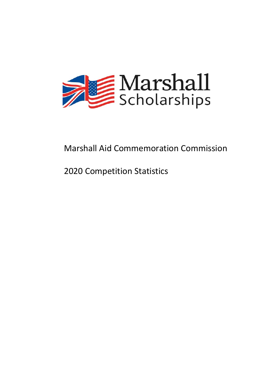

# Marshall Aid Commemoration Commission

# 2020 Competition Statistics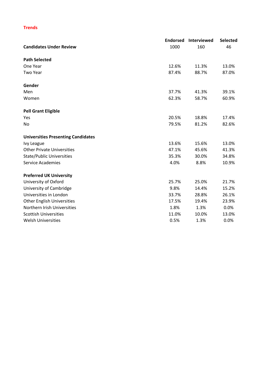## **Trends**

|                                           | <b>Endorsed</b> | Interviewed | Selected |
|-------------------------------------------|-----------------|-------------|----------|
| <b>Candidates Under Review</b>            | 1000            | 160         | 46       |
| <b>Path Selected</b>                      |                 |             |          |
| One Year                                  | 12.6%           | 11.3%       | 13.0%    |
| <b>Two Year</b>                           | 87.4%           | 88.7%       | 87.0%    |
| Gender                                    |                 |             |          |
| Men                                       | 37.7%           | 41.3%       | 39.1%    |
| Women                                     | 62.3%           | 58.7%       | 60.9%    |
| <b>Pell Grant Eligible</b>                |                 |             |          |
| Yes                                       | 20.5%           | 18.8%       | 17.4%    |
| No                                        | 79.5%           | 81.2%       | 82.6%    |
| <b>Universities Presenting Candidates</b> |                 |             |          |
| Ivy League                                | 13.6%           | 15.6%       | 13.0%    |
| <b>Other Private Universities</b>         | 47.1%           | 45.6%       | 41.3%    |
| <b>State/Public Universities</b>          | 35.3%           | 30.0%       | 34.8%    |
| <b>Service Academies</b>                  | 4.0%            | 8.8%        | 10.9%    |
| <b>Preferred UK University</b>            |                 |             |          |
| University of Oxford                      | 25.7%           | 25.0%       | 21.7%    |
| University of Cambridge                   | 9.8%            | 14.4%       | 15.2%    |
| Universities in London                    | 33.7%           | 28.8%       | 26.1%    |
| <b>Other English Universities</b>         | 17.5%           | 19.4%       | 23.9%    |
| Northern Irish Universities               | 1.8%            | 1.3%        | 0.0%     |
| <b>Scottish Universities</b>              | 11.0%           | 10.0%       | 13.0%    |
| <b>Welsh Universities</b>                 | 0.5%            | 1.3%        | 0.0%     |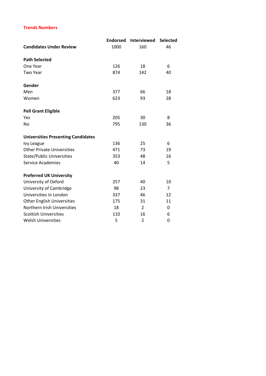## **Trends Numbers**

|                                           | <b>Endorsed</b> | <b>Interviewed</b> | <b>Selected</b> |
|-------------------------------------------|-----------------|--------------------|-----------------|
| <b>Candidates Under Review</b>            | 1000            | 160                | 46              |
| <b>Path Selected</b>                      |                 |                    |                 |
| One Year                                  | 126             | 18                 | 6               |
| <b>Two Year</b>                           | 874             | 142                | 40              |
| Gender                                    |                 |                    |                 |
| Men                                       | 377             | 66                 | 18              |
| Women                                     | 623             | 93                 | 28              |
| <b>Pell Grant Eligible</b>                |                 |                    |                 |
| Yes                                       | 205             | 30                 | 8               |
| <b>No</b>                                 | 795             | 130                | 36              |
| <b>Universities Presenting Candidates</b> |                 |                    |                 |
| Ivy League                                | 136             | 25                 | 6               |
| <b>Other Private Universities</b>         | 471             | 73                 | 19              |
| <b>State/Public Universities</b>          | 353             | 48                 | 16              |
| <b>Service Academies</b>                  | 40              | 14                 | 5               |
| <b>Preferred UK University</b>            |                 |                    |                 |
| University of Oxford                      | 257             | 40                 | 10              |
| University of Cambridge                   | 98              | 23                 | $\overline{7}$  |
| Universities in London                    | 337             | 46                 | 12              |
| <b>Other English Universities</b>         | 175             | 31                 | 11              |
| Northern Irish Universities               | 18              | 2                  | 0               |
| <b>Scottish Universities</b>              | 110             | 16                 | 6               |
| <b>Welsh Universities</b>                 | 5               | $\overline{2}$     | 0               |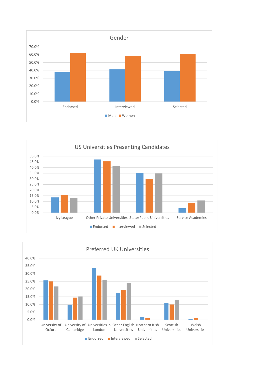



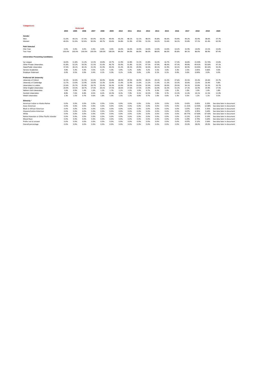| <b>Comparisons</b>                        |        |                 |        |        |        |        |       |       |       |       |       |       |       |        |        |        |                            |
|-------------------------------------------|--------|-----------------|--------|--------|--------|--------|-------|-------|-------|-------|-------|-------|-------|--------|--------|--------|----------------------------|
|                                           |        | <b>Endorsed</b> |        |        |        |        |       |       |       |       |       |       |       |        |        |        |                            |
|                                           | 2004   | 2005            | 2006   | 2007   | 2008   | 2009   | 2010  | 2011  | 2012  | 2013  | 2014  | 2015  | 2016  | 2017   | 2018   | 2019   | 2020                       |
| Gender                                    |        |                 |        |        |        |        |       |       |       |       |       |       |       |        |        |        |                            |
| Men                                       | 51.0%  | 48.1%           | 47.4%  | 50.0%  | 50.3%  | 49.4%  | 45.2% | 48.1% | 52.1% | 48.5% | 45.8% | 46.6% | 43.9% | 44.2%  | 42.9%  | 38.6%  | 37.7%                      |
| Women                                     | 49.0%  | 51.9%           | 52.6%  | 50.0%  | 49.7%  | 50.6%  | 54.8% | 51.9% | 47.9% | 51.5% | 54.2% | 53.4% | 56.1% | 55.8%  | 57.1%  | 61.4%  | 62.3%                      |
| <b>Path Selected</b>                      |        |                 |        |        |        |        |       |       |       |       |       |       |       |        |        |        |                            |
| One Year                                  | 0.0%   | 0.0%            | 0.0%   | 0.0%   | 0.0%   | 0.0%   | 16.0% | 16.0% | 14.0% | 14.0% | 12.0% | 14.0% | 14.2% | 15.9%  | 14.0%  | 13.1%  | 12.6%                      |
| Two Year                                  | 100.0% | 100.0%          | 100.0% | 100.0% | 100.0% | 100.0% | 84.0% | 84.0% | 86.0% | 86.0% | 88.0% | 86.0% | 85.8% | 84.1%  | 86.0%  | 86.9%  | 87.4%                      |
| <b>Universities Presenting Candidates</b> |        |                 |        |        |        |        |       |       |       |       |       |       |       |        |        |        |                            |
| Ivy League                                | 16.0%  | 11.8%           | 11.2%  | 12.3%  | 10.8%  | 10.7%  | 11.9% | 12.8% | 13.1% | 15.8% | 16.3% | 16.7% | 17.4% | 16.8%  | 15.50% | 15.74% | 13.6%                      |
| Other Private Universities                | 41.8%  | 52.2%           | 54.3%  | 51.5%  | 51.0%  | 46.7%  | 50.9% | 51.8% | 52.2% | 47.3% | 47.9% | 48.4% | 47.3% | 49.8%  | 49.41% | 50.50% | 47.1%                      |
| State/Public Universities                 | 37.4%  | 30.1%           | 30.1%  | 31.3%  | 31.9%  | 30.2%  | 31.2% | 30.2% | 29.9% | 32.0% | 30.1% | 31.9% | 32.1% | 30.9%  | 33.05% | 30.10% | 35.3%                      |
| Service Academies                         | 4.8%   | 5.4%            | 4.4%   | 4.5%   | 6.1%   | 5.3%   | 5.9%  | 5.2%  | 4.8%  | 4.2%  | 5.5%  | 3.0%  | 3.3%  | 2.5%   | 2.05%  | 3.66%  | 4.0%                       |
| <b>Employer Endorsed</b>                  | 0.0%   | 0.5%            | 0.0%   | 0.4%   | 0.1%   | 0.3%   | 0.1%  | 0.0%  | 0.0%  | 1.0%  | 0.1%  | 0.1%  | 0.0%  | 0.0%   | 0.00%  | 0.0%   | 0.0%                       |
| <b>Preferred UK University</b>            |        |                 |        |        |        |        |       |       |       |       |       |       |       |        |        |        |                            |
| University of Oxford                      | 32.3%  | 32.0%           | 31.5%  | 32.4%  | 30.9%  | 30.8%  | 28.0% | 29.3% | 26.9% | 28.2% | 29.1% | 31.0% | 27.6% | 25.5%  | 25.4%  | 24.6%  | 25.7%                      |
| University of Cambridge                   | 12.7%  | 13.0%           | 12.9%  | 13.0%  | 12.3%  | 12.4%  | 11.4% | 12.9% | 11.6% | 11.2% | 11.4% | 11.3% | 10.3% | 10.6%  | 12.6%  | 10.4%  | 9.8%                       |
| Universities in London                    | 22.6%  | 25.7%           | 25.9%  | 26.7%  | 25.4%  | 26.3%  | 31.0% | 29.5% | 33.0% | 32.9% | 33.9% | 30.0% | 29.3% | 34.1%  | 32.8%  | 31.2%  | 33.7%                      |
| Other English Universities                | 20.9%  | 19.3%           | 18.7%  | 17.4%  | 20.1%  | 17.5%  | 18.6% | 17.6% | 17.5% | 15.9% | 16.4% | 16.3% | 15.1% | 17.1%  | 16.9%  | 19.9%  | 17.5%                      |
| Nothern Irish Universities                | 1.6%   | 0.9%            | 1.4%   | 1.0%   | 1.2%   | 1.7%   | 1.1%  | 1.5%  | 1.0%  | 0.7%  | 0.3%  | 1.0%  | 1.2%  | 1.0%   | 1.0%   | 1.4%   | 1.8%                       |
| <b>Scottish Universities</b>              | 8.8%   | 7.6%            | 8.8%   | 8.5%   | 8.2%   | 10.3%  | 8.3%  | 7.9%  | 9.1%  | 10.3% | 7.8%  | 9.7%  | 15.3% | 11.4%  | 10.1%  | 11.5%  | 11.0%                      |
| <b>Welsh Universities</b>                 | 1.3%   | 1.5%            | 0.7%   | 0.6%   | 1.8%   | 1.0%   | 1.5%  | 1.2%  | 0.8%  | 0.7%  | 1.0%  | 0.6%  | 1.3%  | 0.3%   | 1.2%   | 1.1%   | 0.5%                       |
| Ethnicity                                 |        |                 |        |        |        |        |       |       |       |       |       |       |       |        |        |        |                            |
| American Indian or Alaska Native          | 0.0%   | 0.0%            | 0.0%   | 0.0%   | 0.0%   | 0.0%   | 0.0%  | 0.0%  | 0.0%  | 0.0%  | 0.0%  | 0.0%  | 0.0%  | 0.42%  | 0.65%  | 0.20%  | See data later in document |
| Asian American                            | 0.0%   | 0.0%            | 0.0%   | 0.0%   | 0.0%   | 0.0%   | 0.0%  | 0.0%  | 0.0%  | 0.0%  | 0.0%  | 0.0%  | 0.0%  | 11.31% | 12.92% | 12.08% | See data later in document |
| <b>Black or African American</b>          | 0.0%   | 0.0%            | 0.0%   | 0.0%   | 0.0%   | 0.0%   | 0.0%  | 0.0%  | 0.0%  | 0.0%  | 0.0%  | 0.0%  | 0.0%  | 5.07%  | 5.81%  | 5.35%  | See data later in document |
| Hispanic/Latino American                  | 0.0%   | 0.0%            | 0.0%   | 0.0%   | 0.0%   | 0.0%   | 0.0%  | 0.0%  | 0.0%  | 0.0%  | 0.0%  | 0.0%  | 0.0%  | 3.07%  | 4.95%  | 5.64%  | See data later in document |
| White                                     | 0.0%   | 0.0%            | 0.0%   | 0.0%   | 0.0%   | 0.0%   | 0.0%  | 0.0%  | 0.0%  | 0.0%  | 0.0%  | 0.0%  | 0.0%  | 69.77% | 67.60% | 67.43% | See data later in document |
| Native Hawaiian or Other Pacific Islander | 0.0%   | 0.0%            | 0.0%   | 0.0%   | 0.0%   | 0.0%   | 0.0%  | 0.0%  | 0.0%  | 0.0%  | 0.0%  | 0.0%  | 0.0%  | 0.11%  | 0.22%  | 0.10%  | See data later in document |
| <b>Mixed Race</b>                         | 0.0%   | 0.0%            | 0.0%   | 0.0%   | 0.0%   | 0.0%   | 0.0%  | 0.0%  | 0.0%  | 0.0%  | 0.0%  | 0.0%  | 0.0%  | 5.29%  | 4.74%  | 5.64%  | See data later in document |
| Prefer not to answer                      | 0.0%   | 0.0%            | 0.0%   | 0.0%   | 0.0%   | 0.0%   | 0.0%  | 0.0%  | 0.0%  | 0.0%  | 0.0%  | 0.0%  | 0.0%  | 4.97%  | 3.12%  | 3.56%  | See data later in document |
| Overall percentage                        | 0.0%   | 0.0%            | 0.0%   | 0.0%   | 0.0%   | 0.0%   | 0.0%  | 0.0%  | 0.0%  | 0.0%  | 0.0%  | 0.0%  | 0.0%  | 25.0%  | 28.0%  | 29.0%  | See data later in document |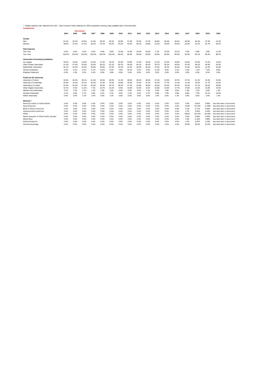| reliable statistics only collected from 2017. New Format for data collected for 2020 competition summary data available later in this document.<br><b>Comparisons</b> |        |        |                    |        |        |        |       |       |       |       |       |       |       |       |        |        |                            |
|-----------------------------------------------------------------------------------------------------------------------------------------------------------------------|--------|--------|--------------------|--------|--------|--------|-------|-------|-------|-------|-------|-------|-------|-------|--------|--------|----------------------------|
|                                                                                                                                                                       |        |        | <b>Interviewed</b> |        |        |        |       |       |       |       |       |       |       |       |        |        |                            |
|                                                                                                                                                                       | 2004   | 2005   | 2006               | 2007   | 2008   | 2009   | 2010  | 2011  | 2012  | 2013  | 2014  | 2015  | 2016  | 2017  | 2018   | 2019   | 2020                       |
| Gender                                                                                                                                                                |        |        |                    |        |        |        |       |       |       |       |       |       |       |       |        |        |                            |
| Men                                                                                                                                                                   | 61.0%  | 52.5%  | 52.8%              | 51.8%  | 58.3%  | 59.3%  | 56.8% | 57.6% | 53.9% | 57.2% | 46.8% | 49.4% | 49.4% | 44.0% | 46.3%  | 37.3%  | 41.3%                      |
| Women                                                                                                                                                                 | 39.0%  | 47.5%  | 47.2%              | 48.2%  | 41.7%  | 40.7%  | 43.2% | 42.4% | 46.1% | 42.8% | 53.2% | 50.6% | 50.6% | 56.0% | 53.7%  | 62.7%  | 58.7%                      |
| <b>Path Selected</b>                                                                                                                                                  |        |        |                    |        |        |        |       |       |       |       |       |       |       |       |        |        |                            |
| One Year                                                                                                                                                              | 0.0%   | 0.0%   | 0.0%               | 0.0%   | 0.0%   | 0.0%   | 15.0% | 15.0% | 10.0% | 10.0% | 5.1%  | 15.0% | 10.1% | 5.0%  | 9.8%   | 3.8%   | 11.3%                      |
| Two Year                                                                                                                                                              | 100.0% | 100.0% | 100.0%             | 100.0% | 100.0% | 100.0% | 85.0% | 85.0% | 90.0% | 90.0% | 94.9% | 85.0% | 89.9% | 95.0% | 90.2%  | 96.2%  | 88.7%                      |
| <b>Universities Presenting Candidates</b>                                                                                                                             |        |        |                    |        |        |        |       |       |       |       |       |       |       |       |        |        |                            |
| Iw League                                                                                                                                                             | 18.2%  | 16.9%  | 14.9%              | 22.6%  | 17.3%  | 19.1%  | 20.4% | 22.8% | 21.4% | 22.0% | 21.2% | 22.0% | 19.6% | 22.6% | 22.0%  | 15.2%  | 15.6%                      |
| Other Private Universities                                                                                                                                            | 41.5%  | 47.5%  | 42.9%              | 43.9%  | 40.5%  | 45.1%  | 40.7% | 44.9% | 46.1% | 40.3% | 39.7% | 40.2% | 44.9% | 41.5% | 46.3%  | 44.9%  | 45.6%                      |
| State/Public Universities                                                                                                                                             | 32.1%  | 26.3%  | 34.2%              | 26.8%  | 29.8%  | 25.9%  | 33.3% | 22.2% | 26.0% | 28.3% | 27.6% | 29.3% | 30.4% | 31.4% | 30.5%  | 32.9%  | 30.0%                      |
| Service Academies                                                                                                                                                     | 8.2%   | 8.1%   | 8.1%               | 6.7%   | 12.5%  | 9.3%   | 5.6%  | 10.1% | 6.5%  | 9.4%  | 11.5% | 8.5%  | 5.1%  | 4.4%  | 1.2%   | 7.0%   | 8.8%                       |
| <b>Employer Endorsed</b>                                                                                                                                              | 0.0%   | 1.3%   | 0.0%               | 0.0%   | 0.0%   | 0.6%   | 0.0%  | 0.0%  | 0.0%  | 0.0%  | 0.0%  | 0.0%  | 0.0%  | 0.0%  | 0.0%   | 0.0%   | 0.0%                       |
| <b>Preferred UK University</b>                                                                                                                                        |        |        |                    |        |        |        |       |       |       |       |       |       |       |       |        |        |                            |
| University of Oxford                                                                                                                                                  | 34.6%  | 49.4%  | 39.1%              | 41.5%  | 34.5%  | 38.9%  | 31.5% | 38.0% | 38.3% | 30.2% | 37.2% | 32.9% | 29.7% | 27.7% | 31.1%  | 25.3%  | 25.0%                      |
| University of Cambridge                                                                                                                                               | 20.8%  | 16.3%  | 16.1%              | 18.3%  | 11.9%  | 15.4%  | 14.8% | 14.6% | 13.6% | 15.1% | 10.3% | 17.7% | 11.4% | 11.3% | 16.5%  | 17.7%  | 14.4%                      |
| Universities in London                                                                                                                                                | 22.6%  | 20.0%  | 27.3%              | 25.0%  | 30.4%  | 24.7%  | 38.3% | 27.2% | 31.8% | 39.6% | 34.6% | 24.4% | 35.4% | 33.3% | 31.7%  | 28.5%  | 28.8%                      |
| Other English Universities                                                                                                                                            | 15.7%  | 9.4%   | 11.2%              | 7.3%   | 16.7%  | 14.2%  | 9.9%  | 14.6% | 10.4% | 8.2%  | 12.8% | 14.6% | 17.7% | 17.0% | 11.0%  | 15.8%  | 19.4%                      |
| Nothern Irish Universities                                                                                                                                            | 2.5%   | 1.3%   | 1.2%               | 1.2%   | 1.8%   | 1.9%   | 0.0%  | 0.6%  | 0.6%  | 1.3%  | 0.0%  | 1.8%  | 0.6%  | 1.9%  | 1.2%   | 0.6%   | 1.3%                       |
| <b>Scottish Universities</b>                                                                                                                                          | 3.1%   | 3.8%   | 3.7%               | 4.9%   | 4.2%   | 3.7%   | 4.9%  | 5.1%  | 4.5%  | 5.7%  | 3.8%  | 7.9%  | 3.8%  | 8.8%  | 7.9%   | 10.1%  | 10.0%                      |
| <b>Welsh Universities</b>                                                                                                                                             | 0.6%   | 0.0%   | 1.2%               | 1.8%   | 0.6%   | 1.2%   | 0.6%  | 0.0%  | 0.6%  | 0.0%  | 1.3%  | 0.6%  | 1.3%  | 0.0%  | 0.6%   | 1.9%   | 1.3%                       |
| <b>Ethnicity</b>                                                                                                                                                      |        |        |                    |        |        |        |       |       |       |       |       |       |       |       |        |        |                            |
| American Indian or Alaska Native                                                                                                                                      | 0.0%   | 0.0%   | 0.0%               | 0.0%   | 0.0%   | 0.0%   | 0.0%  | 0.0%  | 0.0%  | 0.0%  | 0.0%  | 0.0%  | 0.0%  | 0.0%  | 0.61%  | 0.00%  | See data later in document |
| Asian American                                                                                                                                                        | 0.0%   | 0.0%   | 0.0%               | 0.0%   | 0.0%   | 0.0%   | 0.0%  | 0.0%  | 0.0%  | 0.0%  | 0.0%  | 0.0%  | 0.0%  | 13.8% | 20.12% | 17.09% | See data later in document |
| <b>Black or African American</b>                                                                                                                                      | 0.0%   | 0.0%   | 0.0%               | 0.0%   | 0.0%   | 0.0%   | 0.0%  | 0.0%  | 0.0%  | 0.0%  | 0.0%  | 0.0%  | 0.0%  | 4.4%  | 6.71%  | 6.96%  | See data later in document |
| Hispanic/Latino American                                                                                                                                              | 0.0%   | 0.0%   | 0.0%               | 0.0%   | 0.0%   | 0.0%   | 0.0%  | 0.0%  | 0.0%  | 0.0%  | 0.0%  | 0.0%  | 0.0%  | 5.7%  | 3.05%  | 4.43%  | See data later in document |
| White                                                                                                                                                                 | 0.0%   | 0.0%   | 0.0%               | 0.0%   | 0.0%   | 0.0%   | 0.0%  | 0.0%  | 0.0%  | 0.0%  | 0.0%  | 0.0%  | 0.0%  | 68.6% | 60.37% | 64.56% | See data later in document |
| Native Hawaiian or Other Pacific Islander                                                                                                                             | 0.0%   | 0.0%   | 0.0%               | 0.0%   | 0.0%   | 0.0%   | 0.0%  | 0.0%  | 0.0%  | 0.0%  | 0.0%  | 0.0%  | 0.0%  | 0.0%  | 0.00%  | 0.00%  | See data later in document |
| <b>Mixed Race</b>                                                                                                                                                     | 0.0%   | 0.0%   | 0.0%               | 0.0%   | 0.0%   | 0.0%   | 0.0%  | 0.0%  | 0.0%  | 0.0%  | 0.0%  | 0.0%  | 0.0%  | 5.0%  | 6.10%  | 3.80%  | See data later in document |
| Decline Response                                                                                                                                                      | 0.0%   | 0.0%   | 0.0%               | 0.0%   | 0.0%   | 0.0%   | 0.0%  | 0.0%  | 0.0%  | 0.0%  | 0.0%  | 0.0%  | 0.0%  | 2.5%  | 3.05%  | 3.16%  | See data later in document |
| Overall percentage                                                                                                                                                    | 0.0%   | 0.0%   | 0.0%               | 0.0%   | 0.0%   | 0.0%   | 0.0%  | 0.0%  | 0.0%  | 0.0%  | 0.0%  | 0.0%  | 0.0%  | 29.0% | 36.0%  | 32.0%  | See data later in document |
|                                                                                                                                                                       |        |        |                    |        |        |        |       |       |       |       |       |       |       |       |        |        |                            |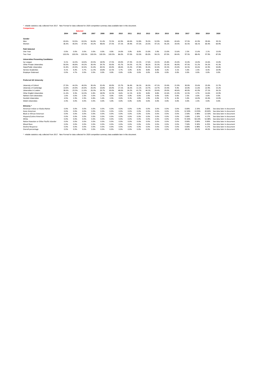\* reliable statistics only collected from 2017. New Format for data collected for 2020 competition summary data available later in this document. **Comparisons**

|                                           |        |        | <b>Selected</b> |        |        |        |       |       |       |       |       |       |       |        |        |        |                            |
|-------------------------------------------|--------|--------|-----------------|--------|--------|--------|-------|-------|-------|-------|-------|-------|-------|--------|--------|--------|----------------------------|
|                                           | 2004   | 2005   | 2006            | 2007   | 2008   | 2009   | 2010  | 2011  | 2012  | 2013  | 2014  | 2015  | 2016  | 2017   | 2018   | 2019   | 2020                       |
| Gender                                    |        |        |                 |        |        |        |       |       |       |       |       |       |       |        |        |        |                            |
| Men                                       | 63.6%  | 53.5%  | 63.0%           | 56.8%  | 51.4%  | 72.5%  | 62.9% | 60.6% | 52.8% | 76.5% | 52.9% | 54.8% | 65.6% | 57.5%  | 41.9%  | 39.6%  | 39.1%                      |
| Women                                     | 36.4%  | 46.5%  | 37.0%           | 43.2%  | 48.6%  | 27.5%  | 37.1% | 39.4% | 47.2% | 23.5% | 47.1% | 45.2% | 34.4% | 42.5%  | 58.1%  | 60.4%  | 60.9%                      |
| <b>Path Selected</b>                      |        |        |                 |        |        |        |       |       |       |       |       |       |       |        |        |        |                            |
| One Year                                  | 0.0%   | 0.0%   | 0.0%            | 0.0%   | 0.0%   | 0.0%   | 14.0% | 3.0%  | 8.0%  | 15.0% | 5.9%  | 13.0% | 15.6% | 2.5%   | 11.6%  | 2.1%   | 13.0%                      |
| Two Year                                  | 100.0% | 100.0% | 100.0%          | 100.0% | 100.0% | 100.0% | 86.0% | 97.0% | 92.0% | 85.0% | 94.1% | 87.0% | 84.4% | 97.5%  | 88.4%  | 97.9%  | 87.0%                      |
| <b>Universities Presenting Candidates</b> |        |        |                 |        |        |        |       |       |       |       |       |       |       |        |        |        |                            |
| Ivy League                                | 9.1%   | 16.3%  | 18.6%           | 20.5%  | 18.9%  | 17.5%  | 20.0% | 27.3% | 22.2% | 17.6% | 23.5% | 25.8% | 25.0% | 15.0%  | 14.0%  | 14.6%  | 13.0%                      |
| Other Private Universities                | 50.0%  | 48.8%  | 44.2%           | 36.4%  | 29.7%  | 50.0%  | 45.7% | 54.5% | 41.7% | 38.2% | 35.3% | 35.5% | 46.9% | 47.5%  | 51.2%  | 54.2%  | 41.3%                      |
| State/Public Universities                 | 31.8%  | 20.9%  | 32.6%           | 31.8%  | 40.5%  | 20.0%  | 28.6% | 15.2% | 27.8% | 35.3% | 32.4% | 35.5% | 25.0% | 32.5%  | 32.6%  | 22.9%  | 34.8%                      |
| Service Academies                         | 9.1%   | 9.3%   | 4.7%            | 11.4%  | 10.8%  | 12.5%  | 5.7%  | 3.0%  | 8.3%  | 8.8%  | 8.8%  | 3.2%  | 3.1%  | 5.0%   | 2.3%   | 8.3%   | 10.9%                      |
| <b>Employer Endorsed</b>                  | 0.0%   | 4.7%   | 0.0%            | 0.0%   | 0.0%   | 0.0%   | 0.0%  | 0.0%  | 0.0%  | 0.0%  | 0.0%  | 0.0%  | 0.0%  | 0.0%   | 0.0%   | 0.0%   | 0.0%                       |
| <b>Preferred UK University</b>            |        |        |                 |        |        |        |       |       |       |       |       |       |       |        |        |        |                            |
| University of Oxford                      | 27.3%  | 44.2%  | 46.5%           | 36.4%  | 32.4%  | 30.0%  | 25.7% | 36.4% | 36.1% | 26.5% | 47.1% | 19.4% | 21.9% | 30.0%  | 25.6%  | 25.0%  | 21.7%                      |
| University of Cambridge                   | 13.6%  | 20.9%  | 20.9%           | 25.0%  | 10.8%  | 20.0%  | 17.1% | 18.2% | 11.1% | 14.7% | 14.7% | 19.4% | 9.4%  | 10.0%  | 11.6%  | 22.9%  | 15.2%                      |
| Universities in London                    | 38.6%  | 23.3%  | 11.6%           | 25.0%  | 29.7%  | 30.0%  | 48.6% | 24.2% | 41.7% | 44.1% | 29.4% | 29.0% | 40.6% | 40.0%  | 41.9%  | 27.1%  | 26.1%                      |
| Other English Universities                | 11.4%  | 9.3%   | 16.3%           | 6.8%   | 18.9%  | 12.5%  | 8.6%  | 12.1% | 8.3%  | 8.8%  | 8.8%  | 22.6% | 21.9% | 12.5%  | 4.7%   | 14.6%  | 23.9%                      |
| Nothern Irish Universities                | 1.6%   | 0.0%   | 2.3%            | 0.0%   | 2.7%   | 0.0%   | 0.0%  | 0.0%  | 0.0%  | 2.9%  | 0.0%  | 0.0%  | 0.0%  | 2.5%   | 0.0%   | 0.0%   | 0.0%                       |
| <b>Scottish Universities</b>              | 4.5%   | 2.3%   | 2.3%            | 6.8%   | 5.4%   | 2.5%   | 0.0%  | 9.1%  | 2.8%  | 2.9%  | 0.0%  | 9.7%  | 6.3%  | 5.0%   | 14.0%  | 10.4%  | 13.0%                      |
| <b>Welsh Universities</b>                 | 2.3%   | 0.0%   | 0.0%            | 0.0%   | 0.0%   | 5.0%   | 0.0%  | 0.0%  | 0.0%  | 0.0%  | 0.0%  | 0.0%  | 0.0%  | 0.0%   | 2.3%   | 0.0%   | 0.0%                       |
| <b>Ethnicity</b>                          |        |        |                 |        |        |        |       |       |       |       |       |       |       |        |        |        |                            |
| American Indian or Alaska Native          | 0.0%   | 0.0%   | 0.0%            | 0.0%   | 0.0%   | 0.0%   | 0.0%  | 0.0%  | 0.0%  | 0.0%  | 0.0%  | 0.0%  | 0.0%  | 0.00%  | 2.33%  | 0.00%  | See data later in document |
| Asian American                            | 0.0%   | 0.0%   | 0.0%            | 0.0%   | 0.0%   | 0.0%   | 0.0%  | 0.0%  | 0.0%  | 0.0%  | 0.0%  | 0.0%  | 0.0%  | 12.50% | 13.95% | 20.83% | See data later in document |
| <b>Black or African American</b>          | 0.0%   | 0.0%   | 0.0%            | 0.0%   | 0.0%   | 0.0%   | 0.0%  | 0.0%  | 0.0%  | 0.0%  | 0.0%  | 0.0%  | 0.0%  | 2.50%  | 6.98%  | 12.50% | See data later in document |
| Hispanic/Latino American                  | 0.0%   | 0.0%   | 0.0%            | 0.0%   | 0.0%   | 0.0%   | 0.0%  | 0.0%  | 0.0%  | 0.0%  | 0.0%  | 0.0%  | 0.0%  | 5.00%  | 2.33%  | 4.17%  | See data later in document |
| White                                     | 0.0%   | 0.0%   | 0.0%            | 0.0%   | 0.0%   | 0.0%   | 0.0%  | 0.0%  | 0.0%  | 0.0%  | 0.0%  | 0.0%  | 0.0%  | 72.50% | 58.14% | 52.08% | See data later in document |
| Native Hawaiian or Other Pacific Islander | 0.0%   | 0.0%   | 0.0%            | 0.0%   | 0.0%   | 0.0%   | 0.0%  | 0.0%  | 0.0%  | 0.0%  | 0.0%  | 0.0%  | 0.0%  | 0.00%  | 0.00%  | 0.00%  | See data later in document |
| <b>Mixed Race</b>                         | 0.0%   | 0.0%   | 0.0%            | 0.0%   | 0.0%   | 0.0%   | 0.0%  | 0.0%  | 0.0%  | 0.0%  | 0.0%  | 0.0%  | 0.0%  | 7.50%  | 9.30%  | 6.25%  | See data later in document |
| <b>Decline Response</b>                   | 0.0%   | 0.0%   | 0.0%            | 0.0%   | 0.0%   | 0.0%   | 0.0%  | 0.0%  | 0.0%  | 0.0%  | 0.0%  | 0.0%  | 0.0%  | 0.00%  | 6.98%  | 4.17%  | See data later in document |
| Overall percentage                        | 0.0%   | 0.0%   | 0.0%            | 0.0%   | 0.0%   | 0.0%   | 0.0%  | 0.0%  | 0.0%  | 0.0%  | 0.0%  | 0.0%  | 0.0%  | 28.0%  | 33.0%  | 44.0%  | See data later in document |

\* reliable statistics only collected from 2017. New Format for data collected for 2020 competition summary data available later in this document.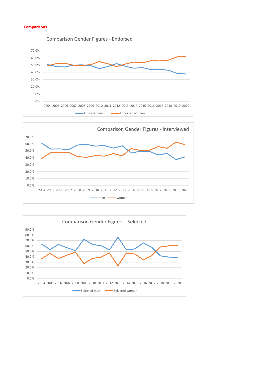## **Comparisons**





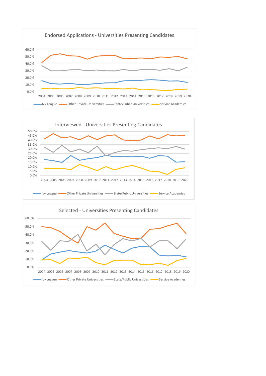



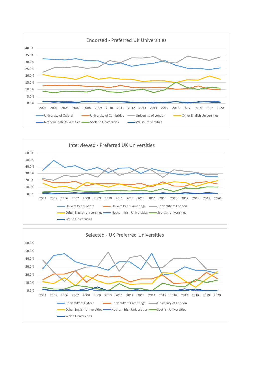



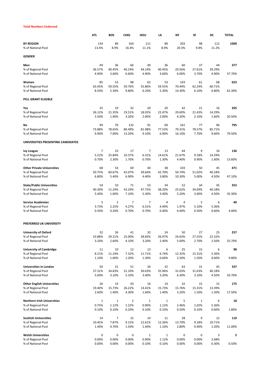#### **Total Numbers Endorsed**

|                                    | ATL         | <b>BOS</b> | <b>CHIG</b> | HOU    | LA     | NY     | <b>SF</b> | DC     | <b>TOTAL</b> |
|------------------------------------|-------------|------------|-------------|--------|--------|--------|-----------|--------|--------------|
| <b>BY REGION</b>                   | 134         | 89         | 164         | 111    | 89     | 203    | 98        | 112    | 1000         |
| % of National Pool                 | 13.4%       | 8.9%       | 16.4%       | 11.1%  | 8.9%   | 20.3%  | 9.8%      | 11.2%  |              |
| <b>GENDER</b>                      |             |            |             |        |        |        |           |        |              |
| Men                                | 49          | 36         | 66          | 49     | 36     | 60     | 37        | 44     | 377          |
| % of Regional Pool                 | 36.57%      | 40.45%     | 40.24%      | 44.14% | 40.45% | 29.56% | 27.61%    | 39.29% |              |
| % of National Pool                 | 4.90%       | 3.60%      | 6.60%       | 4.90%  | 3.60%  | 6.00%  | 3.70%     | 4.40%  | 37.70%       |
| Women                              | 85          | 53         | 98          | 62     | 53     | 143    | 61        | 68     | 623          |
| % of Regional Pool                 | 63.43%      | 59.55%     | 59.76%      | 55.86% | 59.55% | 70.44% | 62.24%    | 60.71% |              |
| % of National Pool                 | 8.50%       | 5.30%      | 9.80%       | 6.20%  | 5.30%  | 14.30% | 6.10%     | 6.80%  | 62.30%       |
| PELL GRANT ELIGIBLE                |             |            |             |        |        |        |           |        |              |
| Yes                                | 35          | 19         | 32          | 20     | 20     | 42     | 21        | 16     | 205          |
| % of Regional Pool                 | 26.12%      | 21.35%     | 19.51%      | 18.02% | 22.47% | 20.69% | 21.43%    | 14.29% |              |
| % of National Pool                 | 3.50%       | 1.90%      | 3.20%       | 2.00%  | 2.00%  | 4.20%  | 2.10%     | 1.60%  | 20.50%       |
| No                                 | 99          | 70         | 132         | 91     | 69     | 161    | 77        | 96     | 795          |
| % of Regional Pool                 | 73.88%      | 78.65%     | 80.49%      | 81.98% | 77.53% | 79.31% | 78.57%    | 85.71% |              |
| % of National Pool                 | 9.90%       | 7.00%      | 13.20%      | 9.10%  | 6.90%  | 16.10% | 7.70%     | 9.60%  | 79.50%       |
| UNIVERSITIES PRESENTING CANDIDATES |             |            |             |        |        |        |           |        |              |
| <b>Ivy League</b>                  | 7           | 23         | 17          | 7      | 13     | 44     | 9         | 16     | 136          |
| % of Regional Pool                 | 5.22%       | 25.84%     | 10.37%      | 6.31%  | 14.61% | 21.67% | 9.18%     | 14.29% |              |
| % of National Pool                 | 0.70%       | 2.30%      | 1.70%       | 0.70%  | 1.30%  | 4.40%  | 0.90%     | 1.60%  | 13.60%       |
| <b>Other Private Universities</b>  | 68          | 54         | 69          | 44     | 38     | 103    | 50        | 45     | 471          |
| % of Regional Pool                 | 50.75%      | 60.67%     | 42.07%      | 39.64% | 42.70% | 50.74% | 51.02%    | 40.18% |              |
| % of National Pool                 | 6.80%       | 5.40%      | 6.90%       | 4.40%  | 3.80%  | 10.30% | 5.00%     | 4.50%  | 47.10%       |
| <b>State/Public Universities</b>   | 54          | 10         | 71          | 53     | 34     | 52     | 34        | 45     | 353          |
| % of Regional Pool                 | 40.30%      | 11.24%     | 43.29%      | 47.75% | 38.20% | 25.62% | 34.69%    | 40.18% |              |
| % of National Pool                 | 5.40%       | 1.00%      | 7.10%       | 5.30%  | 3.40%  | 5.20%  | 3.40%     | 4.50%  | 35.30%       |
| <b>Service Academies</b>           | 5           | 2          | 7           | 7      | 4      | 4      | 5         | 6      | 40           |
| % of Regional Pool                 | 3.73%       | 2.25%      | 4.27%       | 6.31%  | 4.49%  | 1.97%  | 5.10%     | 5.36%  |              |
| % of National Pool                 | 0.50%       | 0.20%      | 0.70%       | 0.70%  | 0.40%  | 0.40%  | 0.50%     | 0.60%  | 4.00%        |
| PREFERRED UK UNIVERSITY            |             |            |             |        |        |        |           |        |              |
| <b>University of Oxford</b>        | 32          | 26         | 41          | 32     | 24     | 50     | 27        | 25     | 257          |
| % of Regional Pool                 | 23.88%      | 29.21%     | 25.00%      | 28.83% | 26.97% | 24.63% | 27.55%    | 22.32% |              |
| % of National Pool                 | 3.20%       | 2.60%      | 4.10%       | 3.20%  | 2.40%  | 5.00%  | 2.70%     | 2.50%  | 25.70%       |
| <b>University of Cambridge</b>     | 11          | 10         | 12          | 13     | 6      | 25     | 15        | 6      | 98           |
| % of Regional Pool                 | 8.21%       | 11.24%     | 7.32%       | 11.71% | 6.74%  | 12.32% | 15.31%    | 5.36%  |              |
| % of National Pool                 | 1.10%       | 1.00%      | 1.20%       | 1.30%  | 0.60%  | 2.50%  | 1.50%     | 0.60%  | 9.80%        |
| Universities in London             | 50          | 31         | 51          | 34     | 32     | 63     | 31        | 45     | 337          |
| % of Regional Pool                 | 37.31%      | 34.83%     | 31.10%      | 30.63% | 35.96% | 31.03% | 31.63%    | 40.18% |              |
| % of National Pool                 | 5.00%       | 3.10%      | 5.10%       | 3.40%  | 3.20%  | 6.30%  | 3.10%     | 4.50%  | 33.70%       |
| <b>Other English Universities</b>  | 26          | 14         | 43          | 16     | 14     | 32     | 15        | 15     | 175          |
| % of Regional Pool                 | 19.40%      | 15.73%     | 26.22%      | 14.41% | 15.73% | 15.76% | 15.31%    | 13.39% |              |
| % of National Pool                 | 2.60%       | 1.40%      | 4.30%       | 1.60%  | 1.40%  | 3.20%  | 1.50%     | 1.50%  | 17.50%       |
| <b>Northern Irish Universities</b> | $\mathbf 1$ | $1\,$      | 2           | 1      | 1      | 5      | 1         | 6      | 18           |
| % of Regional Pool                 | 0.75%       | 1.12%      | 1.22%       | 0.90%  | 1.12%  | 2.46%  | 1.02%     | 5.36%  |              |
| % of National Pool                 | 0.10%       | 0.10%      | 0.20%       | 0.10%  | 0.10%  | 0.50%  | 0.10%     | 0.60%  | 1.80%        |
| <b>Scottish Universities</b>       | 14          | 7          | 15          | 14     | 11     | 28     | 9         | 12     | 110          |
| % of Regional Pool                 | 10.45%      | 7.87%      | 9.15%       | 12.61% | 12.36% | 13.79% | 9.18%     | 10.71% |              |
| % of National Pool                 | 1.40%       | 0.70%      | 1.50%       | 1.40%  | 1.10%  | 2.80%  | 0.90%     | 1.20%  | 11.00%       |
| <b>Welsh Universities</b>          | 0           | 0          | 0           | 1      | 1      | 0      | 0         | 3      | 5            |
| % of Regional Pool                 | 0.00%       | 0.00%      | 0.00%       | 0.90%  | 1.12%  | 0.00%  | 0.00%     | 2.68%  |              |
| % of National Pool                 | 0.00%       | 0.00%      | 0.00%       | 0.10%  | 0.10%  | 0.00%  | 0.00%     | 0.30%  | 0.50%        |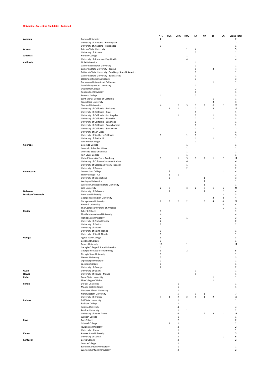#### **Universities Presenting Candidates - Endorsed**

|                             |                                                                                   | <b>ATL</b>              | BOS                     | CHIG                    | HOU            | LA                            | <b>NY</b>      | SF             | DC                      | <b>Grand Total</b>  |
|-----------------------------|-----------------------------------------------------------------------------------|-------------------------|-------------------------|-------------------------|----------------|-------------------------------|----------------|----------------|-------------------------|---------------------|
| Alabama                     | Auburn University                                                                 | $\overline{\mathbf{2}}$ |                         |                         |                |                               |                |                |                         | $\overline{2}$      |
|                             | University of Alabama - Birmingham                                                | 2                       |                         |                         |                |                               |                |                |                         | $\sqrt{2}$          |
|                             | University of Alabama - Tuscaloosa                                                | $\mathbf{1}$            |                         |                         |                |                               |                |                |                         | $\mathbf{1}$        |
| Arizona                     | Arizona State University                                                          |                         |                         |                         | 1              | $\overline{4}$                |                |                |                         | 5                   |
|                             | University of Arizona                                                             |                         |                         |                         |                | $\mathbf 2$                   |                |                |                         | $\overline{2}$      |
| <b>Arkansas</b>             | <b>Hendrix College</b>                                                            |                         |                         |                         | $\mathbf{1}$   |                               |                |                |                         | 1                   |
|                             | University of Arkansas - Fayetteville                                             |                         |                         |                         | 4              |                               |                |                |                         | 4                   |
| California                  | <b>Biola University</b>                                                           |                         |                         |                         |                | 1                             |                |                |                         | $\mathbf{1}$        |
|                             | California Lutheran University                                                    |                         |                         |                         |                | $\mathbf 1$                   |                |                |                         | 1                   |
|                             | California State University - Fresno                                              |                         |                         |                         |                | $\mathbf{1}$                  |                | 3              |                         | 4                   |
|                             | California State University - San Diego State University                          |                         |                         |                         |                | $\mathbf{1}$                  |                |                |                         | 1                   |
|                             | California State University - San Marcos                                          |                         |                         |                         |                | $\mathbf{1}$                  |                |                |                         | 1                   |
|                             | Claremont McKenna College                                                         |                         |                         |                         |                | 3                             |                |                |                         | 3                   |
|                             | Dominican University of California                                                |                         |                         |                         |                |                               |                | $\mathbf 1$    |                         | $\mathbf{1}$        |
|                             | Loyola Marymount University                                                       |                         |                         |                         |                | $\mathbf{1}$                  |                |                |                         | 1                   |
|                             | Occidental College                                                                |                         |                         |                         |                | $\overline{2}$                |                |                |                         | 2                   |
|                             | Pepperdine University                                                             |                         |                         |                         |                | $\mathbf{1}$                  |                |                |                         | 1                   |
|                             | Pomona College                                                                    | $\mathbf 1$             |                         |                         |                | $\overline{2}$                |                |                |                         | 3                   |
|                             | Saint Mary's College of California                                                |                         |                         |                         |                |                               |                | 1              |                         | 1                   |
|                             | Santa Clara University                                                            |                         |                         |                         |                |                               |                | 3              |                         | 3                   |
|                             | <b>Stanford University</b>                                                        | 4                       |                         | $\overline{\mathbf{2}}$ | 3              | 3                             | 3              | 6              | $\overline{\mathbf{2}}$ | 23                  |
|                             | University of California - Berkeley                                               |                         | $\mathbf{1}$            | $\mathbf 1$             |                | $\mathbf 2$                   |                | 8              |                         | 12                  |
|                             | University of California - Davis                                                  |                         |                         |                         |                | $\mathbf 1$<br>$\overline{7}$ |                |                |                         | 1<br>9              |
|                             | University of California - Los Angeles                                            |                         |                         | $\,1$                   |                | $\mathbf 2$                   |                | $\mathbf{1}$   |                         | 3                   |
|                             | University of California - Riverside<br>University of California - San Diego      |                         |                         |                         |                | $\mathbf{1}$                  |                | $\mathbf 1$    |                         |                     |
|                             |                                                                                   |                         |                         |                         |                | $\mathbf{1}$                  |                |                |                         | $\mathbf{1}$        |
|                             | University of California - Santa Barbara<br>University of California - Santa Cruz |                         |                         |                         |                | $\mathbf{1}$                  |                | $\mathbf 1$    |                         | 1<br>$\overline{2}$ |
|                             |                                                                                   |                         |                         |                         |                | $\mathbf{1}$                  |                |                |                         | $\mathbf{1}$        |
|                             | University of San Diego<br>University of Southern California                      | $\mathbf 1$             |                         |                         | $\mathbf{1}$   | $\mathbf{1}$                  |                |                |                         | 3                   |
|                             |                                                                                   |                         |                         |                         |                | $\mathbf 1$                   |                | $\mathbf 1$    |                         | $\overline{2}$      |
|                             | University of the Pacific<br>Westmont College                                     |                         |                         |                         |                | $\mathbf{1}$                  |                |                |                         | 1                   |
| Colorado                    | Colorado College                                                                  |                         |                         |                         | $\mathbf{1}$   |                               |                |                |                         | 1                   |
|                             | Colorado School of Mines                                                          |                         |                         |                         | $\overline{2}$ |                               |                |                |                         | 2                   |
|                             | Colorado State University                                                         |                         |                         |                         | $\mathbf{1}$   |                               |                |                |                         | 1                   |
|                             | Fort Lewis College                                                                |                         |                         |                         | $\mathbf{1}$   |                               |                |                |                         | $\mathbf{1}$        |
|                             | United States Air Force Academy                                                   | $\mathbf 1$             |                         | $\mathbf 1$             | $\mathsf 3$    | 1                             | $\overline{2}$ | $\mathbf{1}$   | $\overline{2}$          | $11\,$              |
|                             | University of Colorado System - Boulder                                           |                         |                         |                         | 6              |                               |                |                |                         | 6                   |
|                             | University of Colorado System - Denver                                            |                         |                         |                         | $\mathbf 1$    |                               |                |                |                         | $\mathbf{1}$        |
|                             | University of Denver                                                              |                         |                         |                         | $\overline{2}$ |                               |                |                |                         | $\sqrt{2}$          |
| Connecticut                 | <b>Connecticut College</b>                                                        |                         | 3                       |                         |                |                               |                |                | $\mathbf 1$             | 4                   |
|                             | Trinity College - CT                                                              |                         | $\mathbf 1$             | $\mathbf 1$             |                |                               |                |                |                         | $\sqrt{2}$          |
|                             | University of Connecticut                                                         |                         | $\overline{\mathbf{2}}$ |                         |                |                               | $\,1\,$        |                |                         | 3                   |
|                             | Wesleyan University                                                               |                         |                         |                         |                |                               | $1\,$          |                |                         | $\mathbf{1}$        |
|                             | Western Connecticut State University                                              |                         |                         |                         |                |                               | $\,1\,$        |                |                         | $\mathbf{1}$        |
|                             | Yale University                                                                   | $\overline{\mathbf{2}}$ | 5                       |                         | 3              | $\overline{2}$                | 6              | $\mathbf 1$    | 5                       | 24                  |
| Delaware                    | University of Delaware                                                            |                         | $\mathbf 1$             |                         |                |                               | $\mathbf{1}$   |                | $\overline{\mathbf{2}}$ | 4                   |
| <b>District of Columbia</b> | American University                                                               |                         |                         |                         | $\mathbf{1}$   |                               |                |                | $\overline{\mathbf{2}}$ | 3                   |
|                             | George Washington University                                                      |                         |                         |                         |                |                               |                | 2              | $\overline{2}$          | 4                   |
|                             | Georgetown University                                                             | $\overline{2}$          | 3                       | $\overline{2}$          | $\overline{2}$ |                               | 5              | 4              | $\sqrt{4}$              | 22                  |
|                             | Howard University                                                                 |                         |                         |                         |                |                               |                |                | 4                       | 4                   |
|                             | The Catholic University of America                                                |                         |                         |                         |                |                               |                |                | $\mathbf 1$             | $\mathbf{1}$        |
| Florida                     | <b>Eckerd College</b>                                                             | $\mathbf 1$             |                         |                         |                |                               |                |                |                         | 1                   |
|                             | Florida International University                                                  | 4                       |                         |                         |                |                               |                |                |                         | 4                   |
|                             | Florida State University                                                          | $\overline{\mathbf{2}}$ |                         |                         | $\mathbf{1}$   |                               |                |                |                         | 3                   |
|                             | University of Central Florida                                                     | $\overline{\mathbf{2}}$ |                         |                         |                |                               |                |                |                         | $\overline{2}$      |
|                             | University of Florida                                                             | $\overline{\mathbf{2}}$ |                         |                         |                |                               |                |                |                         | $\sqrt{2}$          |
|                             | University of Miami                                                               |                         |                         |                         | $\mathbf{1}$   |                               |                |                |                         | $\mathbf{1}$        |
|                             | University of North Florida                                                       | $\mathbf{1}$            |                         |                         |                |                               |                |                |                         | $\mathbf{1}$        |
|                             | University of South Florida                                                       | 1                       |                         |                         |                |                               |                |                |                         | 1                   |
| Georgia                     | Agnes Scott College                                                               | 3                       |                         |                         |                |                               |                |                |                         | 3                   |
|                             | Covenant College                                                                  | $\mathbf{1}$            |                         |                         |                |                               |                |                |                         | $\mathbf{1}$        |
|                             | <b>Emory University</b>                                                           | 10                      |                         |                         | $\mathbf{1}$   |                               |                |                |                         | 11                  |
|                             | Georgia College & State University                                                | $\mathbf{1}$            |                         |                         |                |                               |                |                |                         | 1                   |
|                             | Georgia Institute of Technology                                                   | 3                       |                         |                         | $\overline{2}$ |                               |                |                |                         | 5                   |
|                             | Georgia State University<br>Mercer University                                     | $\mathbf 1$<br>3        |                         |                         |                |                               |                |                |                         | $\mathbf{1}$<br>3   |
|                             | Oglethorpe University                                                             | $\mathbf 1$             |                         |                         |                |                               |                |                |                         | 1                   |
|                             | Spelman College                                                                   | $\mathbf 1$             |                         |                         |                |                               |                |                |                         | $\mathbf{1}$        |
|                             | University of Georgia                                                             | $\overline{\mathbf{2}}$ |                         |                         |                |                               |                |                |                         | 2                   |
| Guam                        | University of Guam                                                                |                         |                         |                         |                | $\mathbf{1}$                  |                |                |                         | $\mathbf{1}$        |
| Hawaii                      | University of Hawaii - Manoa                                                      |                         |                         |                         |                | $\mathbf 1$                   |                |                |                         | 1                   |
| Idaho                       | <b>Boise State University</b>                                                     |                         |                         |                         |                |                               |                | $\mathbf 1$    |                         | 1                   |
|                             | The College of Idaho                                                              |                         |                         |                         |                |                               |                | $\mathbf 1$    |                         | $\mathbf{1}$        |
| Illinois                    | DePaul University                                                                 |                         |                         | $\,1\,$                 |                |                               |                |                |                         | $\mathbf{1}$        |
|                             | Moody Bible Institute                                                             |                         |                         | $\,1\,$                 |                |                               |                |                |                         | $\mathbf{1}$        |
|                             | Northern Illinois University                                                      |                         |                         | $\mathbf{1}$            |                |                               |                |                |                         | 1                   |
|                             | Northwestern University                                                           |                         |                         | 5                       |                | $\mathbf 1$                   | $\mathbf{1}$   |                |                         | $\overline{7}$      |
|                             | University of Chicago                                                             | 3                       | $\mathbf{1}$            | $\overline{2}$          | $\overline{2}$ | $\mathbf{1}$                  | $\mathbf 1$    | $\overline{2}$ |                         | 12                  |
| Indiana                     | <b>Ball State University</b>                                                      |                         |                         | $\mathbf{1}$            |                |                               |                |                |                         | 1                   |
|                             | Earlham College                                                                   |                         |                         | $\,1$                   |                |                               |                |                |                         | 1                   |
|                             | Indiana University                                                                |                         |                         | $\sqrt{4}$              |                |                               |                |                |                         | 4                   |
|                             | <b>Purdue University</b>                                                          |                         |                         | $\mathbf 1$             | $\mathbf{1}$   |                               |                |                |                         | $\sqrt{2}$          |
|                             | University of Notre Dame                                                          |                         |                         | 6                       |                |                               | $\overline{2}$ | $\overline{2}$ | $\mathbf 1$             | $11\,$              |
|                             | Wabash College                                                                    |                         |                         | $\,1\,$                 |                |                               |                |                |                         | $\mathbf 1$         |
| lowa                        | Coe College                                                                       |                         |                         | $\mathbf 2$             |                |                               |                |                |                         | $\sqrt{2}$          |
|                             | <b>Grinnell College</b>                                                           |                         | $\,1\,$                 | $\mathbf 1$             |                |                               |                |                |                         | $\sqrt{2}$          |
|                             | Iowa State University                                                             |                         |                         | $\overline{2}$          |                |                               |                |                |                         | $\overline{2}$      |
|                             | University of Iowa                                                                |                         |                         | $\mathbf 1$             |                |                               |                |                |                         | $\mathbf 1$         |
| Kansas                      | Kansas State University                                                           |                         |                         | 5                       |                |                               |                |                |                         | 5                   |
|                             | University of Kansas                                                              |                         |                         | 5                       |                |                               |                |                | $\mathbf 1$             | 6                   |
| Kentucky                    | <b>Berea College</b>                                                              |                         |                         | 2                       |                |                               |                |                |                         | $\overline{2}$      |
|                             | Centre College                                                                    |                         |                         | $\mathbf{1}$            |                |                               |                |                |                         | $\mathbf{1}$        |
|                             | Eastern Kentucky University                                                       |                         |                         | $\mathbf 1$             |                |                               |                |                |                         | $\mathbf 1$         |
|                             | Western Kentucky University                                                       |                         |                         | $\overline{2}$          |                |                               |                |                |                         | $\overline{2}$      |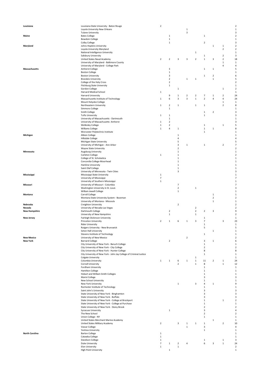| Louisiana             |                                                                    | $\mathbf 2$              |                         |                |                |                |                |                         |                | $\mathbf 2$                |
|-----------------------|--------------------------------------------------------------------|--------------------------|-------------------------|----------------|----------------|----------------|----------------|-------------------------|----------------|----------------------------|
|                       | Louisiana State University - Baton Rouge                           |                          |                         |                |                |                |                |                         |                |                            |
|                       | Loyola University New Orleans                                      |                          |                         |                | 1              |                |                |                         |                | $\mathbf 1$                |
|                       | <b>Tulane University</b>                                           |                          |                         |                | $\overline{3}$ |                |                |                         |                | 3                          |
| Maine                 | <b>Bates College</b>                                               |                          | $\mathbf 1$             |                |                |                | $\,1\,$        |                         |                | $\mathbf 2$                |
|                       | <b>Bowdoin College</b>                                             |                          | $\,1$                   |                |                |                |                |                         |                | $\mathbf 1$                |
|                       | Colby College                                                      |                          | $\mathbf{1}$            |                |                |                | $\mathbf 2$    |                         |                | 3                          |
| Maryland              | Johns Hopkins University                                           |                          |                         |                |                |                |                | $\mathbf 1$             | $\,1\,$        | $\overline{2}$             |
|                       | Loyola University Maryland                                         |                          |                         |                |                |                |                |                         | $\overline{2}$ | $\mathbf 2$                |
|                       |                                                                    |                          |                         |                |                |                |                |                         |                |                            |
|                       | National Intelligence University                                   |                          |                         |                |                | $\,1\,$        |                |                         |                | $\mathbf 1$                |
|                       | Salisbury University                                               |                          |                         |                |                |                | $\,1\,$        |                         | $\mathbf 2$    | 3                          |
|                       | United States Naval Academy                                        | $\overline{\mathbf{2}}$  | $\overline{2}$          | 3              | 3              | $\mathbf 2$    | $1\,$          | 3                       | $\overline{2}$ | 18                         |
|                       | University of Maryland - Baltimore County                          |                          |                         |                |                |                |                |                         | $\mathbf 1$    | $\mathbf{1}$               |
|                       | University of Maryland - College Park                              |                          |                         |                |                |                |                |                         | 4              | 4                          |
| <b>Massachusetts</b>  | Amherst College                                                    |                          | 3                       |                |                |                | 1              | $\mathbf{1}$            |                | 5                          |
|                       | <b>Boston College</b>                                              |                          | $\mathbf 1$             |                |                |                |                |                         |                | $\mathbf 1$                |
|                       |                                                                    |                          |                         |                |                |                |                |                         |                |                            |
|                       | <b>Boston University</b>                                           |                          | 3                       |                |                |                | 1              | $\overline{2}$          |                | 6                          |
|                       | <b>Brandeis University</b>                                         |                          | $\overline{\mathbf{2}}$ |                | $\,1\,$        | $\,1\,$        |                | $\,$ 1                  |                | 5                          |
|                       | College of the Holy Cross                                          |                          | $\overline{\mathbf{2}}$ |                |                |                |                |                         |                | $\mathbf 2$                |
|                       | <b>Fitchburg State University</b>                                  |                          | $\mathbf 1$             |                |                |                |                |                         |                | $\mathbf 1$                |
|                       | Gordon College                                                     |                          |                         | $\mathbf 1$    |                |                |                |                         | $\mathbf 1$    | $\overline{2}$             |
|                       | Harvard Medical School                                             | $\mathbf 1$              |                         |                |                |                |                |                         |                | $\mathbf 1$                |
|                       | Harvard University                                                 |                          | 9                       | $\mathbf 1$    | $\overline{2}$ | $\mathbf 2$    | $\overline{7}$ | $\mathbf 1$             | $\overline{2}$ | 24                         |
|                       |                                                                    |                          |                         |                |                |                |                |                         |                |                            |
|                       | Massachusetts Institute of Technology                              | $\mathbf 1$              | 6                       | 3              | 3              | $\,1\,$        | $\mathbf 2$    | 4                       | $\pmb{4}$      | 24                         |
|                       | Mount Holyoke College                                              |                          |                         |                |                |                |                |                         | $\mathbf 1$    | $\mathbf{1}$               |
|                       | Northeastern University                                            | $\mathbf 1$              | $\overline{2}$          | $\mathbf 1$    |                | $\mathbf{1}$   | $\mathbf{1}$   |                         | $\overline{2}$ | 8                          |
|                       | Simmons College                                                    |                          | $\mathbf{1}$            |                |                |                |                |                         |                | $\,1\,$                    |
|                       | Smith College                                                      |                          |                         |                |                |                | $1\,$          | $\overline{2}$          |                | 3                          |
|                       | <b>Tufts University</b>                                            | 1                        | $\mathbf 1$             |                |                |                | $\mathbf{1}$   |                         |                | 3                          |
|                       | University of Massachusetts - Dartmouth                            |                          |                         |                |                |                |                |                         |                | $\mathbf 1$                |
|                       |                                                                    |                          | $\mathbf 1$             |                |                |                |                |                         |                |                            |
|                       | University of Massachusetts- Amherst                               | $\mathbf{1}$             | $\overline{\mathbf{2}}$ |                |                |                |                |                         |                | 3                          |
|                       | <b>Wellesley College</b>                                           | $\mathbf 1$              | $\overline{2}$          |                |                |                | $\mathbf{1}$   |                         | $\,1\,$        | 5                          |
|                       | Williams College                                                   | $\mathbf 1$              | 4                       | $\mathbf{1}$   |                |                | $\mathbf 1$    | $\mathbf{1}$            |                | 8                          |
|                       | Worcester Polytechnic Institute                                    |                          |                         |                |                |                | $\,1\,$        |                         |                | $\mathbf 1$                |
| Michigan              | Albion College                                                     |                          |                         | $\mathbf{1}$   |                |                |                |                         |                | $\mathbf 1$                |
|                       | Hillsdale College                                                  |                          |                         | $\sqrt{4}$     |                |                |                |                         |                | 4                          |
|                       |                                                                    |                          |                         | 5              |                |                |                |                         |                | 5                          |
|                       | Michigan State University                                          |                          |                         |                |                |                |                |                         |                |                            |
|                       | University of Michigan - Ann Arbor                                 |                          |                         | 3              | $\mathbf 1$    |                | $\mathbf{1}$   |                         | $\overline{2}$ | $\overline{7}$             |
|                       | Wayne State University                                             |                          |                         | $\mathbf 2$    |                |                |                |                         |                | $\mathbf 2$                |
| Minnesota             | Augsburg University                                                |                          |                         | $\mathbf 1$    |                |                |                |                         |                | $\mathbf 1$                |
|                       | Carleton College                                                   | $\mathbf 1$              |                         | $\mathbf 1$    |                |                |                |                         |                | $\overline{2}$             |
|                       | College of St. Scholastica                                         |                          |                         | $\mathbf 1$    |                |                |                |                         |                | $\mathbf 1$                |
|                       | Concordia College-Moorhead                                         |                          |                         | $\mathbf 1$    |                |                |                |                         |                | $\mathbf 1$                |
|                       | Hamline University                                                 |                          |                         |                |                |                |                |                         |                | $\,$ 1                     |
|                       |                                                                    |                          |                         | 1              |                |                |                |                         |                |                            |
|                       | Saint Olaf College                                                 |                          |                         | $\mathbf 1$    |                |                |                |                         |                | $\mathbf 1$                |
|                       | University of Minnesota - Twin Cities                              |                          |                         | 3              |                |                |                |                         |                | 3                          |
| Mississippi           | Mississippi State University                                       | 1                        |                         |                |                |                |                |                         |                | $\mathbf 1$                |
|                       | University of Mississippi                                          | $\overline{\phantom{a}}$ |                         |                |                |                |                |                         |                | $\overline{\phantom{a}}$   |
|                       | University of Southern Mississippi                                 | $\mathbf 1$              |                         |                |                |                |                |                         |                | $\mathbf 1$                |
| Missouri              | University of Missouri - Columbia                                  |                          |                         | $\overline{7}$ |                |                |                |                         |                | $\overline{\phantom{a}}$   |
|                       |                                                                    |                          |                         |                |                |                |                |                         |                |                            |
|                       | Washington University in St. Louis                                 |                          |                         | $\mathbf 2$    |                | $\,1\,$        |                |                         |                | 3                          |
|                       | William Jewell College                                             |                          |                         | $\,1$          |                |                |                |                         |                | $\mathbf 1$                |
| Montana               | Carroll College                                                    |                          |                         |                |                |                |                | $\mathbf{1}$            |                | $\mathbf 1$                |
|                       | Montana State University System - Bozeman                          |                          |                         |                |                |                |                | $\overline{2}$          |                | $\mathbf 2$                |
|                       | University of Montana - Missoula                                   |                          |                         |                |                |                |                | $\mathbf 1$             |                | $\mathbf 1$                |
| Nebraska              | Creighton University                                               |                          |                         | $\overline{2}$ |                |                |                |                         |                | $\overline{2}$             |
| Nevada                | University of Nevada-Las Vegas                                     |                          |                         |                |                | $\mathbf 2$    |                |                         |                | $\mathbf 2$                |
|                       |                                                                    |                          |                         |                |                | $\overline{2}$ |                |                         |                | 9                          |
| <b>New Hampshire</b>  | Dartmouth College                                                  |                          | $\overline{2}$          |                |                |                | $\overline{2}$ | 3                       |                |                            |
|                       | University of New Hampshire                                        |                          | 1                       |                |                | $\mathbf{1}$   |                |                         |                | $\mathbf 2$                |
| <b>New Jersey</b>     | Fairleigh Dickinson University                                     |                          |                         |                |                |                | 1              |                         |                | $\mathbf 1$                |
|                       | Princeton University                                               | $\overline{2}$           | $\mathbf 1$             | 6              | $\mathbf 1$    | 3              | $\overline{7}$ |                         | 3              | 23                         |
|                       | <b>Rider University</b>                                            |                          |                         |                |                |                | 1              |                         |                | 1                          |
|                       | Rutgers University - New Brunswick                                 |                          |                         |                |                |                | 5              |                         |                | 5                          |
|                       | Seton Hall University                                              |                          |                         |                |                |                |                | $\mathbf{1}$            |                | $\mathbf 1$                |
|                       |                                                                    |                          |                         |                |                |                | 1              |                         |                |                            |
|                       | Stevens Institute of Technology                                    |                          |                         |                |                |                |                |                         |                | $\mathbf 1$                |
|                       |                                                                    |                          |                         |                |                |                |                |                         |                |                            |
| <b>New Mexico</b>     | University of New Mexico                                           |                          |                         |                | $\overline{2}$ |                |                |                         |                | $\mathbf 2$                |
| <b>New York</b>       | <b>Barnard College</b>                                             |                          | $\mathbf 2$             |                |                |                | 3              | $\mathbf 1$             |                | 6                          |
|                       | City University of New York - Baruch College                       |                          |                         |                |                |                | $\mathbf{1}$   |                         |                | $\,1$                      |
|                       | City University of New York - City College                         |                          |                         |                |                |                | $\overline{2}$ |                         |                | $\mathbf 2$                |
|                       |                                                                    |                          |                         |                |                |                |                |                         |                |                            |
|                       | City University of New York - Hunter College                       |                          |                         |                |                |                | 8              |                         |                | 8                          |
|                       | City University of New York - John Jay College of Criminal Justice |                          |                         |                |                |                | $1\,$          |                         |                | $\mathbf{1}$               |
|                       | Colgate University                                                 |                          |                         |                |                | 1              |                |                         |                | $\mathbf 1$                |
|                       | Columbia University                                                | $\mathbf 1$              | $\mathbf 1$             | 6              | 1              | $\mathbf{1}$   | 11             | $\overline{2}$          | $\mathbf{1}$   | 24                         |
|                       | Cornell University                                                 |                          |                         | $\mathbf 2$    |                | $\,1\,$        | 8              |                         | $\,$ 1         | 12                         |
|                       | Fordham University                                                 |                          |                         |                |                |                | $\,1\,$        |                         |                | $\,1$                      |
|                       | <b>Hamilton College</b>                                            |                          |                         |                |                |                | $\mathbf{1}$   |                         |                | $\mathbf 1$                |
|                       |                                                                    |                          |                         |                |                |                |                |                         |                |                            |
|                       | Hobart and William Smith Colleges                                  |                          |                         |                |                |                | 1              |                         |                | $\,$ 1                     |
|                       | Marist College                                                     |                          |                         |                |                |                | 3              |                         |                | 3                          |
|                       | New School University                                              |                          |                         |                |                |                | $\mathbf 1$    |                         |                | $\mathbf 1$                |
|                       | New York University                                                |                          |                         | $\mathbf 1$    |                | 3              | 4              | $\mathbf{1}$            |                | 9                          |
|                       | Rochester Institute of Technology                                  |                          |                         |                |                |                | $\,1\,$        |                         |                | $\mathbf 1$                |
|                       | Saint John's University                                            |                          |                         |                |                |                | 3              |                         |                | 3                          |
|                       | State University of New York - Binghamton                          |                          |                         |                |                |                | 3              |                         |                | 3                          |
|                       |                                                                    |                          |                         |                |                |                | 3              |                         |                |                            |
|                       | State University of New York - Buffalo                             |                          |                         |                |                |                |                |                         |                | 3                          |
|                       | State University of New York - College at Brockport                |                          |                         |                |                |                | $\mathbf{1}$   |                         | $\,1\,$        | $\mathbf 2$                |
|                       | State University of New York - College at Purchase                 |                          |                         |                |                |                | $\mathbf{1}$   |                         |                | $\mathbf{1}$               |
|                       | State University of New York - Stony Brook                         |                          |                         |                |                |                | $\overline{2}$ |                         |                | $\mathbf 2$                |
|                       | <b>Syracuse University</b>                                         |                          | $\mathbf 1$             |                |                |                | 3              |                         |                | 4                          |
|                       | The New School                                                     |                          |                         |                |                |                | $\mathbf 2$    |                         |                | $\mathbf 2$                |
|                       | Union College - NY                                                 |                          |                         |                |                |                | $\mathbf{1}$   |                         |                | $\mathbf 1$                |
|                       |                                                                    |                          |                         |                |                |                |                |                         |                |                            |
|                       | United States Merchant Marine Academy                              |                          |                         |                |                |                |                | $\mathbf 1$             |                | $\mathbf 1$                |
|                       | United States Military Academy                                     | $\overline{2}$           |                         | 3              | $\mathbf{1}$   | 1              | 1              |                         | $\overline{2}$ | 10                         |
|                       | Vassar College                                                     |                          |                         |                | $\,1\,$        |                | 3              |                         |                | 4                          |
|                       | Yeshiva University                                                 |                          |                         |                |                |                | $\,1\,$        |                         |                | $\mathbf 1$                |
| <b>North Carolina</b> | <b>Barton College</b>                                              | $\mathbf 1$              |                         |                |                |                |                |                         |                | $\mathbf 1$                |
|                       | Catawba College                                                    | $\mathbf 1$              |                         |                |                |                |                |                         |                | $\mathbf 1$                |
|                       | Davidson College                                                   | $\mathbf 1$              |                         |                |                |                | $\,1\,$        |                         | $\,$ 1         | 3                          |
|                       |                                                                    |                          |                         |                |                |                |                |                         |                |                            |
|                       | Duke University                                                    | $\overline{7}$           | $\mathbf 1$             | $\overline{2}$ | 4              |                | 6              | $\overline{\mathbf{3}}$ | $\mathbf 1$    | 24                         |
|                       | Elon University<br>High Point University                           | $\mathbf 1$              | 1                       | $\,1$          |                |                |                |                         |                | $\mathbf 2$<br>$\mathbf 1$ |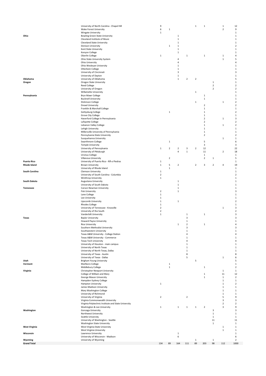|                               | University of North Carolina - Chapel Hill                 | 9                          |              |                   |                | $1\,$          | $\,1\,$        |                | $\mathbf 1$             | 12                      |
|-------------------------------|------------------------------------------------------------|----------------------------|--------------|-------------------|----------------|----------------|----------------|----------------|-------------------------|-------------------------|
|                               | Wake Forest University                                     | 6                          | $\,1\,$      |                   |                |                |                |                | $\overline{2}$          | 9                       |
|                               | <b>Wingate University</b>                                  | $\mathbf 1$                |              |                   |                |                |                |                |                         | $\,1\,$                 |
| Ohio                          | <b>Bowling Green State University</b>                      |                            |              | $\,1\,$           |                |                |                |                |                         | $\mathbf 1$             |
|                               | Cleveland Institute of Music                               |                            |              | $\,1\,$           |                |                |                |                |                         | $\,1\,$                 |
|                               | <b>Cleveland State University</b>                          |                            |              | $\,1\,$           |                |                |                |                |                         | $\mathbf{1}$            |
|                               | Denison University                                         |                            | $\mathbf{1}$ | $1\,$             |                |                |                |                |                         | $\mathbf 2$             |
|                               | Kent State University                                      |                            |              | $\,1\,$           |                |                |                |                |                         | $\,1\,$                 |
|                               | Kenyon College                                             |                            |              | $\,1\,$           |                |                |                |                |                         | $1\,$                   |
|                               | Oberlin College                                            | $\mathbf 1$                |              |                   | $\mathbf 1$    |                | $\,1\,$        |                | $\mathbf 1$             | 4                       |
|                               | Ohio State University System                               |                            |              | $\overline{4}$    |                |                |                |                | $\mathbf 1$             | 5                       |
|                               | Ohio University                                            |                            |              | $\sqrt{4}$        |                |                |                |                |                         | 4                       |
|                               | Ohio Wesleyan University                                   |                            |              | $1\,$             |                |                |                |                |                         | $1\,$                   |
|                               | Otterbein College                                          |                            |              | $1\,$<br>3        |                |                |                |                |                         | $1\,$<br>3              |
|                               | University of Cincinnati<br>University of Dayton           |                            |              | $1\,$             |                |                |                |                |                         | $\mathbf{1}$            |
| Oklahoma                      | University of Oklahoma                                     |                            |              | $1\,$             | $\overline{2}$ | $\mathbf 2$    |                |                |                         | 5                       |
| Oregon                        | Oregon State University                                    |                            |              |                   |                |                |                | $\mathbf{1}$   |                         | $\mathbf 1$             |
|                               | <b>Reed College</b>                                        |                            |              |                   |                |                |                | $\mathbf 2$    |                         | $\mathbf 2$             |
|                               | University of Oregon                                       |                            |              |                   |                |                |                | $\mathbf 2$    |                         | $\sqrt{2}$              |
|                               | Willamette University                                      |                            |              |                   |                | $\,1\,$        |                |                |                         | $\,1\,$                 |
| Pennsylvania                  | Bryn Mawr College                                          |                            |              |                   |                |                | $\mathbf{1}$   |                |                         | $\,1\,$                 |
|                               | <b>Bucknell University</b>                                 |                            |              |                   |                |                | $\,1\,$        |                |                         | $\mathbf{1}$            |
|                               | Dickinson College                                          |                            |              |                   |                | $\,1\,$        |                |                | $\mathbf 1$             | $\overline{2}$          |
|                               | Drexel University                                          |                            |              |                   |                |                | $\mathbf 2$    |                |                         | $\overline{2}$          |
|                               | Franklin & Marshall College                                |                            |              |                   |                |                | $\,1\,$        |                |                         | $\,1\,$                 |
|                               | Gettysburg College                                         |                            | $\,1\,$      |                   |                |                | $1\,$          |                |                         | $\overline{\mathbf{2}}$ |
|                               | Grove City College                                         |                            |              |                   |                |                | $1\,$          |                |                         | 1                       |
|                               | Haverford College in Pennsylvania                          |                            |              |                   |                |                | $\overline{2}$ |                | $\mathbf 1$             | 3                       |
|                               | Lafayette College                                          |                            |              |                   |                |                | $\overline{2}$ |                |                         | $\overline{2}$          |
|                               | Lebanon Valley College                                     |                            |              |                   |                |                | $1\,$          |                | $\mathbf 1$             | $\overline{2}$          |
|                               | Lehigh University                                          |                            |              |                   |                |                | 1              |                |                         | 1                       |
|                               | Millersville University of Pennsylvania                    |                            |              |                   |                |                | $1\,$          |                |                         | $\,1\,$                 |
|                               | Pennsylvania State University                              |                            |              |                   |                |                | $\overline{2}$ |                |                         | $\mathbf 2$             |
|                               | Susquehanna University                                     |                            |              |                   |                |                | 5              |                | 1                       | $\mathbf 1$             |
|                               | Swarthmore College                                         |                            | $\,1\,$      |                   |                |                | 3              |                |                         | 6<br>3                  |
|                               | <b>Temple University</b><br>University of Pennsylvania     | $\mathbf 1$                | $\mathbf 2$  | $\mathbf 2$       | 3              | $\mathbf 2$    | 12             |                |                         | 22                      |
|                               | University of Pittsburgh                                   |                            |              | $\sqrt{4}$        | $\,$ 1         |                | 11             |                | $\overline{\mathbf{c}}$ | 18                      |
|                               | Ursinus College                                            |                            |              |                   |                |                | $\,1\,$        |                |                         | $\,1\,$                 |
|                               | Villanova University                                       |                            | $\mathbf 2$  |                   |                |                | $\overline{2}$ | $\,1\,$        |                         | 5                       |
| <b>Puerto Rico</b>            | University of Puerto Rico - RÃ-o Piedras                   | $\mathbf 1$                |              |                   |                |                |                |                |                         | $\mathbf 1$             |
| <b>Rhode Island</b>           | <b>Brown University</b>                                    | $\mathbf 1$                | 5            | $\overline{2}$    |                | $\overline{2}$ | 3              | $\overline{2}$ | 4                       | 19                      |
|                               | University of Rhode Island                                 |                            | $1\,$        |                   |                |                |                |                |                         | $1\,$                   |
| <b>South Carolina</b>         | Clemson University                                         | $\mathbf 1$                |              |                   |                |                |                |                |                         | $1\,$                   |
|                               | University of South Carolina - Columbia                    | $\overline{2}$             |              |                   |                |                |                |                |                         | $\overline{2}$          |
|                               | <b>Winthrop University</b>                                 | $\mathbf 1$                |              |                   |                |                |                |                |                         | 1                       |
| South Dakota                  | Augustana University                                       |                            |              | $\mathbf{1}$      |                |                |                |                |                         | $\mathbf 1$             |
|                               | University of South Dakota                                 |                            |              | $\,1\,$           |                |                |                |                |                         | 1                       |
| Tennessee                     | Carson Newman University                                   |                            |              | $\,1\,$           |                |                |                |                |                         | $\,1\,$                 |
|                               | <b>Fisk University</b>                                     | $\mathbf 2$                |              | $\,1\,$           |                |                |                |                |                         | 3                       |
|                               | Lane College                                               | $\mathbf 1$                |              |                   |                |                |                |                |                         | $\,1\,$                 |
|                               | Lee University                                             | $\mathbf 1$                |              |                   |                |                |                |                |                         | $\mathbf{1}$            |
|                               | Lipscomb University                                        | $\mathbf 1$                |              | $\,1\,$           |                |                |                |                |                         | $\overline{2}$          |
|                               | <b>Rhodes College</b>                                      | $\mathbf 1$                |              |                   |                |                |                |                |                         | $\mathbf{1}$            |
|                               | University of Tennessee - Knoxville                        | $\mathbf 2$                |              |                   |                |                |                |                | $\mathbf 1$             | 3                       |
|                               | University of the South                                    | $\mathbf 2$<br>$\mathbf 1$ |              |                   | $\mathbf 1$    |                | $1\,$          |                |                         | $\mathbf 2$<br>3        |
| Texas                         | Vanderbilt University<br><b>Baylor University</b>          |                            |              |                   | 3              |                |                |                |                         | 3                       |
|                               | Howard Payne University                                    |                            |              |                   | $\mathbf 1$    |                |                |                |                         | $\mathbf 1$             |
|                               | <b>Rice University</b>                                     |                            |              |                   | 2              |                | 1              |                |                         | 4                       |
|                               | Southern Methodist University                              |                            |              |                   | 3              |                |                |                |                         | 3                       |
|                               | Southwestern University                                    |                            |              |                   | $\,1\,$        |                |                |                |                         | $\mathbf 1$             |
|                               | Texas A&M University - College Station                     |                            |              |                   | 4              |                |                |                |                         | 4                       |
|                               | Texas A&M University - Commerce                            |                            |              |                   | $\,1\,$        |                |                |                |                         | $\,1$                   |
|                               | <b>Texas Tech University</b>                               |                            |              |                   | 4              |                |                |                |                         | 4                       |
|                               | University of Houston - main campus                        |                            |              |                   | $\mathbf 1$    |                |                |                |                         | $\mathbf{1}$            |
|                               | University of North Texas                                  |                            |              |                   | $\mathbf 1$    |                |                |                |                         | $\mathbf 1$             |
|                               | University of North Texas, Dallas                          |                            |              |                   | $\,1\,$        |                |                |                |                         | $\,1\,$                 |
|                               | University of Texas - Austin                               |                            |              |                   | 8              |                |                |                |                         | 8                       |
|                               | University of Texas - Dallas                               |                            |              |                   | 5              |                |                |                | $\mathbf 1$             | 6                       |
| Utah                          | <b>Brigham Young University</b>                            |                            |              |                   |                | 5              |                |                |                         | 5                       |
| Vermont                       | Marlboro College                                           |                            | $1\,$        |                   |                |                |                |                |                         | $\mathbf{1}$            |
|                               | Middlebury College                                         |                            | $1\,$        |                   |                |                | $1\,$          |                | $\mathbf 1$             | $\overline{2}$<br>1     |
| Virginia                      | Christopher Newport University                             |                            |              |                   |                |                | $1\,$          |                | 11                      | 12                      |
|                               | College of William and Mary<br>George Mason University     |                            |              |                   |                |                | $1\,$          |                | $\mathbf 1$             | $\sqrt{2}$              |
|                               | Hampden-Sydney College                                     |                            |              |                   |                |                |                |                | $\mathbf 1$             | $\mathbf 1$             |
|                               | <b>Hampton University</b>                                  | $\mathbf 1$                |              |                   |                |                |                |                | $\mathbf{1}$            | $\mathbf 2$             |
|                               | James Madison University                                   |                            |              |                   |                |                |                |                | $\mathbf 1$             | 1                       |
|                               | Mary Washington College                                    |                            |              |                   |                |                |                |                | $\mathbf 1$             | $\mathbf{1}$            |
|                               | University of Richmond                                     |                            |              |                   |                |                |                |                | $\mathbf{1}$            | $1\,$                   |
|                               | University of Virginia                                     | $\mathbf 2$                |              |                   | $\overline{2}$ |                |                |                | 5                       | 9                       |
|                               | Virginia Commonwealth University                           |                            |              |                   |                |                |                |                | 3                       | 3                       |
|                               | Virginia Polytechnic Institute and State University        |                            |              |                   |                |                |                |                | $\overline{2}$          | $\overline{2}$          |
|                               | Washington & Lee University                                | $\mathbf 1$                |              | $1\,$             | $\mathbf{1}$   | $1\,$          | $\mathbf 2$    |                | 3                       | 9                       |
| Washington                    | Gonzaga University                                         |                            |              |                   |                |                |                | 3              |                         | 3                       |
|                               | Northwest University                                       |                            |              |                   |                |                |                | $1\,$          |                         | 1                       |
|                               | Seattle University                                         |                            |              |                   |                |                |                | $1\,$          |                         | $\mathbf{1}$            |
|                               | University of Washington - Seattle                         |                            |              |                   |                |                |                | 11             |                         | 11                      |
|                               | <b>Washington State University</b>                         |                            |              |                   |                |                |                | $1\,$          |                         | $\mathbf{1}$            |
| <b>West Virginia</b>          | West Virginia State University                             |                            |              |                   |                |                |                |                | $\mathbf 1$             | 1                       |
|                               | West Virginia University                                   |                            |              |                   |                |                |                |                | $\mathbf 1$             | $\mathbf 1$             |
| Wisconsin                     | Lawrence University                                        |                            |              | $\mathbf{1}$<br>6 |                |                |                |                |                         | $\,1\,$                 |
|                               | University of Wisconsin - Madison<br>University of Wyoming |                            |              |                   |                | $\mathbf{1}$   |                | $\mathbf{1}$   |                         | 6<br>$\overline{2}$     |
|                               |                                                            |                            |              |                   |                |                |                |                |                         |                         |
| Wyoming<br><b>Grand Total</b> |                                                            | 134                        | 89           | 164               | 111            | 89             | 203            | 98             | 112                     | 1000                    |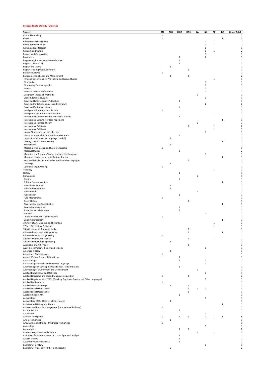#### **Proposed Field of Study - Endorsed**

| Subject                                                                                    | <b>ATL</b>   | <b>BOS</b>     | CHIG                   | HOU          | LA           | NY             | SF           | DC           | <b>Grand Total</b>               |
|--------------------------------------------------------------------------------------------|--------------|----------------|------------------------|--------------|--------------|----------------|--------------|--------------|----------------------------------|
| Arts in Filmmaking                                                                         | $\mathbf{1}$ |                |                        |              |              |                |              |              | 1                                |
| Classics                                                                                   | $\mathbf{1}$ |                |                        |              |              |                |              | 1            | $\overline{a}$                   |
| Comparative Social Policy                                                                  |              |                |                        |              |              | $\mathbf{1}$   | $\mathbf 1$  |              | $\overline{2}$                   |
| <b>Computational Biology</b>                                                               |              |                |                        |              |              | $\mathbf{1}$   |              |              | $\mathbf{1}$                     |
| Criminological Research                                                                    |              |                |                        |              |              | $\,1\,$        |              |              | $\mathbf{1}$                     |
| Criticism and Culture                                                                      |              |                |                        |              |              | $\mathbf{1}$   | $\mathbf 1$  |              | $\overline{\phantom{a}}$         |
| <b>Ecology and Conservation</b>                                                            |              |                |                        |              |              | $\mathbf{1}$   |              |              | $\overline{1}$                   |
| Economics                                                                                  |              |                | $\mathbf{1}$           |              |              | $\overline{2}$ |              |              | 3                                |
| Engineering for Sustainable Development<br>English (1830-1914)                             |              |                | $\mathbf 1$<br>$\,1\,$ |              |              |                |              |              | $\overline{1}$<br>$\overline{1}$ |
| English and Drama                                                                          |              | $\mathbf{1}$   |                        |              |              |                |              |              |                                  |
| English Studies (Medieval Period)                                                          |              |                |                        | $\,$ 1       |              |                |              |              | $\mathbf{1}$                     |
| Entreprenuership                                                                           | 1            |                |                        |              |              |                |              |              | $\mathbf{1}$                     |
| <b>Environmental Change and Management</b>                                                 |              | $\mathbf{1}$   |                        | $\,$ 1       |              |                |              |              | 2                                |
| Film and Screen Studies/PhD in Film and Screen Studies                                     |              |                |                        |              |              |                | $\mathbf 1$  |              | $\overline{1}$                   |
| Film Studies                                                                               |              |                |                        |              |              | 1              |              |              | $\mathbf{1}$                     |
| Filmmaking Cinematography                                                                  |              |                |                        |              |              | 1              |              |              | $\mathbf{1}$                     |
| Fine Art                                                                                   |              |                |                        |              |              | $\mathbf{1}$   |              |              | $\overline{1}$                   |
| Fine Arts - Dance Performance                                                              |              |                |                        |              |              | 1              |              |              | $\mathbf{1}$                     |
| Geography (Research Methods)                                                               |              |                |                        |              | 1            |                |              |              | $\mathbf{1}$                     |
| Greek & Latin Languages                                                                    |              |                |                        |              |              | 1              |              |              | $\overline{1}$                   |
| Greek and Latin Language/Literature                                                        |              |                | $\mathbf{1}$           |              |              |                |              |              | $\mathbf{1}$                     |
| Greek and/or Latin Languages and Literature                                                |              |                |                        |              |              | $\overline{2}$ |              |              | 2                                |
| Greek and/or Roman History                                                                 |              |                | $\mathbf 1$            |              |              |                |              |              | $\overline{1}$                   |
| Intelligence & International Security                                                      | $\mathbf{1}$ |                |                        |              |              |                |              |              | $\overline{1}$                   |
| Intelligence and International Security<br>International Communication and Media Studies   |              |                | $\mathbf 1$            |              |              |                | $\,1$        |              | $\mathbf{1}$<br>$\overline{1}$   |
| International Cultural Heritage nagement                                                   |              |                |                        |              |              |                |              | $\mathbf 1$  | $\overline{1}$                   |
| International Political Theory                                                             |              |                |                        |              | $\mathbf{1}$ |                |              |              | $\mathbf{1}$                     |
| <b>International Relations</b>                                                             |              |                |                        | $\mathbf{1}$ |              |                | $\,1$        |              | $\overline{\phantom{a}}$         |
| <b>International Relations</b>                                                             |              |                |                        |              |              |                | $\mathbf 1$  |              | $\overline{1}$                   |
| Iranian Studies and Intensive Persian                                                      |              |                |                        |              |              | $\mathbf{1}$   |              |              | $\mathbf{1}$                     |
| Islamic Intellectual History and Intensive Arabic                                          |              |                | $\,$ 1                 |              |              |                |              |              | $\overline{1}$                   |
| Linguistics and Intensive Language (Swahili)                                               |              | 1              |                        |              |              |                |              |              | $\mathbf{1}$                     |
| Literary Studies: Critical Theory                                                          |              |                |                        |              |              |                |              | 1            |                                  |
| Mathematics                                                                                |              | $\mathbf 1$    |                        |              |              |                |              |              | $\mathbf{1}$                     |
| Medical Device Design and Entrepreneurship                                                 | $\mathbf 1$  |                |                        |              |              |                |              |              |                                  |
| <b>Medieval Studies</b>                                                                    |              |                | $\mathbf 2$            |              |              |                |              |              |                                  |
| Migration and Diaspora Studies and Intensive Language                                      |              |                |                        |              |              | $\mathbf{1}$   |              |              | $\overline{1}$                   |
| Museums, Heritage and terial Culture Studies                                               |              |                |                        |              |              |                |              | $\mathbf 1$  | $\mathbf{1}$                     |
| Near and Middle Eastern Studies and Intensive Languages                                    |              |                |                        | $\mathbf{1}$ |              |                |              |              |                                  |
| Oncology                                                                                   |              | $\,1\,$        |                        |              |              |                |              |              | $\mathbf{1}$                     |
| Opera Making & Writing                                                                     | $\mathbf{1}$ |                |                        |              |              |                |              |              |                                  |
| Theology                                                                                   |              |                |                        |              |              |                | $\mathbf 1$  |              |                                  |
| History                                                                                    |              |                | $\mathbf 1$            |              |              |                |              |              | $\mathbf{1}$                     |
| Criminology                                                                                |              |                |                        |              | $\mathbf{1}$ |                |              |              | $\mathbf{1}$                     |
| Physics<br><b>Political Communications</b>                                                 |              |                | $\mathbf{1}$           |              |              |                |              | $\,$ 1       | $\mathbf{1}$                     |
| <b>Postcolonial Studies</b>                                                                |              | $\mathbf{1}$   |                        |              |              |                |              |              | $\mathbf{1}$                     |
| <b>Public Administration</b>                                                               |              | $\mathbf 1$    |                        |              |              |                |              |              | 1                                |
| Public Health                                                                              |              |                |                        |              | $\,1\,$      |                |              |              | $\mathbf{1}$                     |
| <b>Public Policy</b>                                                                       |              |                | $\mathbf{1}$           |              |              |                |              |              |                                  |
| Pure Mathematics                                                                           | $\,$ 1       |                |                        |              |              |                |              |              |                                  |
| Queer History                                                                              |              |                |                        | $\mathbf{1}$ |              |                |              |              | $\mathbf{1}$                     |
| Race, Media, and Social Justice                                                            |              |                |                        |              |              |                |              | $\mathbf 1$  | $\mathbf{1}$                     |
| Research Architecture                                                                      |              |                | $\mathbf{1}$           |              |              |                |              |              | $\mathbf{1}$                     |
| Social Justice in Education                                                                |              |                | $\mathbf{1}$           |              |              |                |              |              | $\overline{1}$                   |
| <b>Statistics</b>                                                                          |              |                |                        |              |              | $\,1\,$        |              |              |                                  |
| United Nations and Diplotic Studies                                                        | $\mathbf 1$  |                |                        |              |              |                |              |              |                                  |
| Visual Anthropology                                                                        |              |                |                        |              |              |                |              | $\,$ 1       | $\mathbf{1}$                     |
| : History of Art, Medieval and Byzantine                                                   |              |                |                        |              |              |                | $\mathbf 1$  |              | $\mathbf{1}$                     |
| 17th - 18th-century British Art                                                            |              |                |                        |              |              |                | $\mathbf 1$  |              | $\mathbf{1}$<br>$\overline{1}$   |
| 18th Century and Romantic Studies                                                          |              |                |                        | $\mathbf{1}$ |              |                |              |              | $\overline{2}$                   |
| <b>Advanced Aeronautical Engineering</b><br><b>Advanced Chemical Engineering</b>           | $\,$ 1       |                |                        | $\mathbf 1$  |              |                |              | $\,1\,$      | $\mathbf{1}$                     |
| <b>Advanced Computer Science</b>                                                           |              |                |                        | $\mathbf{1}$ |              |                | $\mathbf 1$  |              | $\overline{2}$                   |
| <b>Advanced Structural Engineering</b>                                                     |              | 1              |                        |              |              |                |              |              | 1                                |
| Aesthetics and Art Theory                                                                  |              |                |                        | 1            |              |                |              |              | $\mathbf{1}$                     |
| Algal Biotechnology, Biology and Ecology                                                   |              |                |                        |              |              | $\mathbf{1}$   |              |              | $\mathbf{1}$                     |
| American History                                                                           |              | 1              |                        |              |              |                |              |              | $\mathbf{1}$                     |
| Animal and Plant Sciences                                                                  | $\mathbf 1$  |                |                        |              |              |                |              |              | $\mathbf{1}$                     |
| Animal Welfare Science, Ethics & Law                                                       |              |                | $\mathbf 1$            |              |              |                |              |              | 1                                |
| Anthropology                                                                               |              |                | $\mathbf 1$            |              |              | $\mathbf{1}$   |              |              | $\overline{2}$                   |
| Anthropology in Media and Intensive Language                                               |              |                |                        |              |              | $\mathbf 1$    |              |              | $\mathbf{1}$                     |
| Anthropology of Development and Social Transformation                                      |              |                | $\mathbf 1$            |              |              |                |              |              | $\mathbf{1}$                     |
| Anthropology, Environment and Development                                                  |              |                |                        |              | 1            |                |              |              | $\mathbf{1}$                     |
| Applied Data Science and Statistics<br>Applied Linguistics and Second Language Acquisition | $\mathbf 1$  |                |                        | $\mathbf 1$  |              | $\mathbf{1}$   |              |              | $\mathbf{1}$<br>$\overline{2}$   |
| Applied Linguistics with TESOL (Teaching English to Speakers of Other Languages)           |              |                |                        |              |              | 1              |              |              | 1                                |
| <b>Applied Mathematics</b>                                                                 | $\mathbf 1$  |                |                        |              |              |                |              |              | $\mathbf{1}$                     |
| <b>Applied Security Strategy</b>                                                           |              | $\,1\,$        |                        | $\,$ 1       |              |                |              |              | $\overline{2}$                   |
| Applied Social Data Science                                                                |              |                |                        | $\mathbf{1}$ | 1            | $\mathbf{1}$   |              |              | $\overline{\mathbf{3}}$          |
| Applied Social Data Science                                                                |              |                |                        | 1            |              |                |              |              | $\mathbf{1}$                     |
| Applied Theatre, MA                                                                        |              |                | $\mathbf 1$            |              |              |                |              |              | $\mathbf{1}$                     |
| Archaeology                                                                                |              |                |                        |              |              | 1              |              |              | $\mathbf{1}$                     |
| Archaeology of the Classical Mediterranean                                                 |              | $\mathbf{1}$   |                        |              |              |                |              |              | $\mathbf{1}$                     |
| Architectural History and Theory                                                           |              |                |                        |              |              |                |              | $\,$ 1       | $\mathbf{1}$                     |
| Archives and Records Management (International Pathway)                                    | $\mathbf 1$  |                |                        |              |              |                |              |              | $\mathbf{1}$                     |
| Art and Politics                                                                           |              |                | $\mathbf{1}$           |              |              |                |              |              | $\mathbf{1}$                     |
| Art History                                                                                |              |                |                        |              |              | 1              |              |              | $\mathbf{1}$                     |
| Artificial Intelligence                                                                    | 1            |                | $\mathbf{1}$           | $\mathbf{1}$ |              | $\mathbf{1}$   | $\mathbf{1}$ | $\mathbf{1}$ | 6                                |
| Arts & Humanities                                                                          |              | $\mathbf{1}$   |                        |              |              |                |              |              | $\mathbf{1}$                     |
| Arts, Culture and Media - MA Digital Humanities                                            | $\mathbf 1$  |                |                        |              |              | $\mathbf{1}$   |              |              | $\mathbf{1}$<br>$\mathbf{1}$     |
| Assyriology                                                                                |              |                |                        |              |              |                |              |              | $\overline{2}$                   |
| Astrophysics<br>Atmosphere, Oceans and Climate                                             |              |                | $\mathbf{1}$           | 1            | 1            |                | $\mathbf 1$  |              | $\overline{2}$                   |
| Attitudes of a School Shooter: A Corpus Appraisal Analysis                                 |              |                | 1                      |              |              |                |              |              | $\mathbf{1}$                     |
| <b>Autism Studies</b>                                                                      |              |                | $\mathbf{1}$           |              |              |                |              |              | $\mathbf{1}$                     |
| Automotive Journalism MA                                                                   |              |                | 1                      |              |              |                |              |              | $\,$ 1                           |
| Bachelor of Civil Law                                                                      |              |                |                        |              |              | $\mathbf{1}$   |              |              | 1                                |
| Bachelor of Philosophy (BPhil) in Philosophy                                               |              | $\overline{2}$ |                        |              |              |                |              |              | $\overline{2}$                   |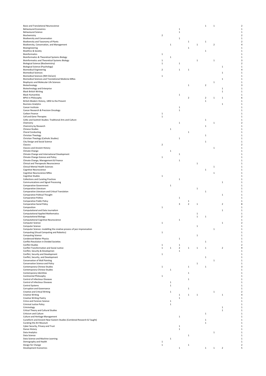| Basic and Translational Neuroscience                                             |                             |             |                                         |                |              | $\,1\,$        | $\,$ 1                  |                         |
|----------------------------------------------------------------------------------|-----------------------------|-------------|-----------------------------------------|----------------|--------------|----------------|-------------------------|-------------------------|
| <b>Behavioural Economics</b>                                                     |                             |             | 1                                       |                |              |                |                         |                         |
| <b>Behavioural Science</b>                                                       |                             |             | $\,1\,$                                 |                |              |                |                         |                         |
| Biochemistry                                                                     | $\overline{2}$              |             |                                         |                |              |                |                         |                         |
| <b>Biodiversity and Conservation</b><br>Biodiversity and Taxonomy of Plants      |                             |             | $\mathbf{1}$                            | 1              |              | $\mathbf{1}$   |                         |                         |
| Biodiversity, Conservation, and Management                                       |                             | 1           |                                         |                | $\,1\,$      |                | $\overline{\mathbf{2}}$ |                         |
| Bioengineering                                                                   |                             |             |                                         | $\mathbf 1$    |              |                |                         |                         |
| <b>Bioethics &amp; Society</b>                                                   |                             |             |                                         |                |              | $\mathbf{1}$   |                         |                         |
| <b>Bioinformatics</b>                                                            | $\mathbf{1}$                |             |                                         |                |              |                |                         |                         |
| Bioinformatics & Theoretical Systems Biology                                     |                             | $\mathbf 1$ |                                         |                |              |                |                         |                         |
| Bioinformatics and Theoretical Systems Biology                                   | $\mathbf{1}$                |             |                                         |                | $\mathbf 1$  |                | $\,1\,$                 |                         |
| Biological Science (Biochemistry)                                                | $\mathbf{1}$                |             | 1                                       |                |              |                |                         |                         |
| <b>Biological Science (Psychology)</b>                                           |                             |             |                                         |                |              |                |                         | $\mathbf 1$             |
| <b>Biomedical Engineering</b>                                                    | $\mathbf 2$                 |             | $\mathbf{1}$                            | $\,1\,$        |              |                |                         |                         |
| <b>Biomedical Sciences</b><br><b>Biomedical Sciences (NIH OxCam)</b>             |                             |             |                                         |                |              |                |                         | $\mathbf{1}$            |
| Biomedical Sciences and Translational Medicine MRes                              | $\mathbf{1}$                |             |                                         |                |              |                |                         | $\mathbf{1}$            |
| Biophysics and Molecular Life Sciences                                           |                             |             |                                         |                |              |                | 1                       |                         |
| Biotechnology                                                                    |                             |             |                                         | $\,1\,$        |              | $\mathbf 2$    |                         |                         |
| <b>Biotechnology and Enterprise</b>                                              |                             |             |                                         |                |              |                |                         | $\mathbf{1}$            |
| <b>Black British Writing</b>                                                     |                             |             |                                         |                |              |                |                         | 1                       |
| <b>Black Humanities</b>                                                          |                             |             | $\mathbf{1}$                            |                |              |                |                         |                         |
| <b>BPhil in Philosophy</b>                                                       |                             |             |                                         | $\overline{2}$ |              | $\overline{2}$ | 1                       | $\mathbf{1}$            |
| British Modern History, 1850 to the Present                                      |                             |             |                                         |                |              | $\,1\,$        |                         |                         |
| <b>Business Analytics</b>                                                        |                             |             |                                         |                |              |                |                         | $\,1$                   |
| Cancer Institute                                                                 |                             |             | 1                                       |                |              |                |                         |                         |
| Cancer Research & Precision Oncology                                             |                             |             | $\mathbf{1}$                            |                |              |                |                         |                         |
| Carbon Finance                                                                   | $\mathbf{1}$                |             |                                         |                |              |                |                         |                         |
| Cell and Gene Therapies                                                          | $\,1\,$                     |             |                                         |                |              |                |                         |                         |
| Celtic and Scottish Studies: Traditional Arts and Culture                        |                             |             |                                         |                |              | $\mathbf{1}$   |                         |                         |
| Chemistry                                                                        |                             |             | $\mathbf{1}$                            |                |              |                | 1                       |                         |
| Chemistry by Research                                                            |                             |             |                                         |                |              | $\mathbf{1}$   |                         |                         |
| <b>Chinese Studies</b>                                                           |                             | $\mathbf 1$ |                                         |                |              |                |                         |                         |
| <b>Choral Conducting</b><br>Christian Theology                                   |                             |             |                                         | 1              |              | 1              |                         |                         |
| Christian Theology (Catholic Studies)                                            |                             |             | $\mathbf{1}$                            |                |              |                |                         |                         |
| City Design and Social Science                                                   |                             |             |                                         |                |              | $\mathbf{1}$   |                         |                         |
| Classics                                                                         | $\mathbf 2$                 |             |                                         |                |              |                |                         |                         |
| <b>Classics and Ancient History</b>                                              |                             |             |                                         |                |              |                | 1                       |                         |
| Climate Change                                                                   |                             | $\mathbf 1$ |                                         |                |              |                |                         |                         |
| Climate Change and International Development                                     |                             |             | $\mathbf{1}$                            |                |              |                |                         |                         |
| Climate Change Science and Policy                                                | $\mathbf{1}$                |             |                                         |                |              |                |                         |                         |
| Climate Change, Management & Finance                                             |                             |             | $\mathbf{1}$                            |                |              |                |                         |                         |
| Clinical and Therapeutic Neuroscience                                            |                             |             |                                         |                | $\,1$        |                |                         |                         |
| Clinical Mental Health Sciences                                                  |                             |             |                                         |                |              |                | 1                       |                         |
| Cognitive Neuroscience                                                           |                             |             |                                         |                |              | $\mathbf{1}$   |                         |                         |
| Cognitive Neuroscience MRes                                                      |                             |             |                                         |                |              |                | $\,1\,$                 |                         |
| <b>Cognitive Studies</b>                                                         | 1                           |             |                                         |                |              |                |                         |                         |
| <b>Collections and Curating Practices</b>                                        |                             |             | $\,$ 1                                  |                |              |                |                         |                         |
| Communications and Signal Processing                                             |                             |             |                                         |                |              |                |                         | $\,1$                   |
| <b>Comparative Government</b>                                                    |                             | 1           |                                         |                |              |                |                         |                         |
| Comparative Literature                                                           |                             |             |                                         |                | $\,1\,$      |                |                         |                         |
| Comparative Literature and Critical Translation<br>Comparative Political Thought |                             |             |                                         |                |              | $\mathbf{1}$   |                         | $\mathbf{1}$            |
| <b>Comparative Politics</b>                                                      |                             |             | $\mathbf{1}$                            |                |              |                |                         |                         |
| Comparative Public Policy                                                        |                             |             |                                         | $\,$ 1         |              |                |                         |                         |
| <b>Comparative Social Policy</b>                                                 |                             |             | 3                                       | $\overline{2}$ | 1            |                |                         | $\overline{2}$          |
| Composition                                                                      | $\mathbf{1}$                |             |                                         |                |              |                |                         |                         |
| Computational and Data Journalism                                                |                             |             |                                         |                |              |                |                         | $\mathbf{1}$            |
| <b>Computational Applied Mathematics</b>                                         |                             |             |                                         |                | $\mathbf{1}$ |                |                         |                         |
| <b>Computational Biology</b>                                                     |                             |             |                                         |                | $\mathbf 1$  | $\mathbf 1$    |                         |                         |
| Computational Cognitive Neuroscience                                             |                             |             | 1                                       |                |              |                |                         |                         |
| Computer Science                                                                 | 1                           |             |                                         |                |              |                |                         | $\,1$                   |
| Computer Science                                                                 |                             |             |                                         |                | $\mathbf 1$  |                |                         |                         |
| Computer Science: modelling the creative process of jazz improvisation           |                             |             |                                         |                |              |                | 1                       |                         |
| Computing (Visual Computing and Robotics)                                        | $\mathbf{1}$                |             |                                         |                |              |                |                         |                         |
| <b>Computing Science</b>                                                         |                             |             |                                         |                | $\mathbf 1$  |                |                         |                         |
| <b>Condensed Matter Physics</b>                                                  |                             |             | $\mathbf{1}$                            |                |              |                |                         |                         |
| Conflict Resolution in Divided Societies                                         |                             |             |                                         |                |              | $\mathbf 1$    |                         |                         |
| <b>Conflict Studies</b>                                                          | $\mathbf{1}$<br>$\mathbf 1$ | $\mathbf 1$ | $\mathbf{1}$<br>$\overline{\mathbf{2}}$ | $\,1\,$        |              |                |                         |                         |
| Conflict Transformation and Social Justice                                       |                             |             |                                         |                | $\,1\,$      | 1              |                         | $\mathbf 2$             |
| Conflict, Security & Developmen<br>Conflict, Security and Development            | $\mathbf 1$                 |             | $\,$ 1                                  |                |              |                |                         |                         |
| Conflict, Security, and Development                                              |                             |             |                                         |                |              | 1              |                         |                         |
| Conservation of Wall Painting                                                    |                             |             |                                         |                |              |                | 1                       |                         |
| Conservation Science and Policy                                                  |                             |             |                                         |                | 1            |                |                         |                         |
| Contemporary Chinese Studies                                                     | $\mathbf{1}$                |             |                                         | $\mathbf{1}$   |              | $\mathbf{1}$   |                         |                         |
| Contemporary Chinese Studies                                                     |                             | $\mathbf 1$ |                                         |                |              |                |                         |                         |
| Contemporary Identities                                                          |                             |             |                                         | $\mathbf 1$    |              |                |                         |                         |
| Continental Philosophy                                                           | $\mathbf{1}$                |             |                                         |                |              |                |                         |                         |
| Control of Infectious Diseases                                                   |                             |             |                                         | 1              |              |                |                         |                         |
| Control of Infectious Diseases                                                   |                             | 1           |                                         |                |              |                |                         |                         |
| Control Systems                                                                  |                             | $\,1$       |                                         |                |              |                |                         |                         |
| Corruption and Governance                                                        |                             |             |                                         | $\mathbf{1}$   |              |                |                         |                         |
| Creative and Critical Writing                                                    |                             | 1           |                                         |                |              |                | 1                       |                         |
| <b>Creative Writing</b>                                                          |                             |             | $\mathbf{1}$                            | 1              | 1            |                |                         | $\mathbf 1$             |
| <b>Creative Writing Poetry</b>                                                   |                             |             | $\mathbf{1}$                            |                |              |                |                         |                         |
| Crime and Forensic Science                                                       |                             | 1           |                                         |                |              |                |                         |                         |
| Criminal Justice Policy                                                          |                             | $\mathbf 1$ |                                         |                |              |                |                         |                         |
| Criminology                                                                      |                             |             |                                         |                |              |                |                         | $\mathbf{1}$<br>$\,1\,$ |
| Critical Theory and Cultural Studies<br>Criticism and Culture                    |                             |             |                                         |                |              | $\mathbf{1}$   |                         |                         |
| Culture and Heritage Management                                                  |                             |             | $\mathbf{1}$                            |                |              |                |                         |                         |
| Cuneiform and Ancient Near Eastern Studies (Combined Research & Taught)          |                             |             |                                         |                |              | $\mathbf{1}$   |                         |                         |
| Curating the Art Museum                                                          |                             |             |                                         |                |              | $\mathbf{1}$   |                         |                         |
| Cyber Security, Privacy and Trust                                                |                             |             | $\mathbf{1}$                            |                |              |                |                         |                         |
| Dance History                                                                    |                             |             | $\,$ 1                                  |                |              |                |                         |                         |
| Data Analytics                                                                   |                             |             |                                         |                |              |                | 1                       |                         |
| Data Science                                                                     |                             |             |                                         | $\mathbf{1}$   |              |                |                         |                         |
| Data Science and Machine Learning                                                |                             | $\mathbf 1$ |                                         |                |              |                |                         |                         |
| Demography and Health                                                            | 1                           |             |                                         |                |              |                |                         |                         |
| Design for Change                                                                | $\mathbf{1}$                |             |                                         | $\mathbf 1$    |              |                |                         |                         |
|                                                                                  |                             |             | $\mathbf{1}$                            |                |              | 1              | 1                       | $\overline{2}$          |
| Development Economics                                                            |                             |             |                                         |                |              |                |                         |                         |

2 1

1 1

 $\frac{1}{3}$ 

1

6 1

1

1

1 1

 $\begin{array}{c} 1 \\ 1 \\ 1 \end{array}$ 

1

1

1

 $\overline{1}$ 

1

 $\begin{array}{c} 1 \\ 1 \\ 1 \end{array}$ 

1 8

 $\begin{array}{c} 1 \\ 1 \\ 1 \end{array}$ 

1 2

 $\begin{array}{c} 1 \\ 1 \\ 1 \end{array}$ 

 $\begin{array}{c} 1 \\ 1 \\ 1 \end{array}$ 

1

3 1

 $\begin{array}{c} 1 \\ 1 \\ 1 \end{array}$ 

4 1

1

1 1

1<br>1<br>1<br>1<br>1<br>2<br>5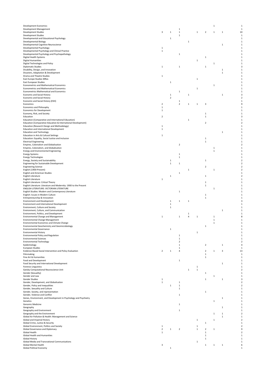| Development Economics                                                                                                |                |                              |                |              |              | $\mathbf{1}$        |              |    |
|----------------------------------------------------------------------------------------------------------------------|----------------|------------------------------|----------------|--------------|--------------|---------------------|--------------|----|
| Development Management<br>Development Studies                                                                        | 3              | 1                            | 1<br>1         |              | $\mathbf{1}$ | $\overline{2}$<br>1 | 1            | 1( |
| Development Studies                                                                                                  |                |                              | $\mathbf{1}$   |              |              |                     |              |    |
| Developmental and Educational Psychology                                                                             |                | 1                            |                |              |              |                     |              |    |
| Developmental Biology                                                                                                |                |                              |                | $\mathbf{1}$ |              |                     |              |    |
| Developmental Cognitive Neuroscience                                                                                 |                |                              |                |              |              |                     | $\mathbf{1}$ |    |
| Developmental Psychology                                                                                             | $\mathbf 1$    |                              |                |              |              |                     |              |    |
| Developmental Psychology and Clinical Practice                                                                       | $\mathbf{1}$   |                              |                |              |              |                     |              |    |
| Developmental Psychology and Psychopathology                                                                         |                |                              | $\mathbf{1}$   |              |              |                     |              |    |
| Digital Health Systems<br>Digital Humanities                                                                         |                |                              |                |              | 1            | 1                   |              |    |
| Digital Technologies and Policy                                                                                      |                |                              |                |              |              | $\mathbf{1}$        |              |    |
| Diplomatic Studies                                                                                                   | $\mathbf 1$    |                              | 1              |              |              | $\mathbf{1}$        |              |    |
| Disability, Design, and Innovation                                                                                   |                |                              |                |              |              |                     | $\mathbf{1}$ |    |
| Disasters, Adaptation & Development                                                                                  |                |                              |                |              |              |                     | $\mathbf{1}$ |    |
| Drama and Theatre Studies                                                                                            | $\mathbf 1$    |                              |                |              |              |                     |              |    |
| East Europe Studies MRes                                                                                             |                |                              |                |              | $\mathbf{1}$ |                     |              |    |
| East European Studies                                                                                                |                | $\,1\,$                      |                |              |              |                     |              |    |
| Econometrics and Mathematical Economics<br>Econometrics and Mathematical Economics                                   |                |                              |                |              | $\mathbf{1}$ | $\mathbf{1}$        |              |    |
| Econometrics Mathematical and Economics                                                                              |                |                              | $\mathbf{1}$   |              |              |                     |              |    |
| Economic and Social History                                                                                          |                | $\mathbf{1}$                 |                | $\mathbf{1}$ |              |                     | $\mathbf{1}$ |    |
| Economic and Social History                                                                                          |                | $\overline{2}$               |                |              |              |                     |              |    |
| Economic and Social History (ESH)                                                                                    |                |                              | 1              |              |              |                     |              |    |
| Economics                                                                                                            | $\overline{2}$ |                              | $\overline{2}$ | $\mathbf{1}$ | $\mathbf{1}$ | 3                   |              |    |
| Economics and Philosophy                                                                                             | $\mathbf{1}$   |                              |                |              |              |                     |              |    |
| Economics for Development                                                                                            | $\mathbf{1}$   |                              |                |              |              |                     |              |    |
| Economy, Risk, and Society                                                                                           |                |                              |                |              |              | 1                   |              |    |
| Education                                                                                                            | $\overline{2}$ |                              |                |              |              | 1                   |              |    |
| Education (Comparative and International Education)<br>Education (Comparative Education & International Development) |                |                              |                | $\mathbf 1$  |              |                     |              |    |
| Education (Research Design and Methodology)                                                                          | $\mathbf{1}$   |                              |                |              |              | $\mathbf 2$         |              |    |
| Education and International Development                                                                              | $\mathbf{1}$   |                              |                |              |              |                     |              |    |
| <b>Education and Technology</b>                                                                                      |                |                              |                |              |              |                     | $\mathbf{1}$ |    |
| Education in Arts & Cultural Settings                                                                                | $\mathbf 1$    |                              |                |              |              |                     |              |    |
| Education: Equality, Social Justice and Inclusion                                                                    |                |                              |                |              |              | $\mathbf{1}$        |              |    |
| <b>Electrical Engineering</b>                                                                                        |                |                              |                |              |              | $\,1\,$             |              |    |
| Empires, Colonialism and Globalisation                                                                               |                |                              | $\overline{2}$ |              |              |                     |              |    |
| Empires, Colonialism, and Globalisation                                                                              |                |                              |                |              |              | 1                   |              |    |
| Energy and Environmental Engineering                                                                                 |                |                              |                |              |              | $\mathbf 1$         |              |    |
| <b>Energy Systems</b>                                                                                                |                |                              | 1              |              |              |                     |              |    |
| <b>Energy Technologies</b>                                                                                           |                |                              | 1              |              |              |                     |              |    |
| Energy, Society and Sustainability<br>Engineering for Sustainable Development                                        |                | $\mathbf{1}$<br>$\mathbf 1$  | 1              |              |              | 1                   |              |    |
| <b>Engineering Science</b>                                                                                           |                |                              |                |              |              | $\mathbf 2$         |              |    |
| English (1900-Present)                                                                                               |                |                              |                | $\mathbf{1}$ |              | $\mathbf 1$         |              |    |
| <b>English and American Studies</b>                                                                                  |                |                              | 1              |              |              |                     |              |    |
| English Literature                                                                                                   |                | $\mathbf{1}$                 |                |              |              | $\mathbf{1}$        |              |    |
| English Literature                                                                                                   | $\mathbf 1$    |                              |                |              |              |                     |              |    |
| English Literature: Critical Theory                                                                                  |                |                              |                |              |              | 1                   |              |    |
| English Literature: Literature and Modernity: 1900 to the Present                                                    |                |                              |                |              |              | $\mathbf{1}$        |              |    |
| ENGLISH LITERATURE: VICTORIAN LITERATURE                                                                             |                |                              |                |              |              | 1                   |              |    |
| English Studies: Modern and Contemporary Literature                                                                  |                |                              | 1              |              |              |                     |              |    |
| English: Issues in Modern Culture                                                                                    |                |                              |                |              |              | $\mathbf{1}$        |              |    |
| Entrepreneurship & Innovation<br><b>Environment and Development</b>                                                  |                |                              |                |              |              | 1                   |              |    |
| Environment and International Development                                                                            |                | 1                            | 1              | $\mathbf 1$  |              |                     |              |    |
| Environment, Culture and Society                                                                                     |                | $\mathbf{1}$<br>$\mathbf{1}$ |                |              |              |                     |              |    |
| Environment, Culture, and Communication                                                                              |                |                              |                |              |              |                     | $\mathbf 1$  |    |
| Environment, Politics, and Development                                                                               |                |                              |                | $\mathbf{1}$ |              |                     |              |    |
| Environmental Change and Management                                                                                  | $\,$ 1         |                              | $\mathbf{1}$   | 4            | $\,1\,$      | 1                   |              |    |
| Environmental Change Management                                                                                      |                |                              |                |              |              | $\mathbf 1$         |              |    |
| <b>Environmental Economics and Climate Change</b>                                                                    |                |                              |                |              |              | $\mathbf 1$         |              |    |
| Environmental Geochemistry and Geomicrobiology                                                                       |                |                              |                |              |              | 1                   |              |    |
| <b>Environmental Governance</b>                                                                                      |                | $\mathbf 1$                  |                |              |              |                     |              |    |
| <b>Environmental History</b>                                                                                         |                |                              |                |              | $\mathbf 1$  |                     |              |    |
| Environmental Policy and Regulation                                                                                  |                |                              | 1              |              |              |                     |              |    |
| <b>Environmental Sciences</b>                                                                                        |                |                              | 1              |              |              |                     |              |    |
| Environmental Technology<br>Epidemiology                                                                             |                |                              | 2<br>1         |              |              | $\overline{2}$      | $\mathbf{1}$ |    |
| European Studies                                                                                                     |                |                              | 1              |              |              |                     |              |    |
| Evidence-Based Social Intervention and Policy Evaluation                                                             | $\overline{2}$ | $\mathbf{1}$                 | 4              |              |              | $\overline{2}$<br>1 | 3            | 13 |
| Filmmaking                                                                                                           |                |                              |                |              |              | 1                   |              |    |
| Fine Art & Humanities                                                                                                |                |                              |                |              |              | 1                   |              |    |
| Food and Development                                                                                                 |                |                              | $\mathbf{1}$   |              |              |                     |              |    |
| Food Security and International Development                                                                          |                |                              |                |              |              |                     | 1            |    |
| <b>Forensic Linguistics</b><br>Gatsby Computational Neuroscience Unit                                                |                |                              |                |              | 1            |                     |              |    |
| Gender (Sexuality)                                                                                                   |                |                              |                | $\mathbf{1}$ | $\mathbf{1}$ | 1                   |              |    |
| Gender and Law                                                                                                       |                |                              |                |              |              | 1                   |              |    |
| Gender Studies                                                                                                       | $\mathbf{1}$   |                              |                |              |              | $\mathbf{1}$        | 1            |    |
| Gender, Development, and Globalisation                                                                               | $\,1\,$        |                              | 1              |              |              |                     |              |    |
| Gender, Policy and Inequalities                                                                                      |                | $\mathbf{1}$                 | 1              |              |              |                     |              |    |
| Gender, Sexuality and Culture                                                                                        |                |                              | 1              |              |              |                     |              |    |
| Gender, Society, and representation                                                                                  |                |                              |                |              |              | 1                   |              |    |
| Gender, Violence and Conflict                                                                                        |                |                              | 1              |              |              |                     |              |    |
| Genes, Environment, and Development in Psychology and Psychiatry                                                     |                |                              |                |              |              |                     | 1            |    |
| Genetics                                                                                                             |                |                              |                |              |              | 1                   |              |    |
| Genomic Medicine                                                                                                     |                |                              | 1              |              |              |                     |              |    |
| Geography<br>Geography and Environment                                                                               |                |                              | 1              |              |              |                     | $\mathbf{1}$ |    |
| Geography and the Environment                                                                                        |                |                              |                |              |              | 1                   | 1            |    |
| Global Air Pollution & Health: Management and Science                                                                |                |                              |                |              |              |                     | $\mathbf{1}$ |    |
| Global and Imperial History                                                                                          |                |                              |                |              | $\mathbf{1}$ | 1                   |              |    |
| Global Crime, Justice & Security                                                                                     |                |                              |                |              |              | 1                   |              |    |
| Global Environment, Politics and Society                                                                             |                |                              |                |              | $\mathbf{1}$ |                     |              |    |
|                                                                                                                      | $\mathbf{1}$   |                              |                |              |              | $\overline{2}$<br>1 |              |    |
| Global Governance and Diplomacy                                                                                      | $\overline{2}$ | $\mathbf{1}$                 | $\overline{2}$ |              | 1            |                     |              |    |
|                                                                                                                      | $\mathbf{1}$   |                              |                |              |              | 1                   |              |    |
| Global Health<br><b>Global Health and Humanities</b>                                                                 |                |                              |                |              |              | $\mathbf{1}$        |              |    |
| Global History                                                                                                       |                |                              |                |              |              | 1                   |              |    |
| Global Media and Transnational Communications                                                                        |                |                              |                |              | 1            |                     |              |    |
| Global Mental Health<br><b>Global Political Economy</b>                                                              | 3              | 1                            |                |              |              | $\mathbf{1}$<br>1   | 1            |    |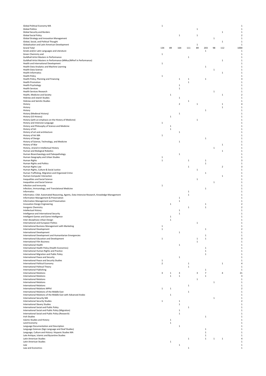| <b>Global Political Economy MA</b><br><b>Global Politics</b>                                                                           | $\mathbf{1}$                 |              |                |                   | 1            |                               |              |                             |      |
|----------------------------------------------------------------------------------------------------------------------------------------|------------------------------|--------------|----------------|-------------------|--------------|-------------------------------|--------------|-----------------------------|------|
| <b>Global Security and Borders</b>                                                                                                     |                              |              |                |                   |              |                               |              | $\mathbf{1}$                |      |
| <b>Global Social Policy</b><br>Global Strategy and Innovation Management                                                               |                              |              | $\mathbf 1$    |                   | $\mathbf{1}$ |                               | 1            |                             |      |
| Global, Social, and Political Thought                                                                                                  |                              |              |                |                   |              |                               |              | $\mathbf 1$                 |      |
| Globalisation and Latin American Development<br><b>Grand Total</b>                                                                     | 134                          | 89           | 164            | 111               | 1<br>89      | 203                           | 98           | 112                         | 1000 |
| Greek and/or Latin Languages and Literature<br>Green Chemistry and                                                                     | $\mathbf{1}$                 |              |                |                   |              | 1                             |              |                             |      |
| Guildhall Artist Masters in Performance                                                                                                |                              |              |                | 1                 |              |                               |              |                             |      |
| Guildhall Artist Masters in Performance (MMus/MPerf in Performance)<br>Health and International Development                            | 1                            |              |                |                   |              |                               |              | $\mathbf{1}$                |      |
| Health Data Analytics and Machine Learning                                                                                             |                              |              |                |                   |              | $\mathbf{1}$                  |              |                             |      |
| Health Data Science<br><b>Health Informatics</b>                                                                                       |                              |              |                |                   |              |                               | $\,$ 1       | 1                           |      |
| <b>Health Policy</b>                                                                                                                   | $\mathbf{1}$                 |              |                |                   |              |                               |              |                             |      |
| Health Policy, Planning and Financing<br><b>Health Promotion</b>                                                                       |                              |              | $\mathbf{1}$   | 1<br>$\mathbf{1}$ |              | $\,1\,$                       |              |                             |      |
| <b>Health Psychology</b>                                                                                                               |                              |              | 1              |                   |              |                               |              |                             |      |
| <b>Health Services</b><br><b>Health Services Research</b>                                                                              |                              |              | $\mathbf{1}$   |                   |              |                               | $\mathbf{1}$ |                             |      |
| Health, Medicine and Society<br>Hebrew and Jewish Studies                                                                              |                              | 1            |                |                   |              |                               |              | 1                           |      |
| <b>Hebrew and Semitic Studies</b>                                                                                                      |                              |              | $\mathbf{1}$   | $\mathbf{1}$      |              |                               |              |                             |      |
| History<br>History                                                                                                                     |                              |              | $\overline{2}$ |                   | $\mathbf{1}$ |                               |              | $\mathbf{1}$<br>$\mathbf 1$ |      |
| History                                                                                                                                |                              |              |                |                   |              | 1                             |              |                             |      |
| History (Medieval History)<br>History (US History)                                                                                     |                              | 1            | $\mathbf{1}$   |                   |              |                               |              |                             |      |
| History (with an emphasis on the History of Medicine)                                                                                  |                              |              |                |                   | $\mathbf{1}$ |                               |              |                             |      |
| History and Intensive Language<br>History and Philosophy of Science and Medicine                                                       | $\mathbf{1}$                 | 1            |                |                   |              |                               |              |                             |      |
| History of Art                                                                                                                         |                              | 1            |                |                   |              |                               |              |                             |      |
| History of art and architecture<br>History of Art MA                                                                                   | $\mathbf{1}$                 |              | 1              |                   |              |                               |              |                             |      |
| History of Design                                                                                                                      |                              |              |                |                   |              | $\mathbf 1$                   |              |                             |      |
| History of Science, Technology, and Medicine<br>History of War                                                                         |                              |              | 1              |                   |              |                               |              | $\mathbf{1}$                |      |
| History, strand in Intellectual History                                                                                                |                              |              |                |                   |              |                               | $\mathbf{1}$ |                             |      |
| Human and Biological Robotics<br>Human Bioarchaeology and Paleopathology                                                               |                              |              | $\mathbf 1$    |                   |              |                               |              | $\mathbf{1}$                |      |
| Human Geography and Urban Studies                                                                                                      | 1                            |              |                |                   |              |                               |              |                             |      |
| Human Rights<br>Human Rights and Politics                                                                                              | $\mathbf 1$                  |              |                | 1                 |              | 1<br>$\mathbf 1$              |              |                             |      |
| Human Rights Law                                                                                                                       |                              |              |                | $\mathbf{1}$      |              |                               |              | $\overline{2}$              |      |
| Human Rights, Culture & Social Justice<br>Human Trafficking, Migration and Organized Crime                                             |                              |              |                |                   | $\mathbf{1}$ | 1                             |              |                             |      |
| Human-Computer Interaction                                                                                                             |                              |              |                |                   |              |                               |              | 1                           |      |
| Inequalities and Social Science<br>Inequalities and Social Science                                                                     |                              |              |                |                   | $\mathbf{1}$ |                               | 1            |                             |      |
| Infection and Immunity                                                                                                                 | $\mathbf 1$                  |              |                |                   |              |                               |              |                             |      |
| Infection, Immunology, and Translational Medicine<br>Informatics                                                                       |                              |              |                | $\mathbf{1}$      |              | 1                             |              |                             |      |
| Informatics: CISA: Automated Reasoning, Agents, Data Intensive Research, Knowledge Management<br>Information Management & Preservation |                              |              | 1              | $\mathbf 1$       |              |                               |              |                             |      |
| Information Management and Preservation                                                                                                |                              |              | $\mathbf{1}$   |                   |              |                               |              |                             |      |
| Innovation Design Engineering<br>Inorganic Chemistry                                                                                   |                              | 1            |                | $\mathbf{1}$      |              | 1<br>1                        |              |                             |      |
| Intellectual History                                                                                                                   |                              |              | $\mathbf{1}$   |                   |              |                               |              |                             |      |
| Intelligence and International Security<br>Intelligent Games and Game Intelligence                                                     |                              | $\mathbf{1}$ | $\mathbf 1$    |                   |              |                               |              |                             |      |
| Inter-disciplinary Urban Design                                                                                                        |                              | $\mathbf{1}$ |                |                   |              |                               |              |                             |      |
| International and European Politics<br>International Business Management with Marketing                                                | $\mathbf{1}$                 |              |                |                   | $\mathbf{1}$ |                               |              |                             |      |
| <b>International Development</b>                                                                                                       | $\mathbf{1}$                 |              |                |                   |              | $\mathbf{1}$                  |              |                             |      |
| <b>International Development</b><br>International Development and Humanitarian Emergencies                                             |                              |              | 1              |                   |              | 1                             |              |                             |      |
| International Education and Development                                                                                                | $\mathbf{1}$                 |              |                |                   | 1            | 1                             |              |                             |      |
| <b>International Film Business</b><br><b>International Health</b>                                                                      |                              |              | 1              |                   | 1            |                               |              |                             |      |
| International Health Policy (Health Economics)                                                                                         |                              |              |                |                   |              | 1                             |              |                             |      |
| International Human Rights and Practice<br>International Migration and Public Policy                                                   |                              |              |                |                   |              | 1<br>$\mathbf{1}$             |              |                             |      |
| International Peace and Security                                                                                                       |                              |              | $\,$ 1         |                   |              |                               |              |                             |      |
| International Peace and Security Studies<br>International Political Economy                                                            | 1<br>$\overline{\mathbf{2}}$ |              |                | $\mathbf{1}$      |              |                               |              | $\mathbf{1}$                |      |
| International Political Theory                                                                                                         |                              |              |                | $\,1\,$           |              |                               |              |                             |      |
| <b>International Publishing</b><br><b>International Relations</b>                                                                      | 3                            | $\mathbf{1}$ | 3              |                   | 3            | 1<br>$\overline{\phantom{a}}$ |              | 4                           |      |
| <b>International Relations</b><br><b>International Relations</b>                                                                       |                              | $\mathbf{1}$ | $\,$ 1         |                   |              | $\mathbf 1$                   |              |                             |      |
| <b>International Relations</b>                                                                                                         |                              |              |                |                   | 1            |                               | 1            |                             |      |
| <b>International Relations</b><br><b>International Relations MPhil</b>                                                                 | 1                            | 1            |                | $\,1\,$           |              |                               |              |                             |      |
| International Relations of the Middle East                                                                                             |                              |              |                | 1                 |              |                               |              |                             |      |
| International Relations of the Middle East with Advanced Arabic<br><b>International Security MA</b>                                    |                              | $\mathbf{1}$ |                |                   |              |                               | $\,$ 1       |                             |      |
| <b>International Security Studies</b>                                                                                                  | $\mathbf 1$                  |              | 1              |                   |              |                               |              |                             |      |
| <b>International Slavery Studies</b><br>International Social and Public Policy                                                         |                              |              | $\mathbf{1}$   | $\mathbf{1}$      |              |                               |              |                             |      |
| International Social and Public Policy (Migration)                                                                                     |                              |              | 1              |                   |              |                               |              |                             |      |
| International Social and Public Policy (Research)<br>Irish Studies                                                                     |                              |              | $\,1\,$        |                   |              | $\mathbf{1}$                  |              |                             |      |
| Islamic Studies and History                                                                                                            |                              | $\mathbf{1}$ |                |                   |              |                               |              |                             |      |
| Land Economy<br>Language Documentation and Description                                                                                 |                              | $\mathbf 1$  | $\mathbf{1}$   |                   |              |                               |              |                             |      |
| Language Sciences (Sign Language and Deaf Studies)                                                                                     |                              |              |                |                   |              | 1                             |              |                             |      |
| Language, Culture and History: Hispanic Studies MA<br>Late Antique, Islamic and Byzantine Studies                                      |                              |              |                |                   |              | $\mathbf{1}$<br>1             |              |                             |      |
| Latin American Studies                                                                                                                 |                              |              |                | 1                 |              | $\mathbf{1}$                  | 1            | 1                           |      |
| Latin American Studies<br>Law                                                                                                          |                              | $\mathbf{1}$ | $\mathbf{1}$   |                   |              |                               |              |                             |      |
| Law and Economics                                                                                                                      |                              |              |                |                   |              |                               |              |                             |      |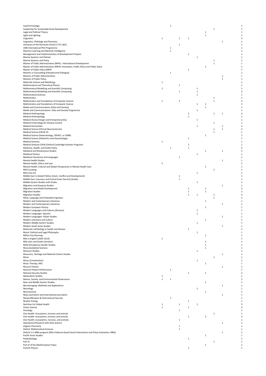| Law/Criminology                                                                                                                                                                   |              | $\mathbf 1$  |              |                   |              |              |              |  |
|-----------------------------------------------------------------------------------------------------------------------------------------------------------------------------------|--------------|--------------|--------------|-------------------|--------------|--------------|--------------|--|
| Leadership for Sustainable Rural Development                                                                                                                                      |              |              |              |                   |              | $\mathbf 1$  |              |  |
| Legal and Political Theory                                                                                                                                                        |              |              |              |                   | 1            |              |              |  |
| Light and Lighting<br>Linguistics                                                                                                                                                 | 1            |              | $\mathbf{1}$ | 1                 | $\mathbf 1$  |              |              |  |
| Linguistics, Philology and Phonetics                                                                                                                                              |              |              |              |                   |              |              | $\mathbf{1}$ |  |
| Literature of the Romantic Period 1775-1832                                                                                                                                       |              |              | 1            |                   |              |              |              |  |
| LMB International PhD Programme                                                                                                                                                   |              | $\,1\,$      |              |                   |              |              |              |  |
| Machine Learning and Machine Intelligence                                                                                                                                         |              | $\mathbf{1}$ |              |                   |              |              |              |  |
| Management and Implementation of Development Projects                                                                                                                             |              |              |              | 1                 |              |              |              |  |
| Marine Systems and Policies<br>Marine Systems and Policy                                                                                                                          |              |              |              | 1                 |              | $\mathbf{1}$ |              |  |
| Master of Public Administration (MPA) - International Development                                                                                                                 |              |              |              |                   |              | $\mathbf 1$  |              |  |
| Master of Public Administration (MPA): Innovation, Public Policy and Public Value                                                                                                 |              |              |              |                   | $\mathbf 1$  |              |              |  |
| Master of Public Policy (MPP)                                                                                                                                                     |              |              |              | $\mathbf{1}$      |              |              |              |  |
| Masters in Counselling (Interpersonal Dialogue)                                                                                                                                   |              | 1            |              |                   |              |              |              |  |
| Masters of Public Administration                                                                                                                                                  |              |              |              |                   |              |              | $\mathbf 1$  |  |
| Masters of Public Policy                                                                                                                                                          |              |              |              |                   |              |              | $\mathbf{1}$ |  |
| Materials Science and Metallurgy                                                                                                                                                  | $\mathbf{1}$ |              |              |                   |              |              |              |  |
| Mathematical and Theoretical Physics<br>Mathematical Modelling and Scientific Computing                                                                                           | $\mathbf{1}$ |              | $\mathbf{1}$ | 1                 |              |              |              |  |
| Mathematical Modelling and Scientific Computing                                                                                                                                   |              |              | $\mathbf{1}$ | $\,1\,$           |              |              |              |  |
| Mathematical Sciences                                                                                                                                                             |              |              |              | $\,1\,$           |              |              |              |  |
| Mathematics                                                                                                                                                                       |              |              |              |                   |              | $\mathbf{1}$ |              |  |
| Mathematics and Foundations of Computer Science                                                                                                                                   | 1            |              | $\mathbf 2$  |                   |              | $\mathbf 1$  |              |  |
| Mathematics and Foundations of Computer Science                                                                                                                                   |              |              |              | 1                 | 1            |              |              |  |
| Media and Communications (Data and Society)                                                                                                                                       |              |              |              |                   | 1            |              |              |  |
| Media and Communications: Data and Society Programme                                                                                                                              |              |              |              | 1                 |              |              |              |  |
| Medical Anthropology                                                                                                                                                              |              |              |              | $\mathbf 2$       |              | $\mathbf{1}$ | $\mathbf{1}$ |  |
| Medical Anthropology<br>Medical Device Design and Entrepreneurship                                                                                                                |              |              |              | $\mathbf{1}$<br>1 |              |              |              |  |
| Medical Entomology for Disease Control                                                                                                                                            |              |              |              |                   |              | $\mathbf{1}$ |              |  |
| Medical Humanities                                                                                                                                                                |              |              |              | 1                 |              |              | 1            |  |
| Medical Science (Clinical Neurosciences)                                                                                                                                          |              |              |              |                   |              | $\mathbf{1}$ | $\mathbf{1}$ |  |
| Medical Science (CRUK CI)                                                                                                                                                         |              |              |              |                   |              | $\mathbf{1}$ |              |  |
| Medical Science (Haematology, CRUKCI, or CIMR)                                                                                                                                    |              |              |              |                   | 1            |              |              |  |
| Medical Science (Obstetrics and Gynaecology)                                                                                                                                      |              |              |              | 1                 |              |              |              |  |
| Medical Sciences                                                                                                                                                                  | $\,$ 1       |              |              |                   |              |              |              |  |
| Medical Sciences-CRUK (Oxford-Cambridge Scholars Program)                                                                                                                         |              |              |              | $\mathbf{1}$      |              |              |              |  |
| Medicine, Health, and Public Policy<br>Medieval and Renaissance Studies                                                                                                           |              | 1            |              | $\mathbf{1}$      | 1            |              | $\mathbf{1}$ |  |
| Medieval History                                                                                                                                                                  |              |              |              | 1                 |              |              |              |  |
| Medieval Literatures and Languages                                                                                                                                                |              |              | 1            |                   |              |              |              |  |
| Mental Health Studies                                                                                                                                                             |              |              |              |                   |              |              | $\mathbf 1$  |  |
| Mental Health, Ethics and Law                                                                                                                                                     | $\mathbf 2$  |              |              |                   |              |              |              |  |
| Mental Health: Cultural and Global Perspectives in Mental Health Care                                                                                                             |              |              |              |                   | 1            |              |              |  |
| <b>MFA Curating</b>                                                                                                                                                               |              |              |              |                   |              | 1            |              |  |
| MFA Fine Art                                                                                                                                                                      |              |              |              | 1                 |              |              |              |  |
| Middle East in Global Politics (Islam, Conflict and Development)                                                                                                                  |              |              | 1            |                   |              |              |              |  |
| Middle East, Caucasus and Central Asian Security Studies<br>Middle Eastern Studies with Arabic                                                                                    |              |              | $\mathbf 1$  | 1                 |              |              |              |  |
| Migration and Diaspora Studies                                                                                                                                                    |              |              |              |                   |              |              | $\mathbf{1}$ |  |
| Migration and Global Development                                                                                                                                                  |              |              |              | $\mathbf 1$       | $\mathbf 1$  |              |              |  |
| <b>Migration Studies</b>                                                                                                                                                          |              |              |              | $\mathbf{1}$      | 1            |              |              |  |
| <b>Migration Studies</b>                                                                                                                                                          |              |              |              | $\mathbf{1}$<br>1 |              | $\mathbf{1}$ |              |  |
| Mind, Language and Embodied Cognition                                                                                                                                             |              |              |              |                   |              | $\mathbf 1$  |              |  |
| Modern and Contemporary Literature                                                                                                                                                |              |              |              |                   | 1            |              |              |  |
| Modern and Contemporary Literature                                                                                                                                                |              |              |              |                   |              |              | $\mathbf{1}$ |  |
| Modern European History<br>Modern Languages and Cultures (Russian)                                                                                                                |              |              |              |                   | $\mathbf 1$  |              |              |  |
| Modern Languages: Spanish                                                                                                                                                         |              |              |              | 1<br>1            |              |              |              |  |
| Modern Languages-Italian Studies                                                                                                                                                  |              |              |              |                   |              |              | $\mathbf 1$  |  |
| Modern Literature and Culture                                                                                                                                                     |              |              |              |                   | 1            |              |              |  |
| Modern Middle Eastern Studies                                                                                                                                                     |              |              |              | 1                 |              |              |              |  |
| Modern South Asian Studies                                                                                                                                                        |              |              |              |                   |              |              |              |  |
| Molecular cell biology in health and disease                                                                                                                                      |              |              |              | $\,1\,$           |              |              |              |  |
| Moral, Political and Legal Philosophy                                                                                                                                             |              |              |              | $\,1\,$           |              |              |              |  |
| MPlan City Planning                                                                                                                                                               |              |              |              |                   | $\mathbf 1$  |              |              |  |
| MSt in English (1830-1914)<br>MSt Latin and Greek Literature                                                                                                                      | $\mathbf{1}$ |              |              |                   |              |              |              |  |
|                                                                                                                                                                                   |              |              |              |                   |              |              |              |  |
|                                                                                                                                                                                   |              |              |              |                   | 1            |              |              |  |
| Multi-Disciplinary Gender Studies                                                                                                                                                 |              |              |              |                   | $\,1$        |              |              |  |
| Musculoskeletal Sciences<br>Museum Studies                                                                                                                                        |              |              |              | 1                 | 1            |              |              |  |
| Museums, Heritage and Material Culture Studies                                                                                                                                    |              |              |              |                   |              |              | $\mathbf{1}$ |  |
| Music                                                                                                                                                                             |              |              |              |                   |              | $\mathbf{1}$ |              |  |
| Music (Composition)                                                                                                                                                               |              |              |              | 1                 |              |              |              |  |
| Music Therapy, MSc                                                                                                                                                                |              |              |              |                   | 1            |              |              |  |
| Musical Theatre                                                                                                                                                                   |              |              |              |                   |              |              | $\mathbf{1}$ |  |
| Musical Theatre Performance                                                                                                                                                       |              | $\mathbf{1}$ |              |                   |              |              |              |  |
| National Security Studies                                                                                                                                                         |              |              |              | $\mathbf 1$       | $\,1$        |              |              |  |
| Nationalism Studies                                                                                                                                                               | $\mathbf{1}$ |              |              |                   |              |              |              |  |
| Nature, Society, and Environmental Governance<br>Near and Middle Eastern Studies                                                                                                  | $\mathbf 1$  | $\mathbf{1}$ |              |                   | $\mathbf{1}$ |              |              |  |
| Neuroimaging: Methods and Applications                                                                                                                                            |              |              |              |                   |              |              | $\mathbf{1}$ |  |
| Neurology                                                                                                                                                                         |              |              |              | 1                 |              |              |              |  |
| Neuroscience                                                                                                                                                                      |              |              |              |                   | $\mathbf 1$  |              |              |  |
| News journalism and international journalism                                                                                                                                      |              |              |              |                   |              |              | $\mathbf{1}$ |  |
| Nonproliferation & International Security                                                                                                                                         |              | 1            |              |                   |              |              |              |  |
| Nuclear Energy                                                                                                                                                                    |              |              |              | 1                 |              |              |              |  |
| Nutrition For Global Health                                                                                                                                                       | $\mathbf{1}$ |              | $\mathbf{1}$ | 1                 |              |              |              |  |
| Ocean Science                                                                                                                                                                     | $\,$ 1       |              |              | 1                 |              |              |              |  |
| Oncology                                                                                                                                                                          |              |              | $\mathbf 1$  |                   |              |              |              |  |
|                                                                                                                                                                                   |              |              |              | 1                 | $\mathbf 2$  | $\mathbf{1}$ |              |  |
|                                                                                                                                                                                   |              |              | $\mathbf{1}$ |                   |              |              |              |  |
| One Health: Ecosystems, humans and animals<br>One Health: ecosystems, humans and animals<br>One Health: ecosystems, humans, and animals<br>Operational Research with Data Science |              |              |              |                   |              |              | $\mathbf{1}$ |  |
|                                                                                                                                                                                   |              |              | $\mathbf{1}$ |                   |              |              |              |  |
|                                                                                                                                                                                   |              |              | $\mathbf 1$  |                   |              |              |              |  |
| Organic Chemistry<br>Oxford Mathematical Sciences<br>Oxford 1+1 MBA program (MSc Evidence-Based Social Intervention and Policy Evaluation; MBA)                                   |              |              |              |                   |              |              | $\mathbf{1}$ |  |
|                                                                                                                                                                                   |              |              |              |                   | 1            |              |              |  |
|                                                                                                                                                                                   |              |              |              | $\mathbf{1}$      |              |              |              |  |
| Pacific Asian Studies<br>Palaeobiology<br>Part III<br>Part III of the Mathematical Tripos                                                                                         |              |              |              |                   | 1            | $\mathbf{1}$ |              |  |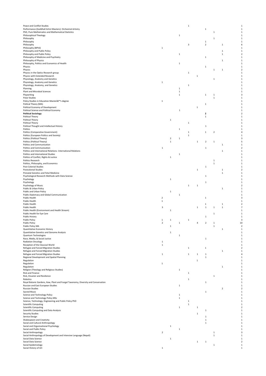| Peace and Conflict Studies                                                                           |                         |                |              | $\,1\,$      |              |                         |              |                |                             |
|------------------------------------------------------------------------------------------------------|-------------------------|----------------|--------------|--------------|--------------|-------------------------|--------------|----------------|-----------------------------|
| Performance (Guildhall Artist Masters): Orchestral Artistry                                          |                         |                |              |              |              | $\,1\,$                 |              |                |                             |
| PhD, Pure Mathematics and Mathematical Statistics                                                    |                         |                |              |              |              |                         | $\mathbf 1$  |                |                             |
| Philosophical Theology                                                                               |                         |                | $\mathbf 1$  |              |              |                         |              |                |                             |
| Philosophy<br>Philosophy                                                                             |                         |                |              |              |              | $\mathbf 1$             | $\mathbf 1$  |                |                             |
| Philosophy                                                                                           |                         |                |              | 3            |              | $\overline{2}$          |              | 1              |                             |
| Philosophy (BPhil)                                                                                   | $\,$ 1                  |                |              |              |              |                         |              |                |                             |
| Philosophy and Public Policy                                                                         |                         |                |              |              |              |                         |              | 1              |                             |
| Philosophy and Public Policy                                                                         |                         |                | $\,$ 1       |              |              |                         |              | 1              |                             |
| Philosophy of Medicine and Psychiatry                                                                |                         |                |              |              |              | $\mathbf{1}$            |              |                |                             |
| Philosophy of Physics                                                                                |                         |                |              |              |              |                         |              | 1              |                             |
| Philosophy, Politics and Economics of Health                                                         |                         |                | $\mathbf{1}$ |              |              |                         |              |                |                             |
| Physics                                                                                              |                         |                |              |              |              | 1                       |              |                |                             |
| Physics                                                                                              |                         |                |              |              |              |                         | $\,1\,$      | $\mathbf{1}$   |                             |
| Physics in the Optics Research group                                                                 |                         |                |              | $\mathbf{1}$ |              |                         |              |                |                             |
| Physics with Extended Research                                                                       |                         |                |              |              | 1            |                         |              |                |                             |
| Physiology, Anatomy and Genetics                                                                     |                         |                |              |              |              |                         | $\,1\,$      |                |                             |
| Physiology, Anatomy and Genetics                                                                     | $\,$ 1                  |                |              |              |              |                         |              |                |                             |
| Physiology, Anatomy, and Genetics<br>Planning                                                        |                         |                | 1            | $\,1\,$      |              |                         |              |                |                             |
| Plant and Microbial Sciences                                                                         |                         |                | $\mathbf{1}$ |              |              |                         |              |                |                             |
| Playwriting                                                                                          |                         |                | $\mathbf{1}$ |              |              | $\mathbf{1}$            | $\mathbf{1}$ |                |                             |
| Polar Studies                                                                                        |                         |                |              |              |              |                         | $\,1\,$      |                |                             |
| Policy Studies in Education Master's degree                                                          | $\mathbf{1}$            |                |              |              |              |                         |              |                |                             |
| Politcal Theory (MA)                                                                                 |                         |                |              |              |              | $\mathbf{1}$            |              |                |                             |
| Political Economy of Development                                                                     |                         |                |              |              | $\,1\,$      |                         |              |                |                             |
| Political Science and Political Economy                                                              |                         |                | 1            |              |              |                         |              |                |                             |
| <b>Political Sociology</b>                                                                           |                         |                |              |              |              | $\overline{\mathbf{2}}$ |              |                |                             |
| Political Theory                                                                                     |                         |                |              |              |              | $\mathbf{1}$            |              |                |                             |
| Political Theory                                                                                     |                         | $\mathbf 1$    |              |              |              |                         |              |                |                             |
| Political Theory                                                                                     |                         |                |              | $\mathbf{1}$ |              |                         |              |                |                             |
| Political Thought and Intellectual History                                                           |                         |                |              |              |              | 1                       |              |                |                             |
| Politics                                                                                             |                         |                | $\mathbf{1}$ |              |              |                         |              |                |                             |
| Politics (Comparative Government)                                                                    |                         |                |              | $\mathbf{1}$ |              | 1                       | $\mathbf 2$  |                |                             |
| Politics (European Politics and Society)                                                             |                         |                |              | $\mathbf 1$  |              |                         |              |                |                             |
| Politics (Political Theory)                                                                          |                         | $\overline{2}$ | $\mathbf{1}$ |              |              |                         |              |                |                             |
| Politics (Political Theory)                                                                          |                         | $\mathbf 1$    |              |              | $\mathbf{1}$ | $\overline{2}$          | $\mathbf{1}$ |                |                             |
| Politics and Communication                                                                           |                         |                |              |              |              |                         |              | 1              |                             |
| Politics and Communication                                                                           | 1                       |                |              |              |              | $\,1\,$                 |              |                |                             |
| Politics and International Relations- International Relations<br>Politics and International Studies  |                         |                | $\mathbf{1}$ |              |              |                         |              | 1              |                             |
|                                                                                                      |                         | $\mathbf 1$    |              |              |              |                         |              |                |                             |
| Politics of Conflict, Rights & Justice<br>Politics Research                                          |                         |                |              |              |              |                         | $\,1\,$      |                |                             |
| Politics, Philosophy, and Economics                                                                  |                         |                |              |              |              |                         | $\,1\,$      |                |                             |
| Post Colonial Studies                                                                                |                         |                |              |              |              | $\mathbf{1}$            |              |                |                             |
| Postcolonial Studies                                                                                 |                         |                |              |              | $\mathbf{1}$ |                         |              | 1              |                             |
| Prenatal Genetics and Fetal Medicine                                                                 |                         |                |              |              |              |                         |              | 1              |                             |
| Psychological Research Methods with Data Science                                                     |                         |                |              |              |              | 1                       |              |                |                             |
| Psychology                                                                                           |                         | 1              |              |              |              |                         |              |                |                             |
| Psychology                                                                                           |                         |                |              |              |              | 1                       |              |                |                             |
| Psychology of Music                                                                                  |                         |                |              | $\mathbf{1}$ | $\mathbf{1}$ |                         |              |                |                             |
| Public & Urban Policy                                                                                |                         |                |              |              |              |                         |              | 1              |                             |
| Public and Urban Policy                                                                              |                         | $\mathbf{1}$   |              |              |              |                         |              |                |                             |
| Public Diplomacy and Global Communication                                                            |                         |                | $\mathbf{1}$ |              |              |                         |              |                |                             |
| Public Health                                                                                        | $\mathbf 2$             |                |              |              |              | $\mathbf{1}$            |              |                |                             |
| Public Health                                                                                        | $\mathbf 1$             |                |              |              |              |                         |              |                |                             |
| Public Health                                                                                        |                         |                |              |              |              | $\mathbf{1}$            |              | 1              |                             |
| Public Health                                                                                        | $\overline{\mathbf{3}}$ |                |              |              | 1            | $\mathbf{1}$            | $\mathbf 1$  | $\,$ 1         |                             |
| Public Health (Environment and Health Stream)                                                        |                         | 1              |              |              |              |                         |              |                |                             |
| Public Health for Eye Care                                                                           |                         |                |              |              |              |                         | 1            |                |                             |
| Public History                                                                                       |                         |                |              |              |              | $\mathbf{1}$            |              |                |                             |
| <b>Public Policy</b>                                                                                 | 1                       | 1              |              | 1            |              |                         |              |                | 3                           |
| <b>Public Policy</b>                                                                                 | $\overline{2}$          |                | $\mathbf 1$  |              | 4            | $\mathbf 2$             | $\mathbf 1$  |                | 10                          |
| Public Policy MA                                                                                     |                         | 1              |              |              |              |                         | $\,$ 1       |                |                             |
| Quantitative Economic History                                                                        |                         |                |              |              |              |                         |              | 1              |                             |
| Quantitative Genetics and Genome Analysis                                                            |                         | 1              |              |              |              |                         |              |                |                             |
| Quantum Technologies                                                                                 |                         |                | $\mathbf 1$  |              |              |                         |              |                | 1                           |
| Race, Media, & Social Justice                                                                        |                         |                |              |              |              | $\mathbf{1}$            |              |                | 1                           |
| <b>Radiation Oncology</b>                                                                            | $\mathbf{1}$            |                |              |              |              |                         |              |                |                             |
| Reception of the Classical World                                                                     | $\,$ 1                  |                |              |              |              |                         |              |                |                             |
| Refugee and Forced Migration Studies                                                                 |                         |                |              | $\mathbf 1$  |              | $\mathbf 1$             |              |                | $\overline{\phantom{a}}$    |
| Refugee and Forced Migration Studies                                                                 |                         |                |              |              |              |                         |              | 1              | 1                           |
| Refugee and Forced Migration Studies<br>Regional Development and Spatial Planning                    | $\mathbf{1}$            |                |              | $\mathbf{1}$ | 1            | 1<br>$\mathbf{1}$       |              |                | Δ                           |
| Regulation                                                                                           |                         |                |              |              |              |                         |              |                |                             |
| Regulation                                                                                           | $\,$ 1                  |                |              |              | $\mathbf{1}$ |                         |              |                |                             |
| Regulation                                                                                           |                         |                |              |              |              |                         |              | $\mathbf{1}$   | 1                           |
| Religion (Theology and Religious Studies)                                                            |                         |                | $\mathbf{1}$ |              |              |                         |              |                |                             |
| Risk and Finance                                                                                     |                         |                |              | $\mathbf{1}$ |              |                         |              |                | 1                           |
| Risk, Disaster and Resilience                                                                        |                         |                |              |              |              |                         | $\mathbf 1$  |                | 1                           |
| Robotics                                                                                             |                         |                |              | $\mathbf{1}$ |              |                         |              |                | 1                           |
| Royal Botanic Gardens, Kew, Plant and Fungal Taxonomy, Diversity and Conservation                    |                         |                |              |              |              | $\mathbf{1}$            |              |                | 1                           |
| Russian and East European Studies                                                                    |                         |                | $\mathbf{1}$ |              |              |                         |              |                | 1                           |
| <b>Russian Studies</b>                                                                               |                         |                |              |              |              |                         |              | $\overline{2}$ | $\overline{a}$              |
| Sacred Music                                                                                         |                         |                |              |              |              | $\mathbf{1}$            |              |                | 1                           |
| Science and Technology Policy                                                                        |                         |                | $\mathbf{1}$ |              |              |                         |              |                | 1                           |
| Science and Technology Policy MSc                                                                    |                         |                | $\mathbf{1}$ |              |              |                         |              |                | 1                           |
| Science, Technology, Engineering and Public Policy PhD                                               |                         |                |              | $\mathbf{1}$ |              |                         |              |                | 1                           |
| <b>Scientific Computing</b>                                                                          |                         |                |              | 1            |              |                         |              |                | 1                           |
| <b>Scientific Computing</b>                                                                          |                         |                | $\,$ 1       |              | $\mathbf{1}$ |                         |              |                | $\overline{\mathbf{2}}$     |
| Scientific Computing and Data Analysis                                                               |                         |                |              |              |              | $\mathbf{1}$            |              |                | 1                           |
| <b>Security Studies</b>                                                                              |                         |                |              |              | 1            |                         |              |                | 1                           |
| Service Design                                                                                       |                         |                |              |              |              |                         |              |                |                             |
|                                                                                                      |                         |                |              |              |              | $\mathbf{1}$            |              |                | 1                           |
| Shakespeare and Creativity                                                                           |                         |                |              |              |              | $\mathbf{1}$            |              |                |                             |
|                                                                                                      |                         |                |              |              |              | $\mathbf{1}$            |              |                | 1                           |
|                                                                                                      |                         | 1              |              |              |              |                         |              |                |                             |
| Social and Cultural Anthropology<br>Social and Organisational Psychology<br>Social and Public Policy |                         |                | $\mathbf{1}$ |              |              |                         |              |                | 1                           |
| Social Anthropology                                                                                  | $\overline{2}$          |                |              |              |              |                         | 1            |                | 3                           |
| Social Anthropology of Development and Intensive Language (Nepali)                                   |                         |                |              |              |              |                         | $\mathbf{1}$ |                | 1                           |
| Social Data Science                                                                                  |                         | 1              |              |              |              |                         |              |                | 1                           |
| Social Data Science                                                                                  |                         |                |              |              | 1            | 1                       |              |                | $\overline{\mathbf{2}}$     |
| Social Epidemiology<br>Social History of Art                                                         | $\mathbf 1$             |                |              |              |              |                         | $\mathbf 1$  |                | $\mathbf{1}$<br>$\mathbf 1$ |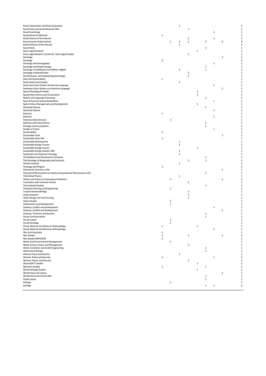| Social Intervention and Policy Evaluation                          |                |              | $\mathbf 1$  |              |              |              |              |              | $\mathbf 1$              |
|--------------------------------------------------------------------|----------------|--------------|--------------|--------------|--------------|--------------|--------------|--------------|--------------------------|
| Social Policy and Social Research MSc                              |                |              |              | $\,1\,$      |              |              |              |              | $\mathbf{1}$             |
| Social Psychology                                                  |                |              |              |              |              |              | $\mathbf{1}$ |              |                          |
| Social Research Methods                                            | $\mathbf 1$    |              |              |              |              |              |              |              | $\mathbf{1}$             |
| Social Science of the Internet                                     |                |              |              | $\mathbf{1}$ |              |              | 1            |              | 2                        |
| Social Science of the Internet                                     |                | $\mathbf{1}$ | $\mathbf 2$  | $\mathbf{1}$ |              | $\mathbf 2$  |              | $\mathbf 2$  | 8                        |
| Social Sciences of the Internet                                    |                |              | $\mathbf 1$  |              |              |              |              |              | 1                        |
| Social Work                                                        |                |              |              |              |              | 1            |              |              | 1                        |
| Socio-Legal Research                                               |                |              |              |              | $\mathbf{1}$ |              |              |              | 1                        |
| Socio-Legal Research, Centre for Socio-Legal Studies               |                |              |              | $\,1\,$      |              |              |              |              | 1                        |
| Sociology                                                          |                |              |              |              |              |              |              | $\,$ 1       | 1                        |
| Sociology                                                          | $\overline{2}$ |              |              |              |              |              |              |              | $\overline{2}$           |
| Sociology and Demography                                           |                |              |              |              |              |              | $\mathbf{1}$ |              | 1                        |
| Sociology and Global Change                                        |                |              |              |              |              | $\mathbf{1}$ |              |              | $\mathbf{1}$             |
| Sociology of Childhood and Children's Rights                       |                |              | $\mathbf 2$  |              |              | 1            |              |              | 3                        |
|                                                                    |                |              |              |              |              |              |              |              | 1                        |
| Sociology of Reproduction                                          |                |              |              | 1            |              |              |              |              |                          |
| Soil Mechanics and Engineering Seismology                          |                |              |              | $\mathbf{1}$ |              |              |              |              | $\mathbf{1}$             |
| Soils and Sustainability                                           | $\mathbf{1}$   |              |              |              |              |              |              |              |                          |
| South Asian Area Studies                                           |                |              | $\mathbf{1}$ |              |              |              |              |              | $\mathbf{1}$             |
| South East Asian Studies & Intensive Language                      |                |              |              |              |              |              | $\,1\,$      |              | $\mathbf{1}$             |
| Southeast Asian Studies and Intensive Language                     |                |              |              |              |              |              |              | $\mathbf{1}$ |                          |
| Space Physiology & Health                                          |                |              |              |              | $\mathbf{1}$ |              |              |              | $\mathbf{1}$             |
| Spatial Data Science and Visualization                             |                |              |              |              | $\mathbf 1$  |              |              |              | $\mathbf{1}$             |
| Speech and Language Processing                                     |                |              |              |              |              | 1            |              |              |                          |
| Sport & Exercise Science & Medicine                                |                |              |              |              |              |              | $\mathbf{1}$ |              | 1                        |
| Sports Policy, Management and Development                          |                |              |              |              | $\,1\,$      |              |              |              | 1                        |
| <b>Statistical Science</b>                                         |                |              |              |              |              | $\mathbf{1}$ |              |              | 1                        |
| <b>Statistical Science</b>                                         |                |              |              |              |              |              | 1            |              | 1                        |
| Statistics                                                         | $\,$ 1         |              |              |              |              |              |              |              | 1                        |
| Statistics                                                         |                |              |              |              |              |              | $\mathbf{1}$ |              | 1                        |
| Statistics (Data Science)                                          |                | $\mathbf 1$  |              |              |              |              |              |              | 1                        |
|                                                                    |                |              |              |              |              |              |              |              | $\mathbf{1}$             |
| Statistics with Data Science                                       |                |              |              |              |              | $\mathbf 1$  |              |              |                          |
| <b>Strategic Communications</b>                                    |                |              |              |              |              | $\mathbf{1}$ |              |              |                          |
| Studies in Poetry                                                  |                |              |              |              |              |              | $\mathbf{1}$ |              | $\mathbf{1}$             |
| Sustainability                                                     | $\mathbf 1$    |              |              |              |              |              |              |              | $\mathbf{1}$             |
| Sustainable Cities                                                 |                |              |              |              |              |              |              | 1            | 1                        |
| Sustainable Cities MA                                              | $\mathbf 1$    |              |              |              |              |              |              |              | 1                        |
| Sustainable Development                                            |                |              | 1            |              |              |              |              |              | $\mathbf{1}$             |
| Sustainable Energy Futures                                         |                |              | $\mathbf{1}$ |              |              |              |              |              |                          |
| Sustainable Energy Futures                                         |                |              |              |              | $\mathbf{1}$ |              |              |              | $\mathbf{1}$             |
| Sustainable Energy Systems MSc                                     |                |              | $\mathbf 1$  |              |              |              |              |              | -1                       |
| Systematic and Historical Theology                                 |                |              | $\mathbf{1}$ |              |              |              |              |              |                          |
| The Medieval and Renaissance Literature                            |                |              |              |              |              | 1            |              |              | $\mathbf{1}$             |
| The Sociology of Marginality and Exclusion                         |                |              |              | 1            |              | $\,1$        |              |              | $\overline{\phantom{a}}$ |
| <b>Theatre Practice</b>                                            |                |              | $\mathbf{1}$ |              |              |              |              |              |                          |
| Theology and Religion                                              | $\mathbf 1$    |              |              |              |              |              |              |              | $\mathbf{1}$             |
| Theoretical Chemistry, PhD                                         |                |              |              |              |              |              |              | 1            | 1                        |
| Theoretical Neuroscience at Gatsby Computational Neuroscience Unit |                |              |              |              |              | 1            |              |              | 1                        |
|                                                                    |                |              |              |              |              |              |              |              | $\mathbf{1}$             |
| <b>Theoretical Physics</b>                                         |                |              | $\mathbf{1}$ |              |              |              |              |              |                          |
| Theory and History of International Relations                      |                | $\mathbf 1$  |              |              |              |              |              | $\,$ 1       | 2                        |
| Translation with Intensive Persian                                 |                |              |              | $\mathbf{1}$ |              |              |              |              | 1                        |
| <b>Transnational Studies</b>                                       |                |              |              |              |              | 1            |              |              | $\mathbf{1}$             |
| Transport Planning and Engineering                                 |                | $\mathbf{1}$ |              |              |              |              |              |              | $\mathbf{1}$             |
| Tropical Disease Biology                                           |                |              |              | $\mathbf{1}$ |              |              |              |              |                          |
| Urban Analytics                                                    |                |              |              | $\,1\,$      |              |              |              |              | $\mathbf{1}$             |
| Urban Design and City Planning                                     |                |              |              | $\mathbf{1}$ |              |              |              |              | $\mathbf{1}$             |
| Urban Studies                                                      |                | $\mathbf{1}$ |              |              |              |              |              |              |                          |
| Urbanisation and Development                                       |                | $\,1\,$      |              |              |              |              |              |              | $\mathbf{1}$             |
| Violence, Conflict and Development                                 |                |              |              |              |              |              | $\mathbf{1}$ |              | $\mathbf{1}$             |
| Violence, Conflict and Development                                 |                |              |              |              |              |              |              | 1            |                          |
| Violence, Terrorism and Security                                   |                |              |              |              |              | 1            |              |              | 1                        |
| Visual Communication                                               |                |              |              |              |              | $\,1$        |              |              | 1                        |
| Visual Culture                                                     |                | $\mathbf{1}$ |              |              |              |              |              |              | 1                        |
| Visual Sociology                                                   |                | 1            |              |              |              |              |              |              | 1                        |
| Visual, Material and Museum Anthropology                           | $\,$ 1         |              |              |              | $\,$ 1       |              |              |              | $\mathbf 2$              |
| Visual, Material and Museum Anthropology                           |                |              |              |              |              |              | $\mathbf{1}$ |              | 1                        |
| War and Psychiatry                                                 | $\mathbf{1}$   |              |              |              |              |              |              |              | 1                        |
| War Studies                                                        | $\,$ 1         |              |              | $\,1\,$      |              |              |              | $\,$ 1       | 3                        |
| War Studies MPhil/PhD                                              |                |              |              |              |              |              |              |              |                          |
|                                                                    | $\mathbf{1}$   |              |              |              |              |              |              |              |                          |
| Water and Environmental Management                                 |                | 1            |              |              |              |              |              |              | 1                        |
| Water Science, Policy, and Management                              |                |              |              | $\,1\,$      |              |              |              |              | -1                       |
| Water, Sanitation and Health Engineering                           |                |              |              |              |              | 1            |              |              |                          |
| Wild Animal Biology                                                |                |              |              |              |              | $\,1$        |              |              |                          |
| Women Peace and Security                                           |                |              | $\mathbf 1$  |              |              |              |              |              | $\mathbf{1}$             |
| Women, Peace and Security                                          | $\mathbf{1}$   |              |              |              |              |              | $\mathbf{1}$ |              |                          |
| Women, Peace, and Security                                         |                |              |              | 1            |              |              |              |              | 1                        |
| Women's Health                                                     |                |              |              |              | $\mathbf{1}$ |              |              |              | -1                       |
| Women's Studies                                                    | $\mathbf{1}$   |              |              |              |              | 1            |              |              |                          |
| World Heritage Studies                                             |                |              |              |              | $\mathbf{1}$ |              |              |              | 1                        |
| World History & Culture                                            |                |              |              |              |              |              |              | $\mathbf 1$  | 1                        |
| World History & Cultures MA                                        |                |              |              |              |              | 1            |              |              | 1                        |
| Youth Justice                                                      |                |              |              |              |              | $\,1$        |              |              | 1                        |
| Zoology                                                            |                | $\mathbf 1$  |              |              |              |              |              |              | $\mathbf{1}$             |
|                                                                    |                |              |              |              |              | $\mathbf{1}$ | $\mathbf{1}$ |              | $\mathbf 2$              |
| Zoology                                                            |                |              |              |              |              |              |              |              |                          |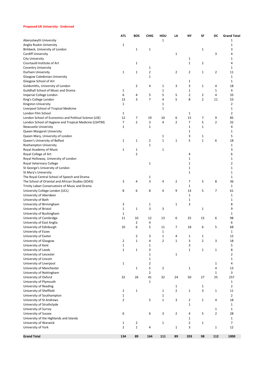## **Proposed UK University - Endorsed**

|                                                        | <b>ATL</b>     | <b>BOS</b>     | <b>CHIG</b>    | HOU            | LA             | NΥ                | SF             | DC             | <b>Grand Total</b>      |
|--------------------------------------------------------|----------------|----------------|----------------|----------------|----------------|-------------------|----------------|----------------|-------------------------|
| Aberystwyth University                                 |                |                |                | 1              |                |                   |                |                | 1                       |
| Anglia Ruskin University                               | 1              |                |                |                |                |                   |                |                | 1                       |
| Birkbeck, University of London                         |                | 1              | $\mathbf{1}$   |                |                |                   | 1              |                | 3                       |
| Cardiff University                                     |                |                |                |                | $\mathbf 1$    |                   |                | 3              | 4                       |
| <b>City University</b>                                 |                |                |                |                |                | 1                 |                |                | 1                       |
| Courtauld Institute of Art                             |                | 1              |                |                |                | $\mathbf{1}$      | $\overline{2}$ |                | 4                       |
| <b>Coventry University</b>                             |                |                | 1              |                |                |                   |                |                | 1                       |
| Durham University                                      | $\mathbf 1$    | 1              | $\overline{2}$ |                | 2              | $\overline{2}$    | $\mathbf 1$    | $\overline{2}$ | 11                      |
| Glasgow Caledonian University                          |                |                | 1              |                |                |                   |                |                | $\mathbf{1}$            |
| Glasgow School of Art                                  |                |                |                |                |                | 1                 |                |                | 1                       |
| Goldsmiths, University of London                       |                | 2              | 4              | 1              | 3              | 3                 | $\mathbf 1$    | 4              | 18                      |
| Guildhall School of Music and Drama                    | 1              |                |                | 1              |                | 1                 |                | 1              | 4                       |
| Imperial College London                                | 6              | 4              | 5              | 5              | 5              | $\overline{2}$    | $\overline{2}$ | 4              | 33                      |
| King's College London                                  | 13             | 3              | 7              | 4              | 5              | 8                 | $\overline{2}$ | 11             | 53                      |
| Kingston University                                    | $\mathbf{1}$   |                |                | 1              |                |                   |                |                | $\overline{2}$          |
| Liverpool School of Tropical Medicine                  |                |                |                | 1              |                |                   |                |                | 1                       |
| London Film School                                     | 1              |                |                |                |                | $\mathbf{1}$      |                |                | 2                       |
| London School of Economics and Political Science (LSE) | 12             | 7              | 19             | 10             | 6              | 15                | 7              | 9              | 85                      |
| London School of Hygiene and Tropical Medicine (LSHTM) | 7              | $\overline{2}$ | 3              | 4              | $\overline{2}$ | 7                 | 5              | 2              | 32                      |
| <b>Newcastle University</b>                            | 1              |                | 1              |                |                | 1                 | $\mathbf 1$    |                | 4                       |
| Queen Margaret University                              |                |                |                |                |                | $\mathbf 1$       |                |                | 1                       |
| Queen Mary, University of London                       |                |                |                | 1              |                | 3                 | 1              |                | 5                       |
| Queen's University of Belfast                          | 1              | 1              | 2              | $\mathbf 1$    | $\mathbf 1$    | 5                 | $\mathbf 1$    | 6              | 18                      |
| Roehampton University                                  |                |                | $\mathbf 1$    |                |                |                   |                |                | 1                       |
| Royal Academy of Music                                 | $\mathbf 1$    | 1              |                | 1              |                |                   |                |                | 3                       |
| Royal College of Art                                   |                | $\overline{2}$ |                |                |                | 4                 |                |                | 6                       |
| Royal Holloway, University of London                   |                |                |                |                |                | $\mathbf{1}$      |                |                | 1                       |
| Royal Veterinary College                               |                |                | $\mathbf{1}$   |                |                | 1                 |                |                | $\overline{2}$          |
| St George's University of London                       |                |                |                |                |                | 1                 |                |                | 1                       |
| St Mary's University                                   |                |                |                |                |                | 1                 |                |                | 1                       |
| The Royal Central School of Speech and Drama           |                |                | 1              |                |                |                   |                |                | $\mathbf{1}$            |
| The School of Oriental and African Studies (SOAS)      | 3              | 4              | 3              | 4              | 2              | 7                 | 5              | 8              | 36                      |
| Trinity Laban Conservatoire of Music and Drama         |                |                |                |                |                | 1                 |                |                | 1                       |
| University College London (UCL)                        | 8              | 6              | 8              | 4              | 9              | 14                | 5              | $\overline{7}$ | 61                      |
| University of Aberdeen                                 |                |                |                |                |                | 1                 |                |                | $\mathbf{1}$            |
| University of Bath                                     |                |                |                |                |                | $\mathbf{1}$<br>3 |                |                | 1                       |
| University of Birmingham                               | 3              |                | 1<br>3         |                | $\mathbf 1$    |                   |                |                | 8<br>9                  |
| University of Bristol<br>University of Buckingham      | 1<br>1         | 1              |                | 3              |                |                   | 1              |                | 1                       |
| University of Cambridge                                | 11             | 10             | 12             | 13             | 6              | 25                | 15             | 6              | 98                      |
| University of East Anglia                              |                | 2              | 4              |                |                |                   |                |                | 6                       |
| University of Edinburgh                                | 10             | 6              | 5              | 11             | 7              | 18                | 6              | 5              | 68                      |
| University of Essex                                    |                |                |                | $\mathbf 1$    |                |                   |                |                | 1                       |
| University of Exeter                                   |                | $\overline{2}$ | 3              | $\mathbf 1$    | 4              | $\mathbf{1}$      | $\mathbf 1$    |                | 12                      |
| University of Glasgow                                  | 2              | $\mathbf 1$    | 4              | $\overline{2}$ | $\mathbf 1$    | 3                 | $\overline{2}$ | 3              | 18                      |
| University of Kent                                     | $\mathbf 1$    |                | 1              |                |                | 3                 |                |                | 5                       |
| University of Leeds                                    | $\mathbf 1$    | $\mathbf 1$    | 3              |                |                | $\mathbf 1$       | $\mathbf 1$    | $\mathbf{1}$   | 8                       |
| University of Leicester                                |                |                | $\mathbf 1$    |                | 1              |                   |                |                | $\overline{\mathbf{c}}$ |
| University of Lincoln                                  |                |                | $\mathbf 1$    |                |                |                   |                |                | $\mathbf 1$             |
| University of Liverpool                                | $\mathbf{1}$   |                | $\overline{2}$ |                |                |                   |                | $\mathbf{1}$   | 4                       |
| University of Manchester                               |                | $\mathbf 1$    | 5              | 2              |                | $\mathbf{1}$      |                | 4              | 13                      |
| University of Nottingham                               |                |                | $\overline{2}$ |                |                |                   |                | 1              | 3                       |
| University of Oxford                                   | 32             | 26             | 41             | 32             | 24             | 50                | 27             | 25             | 257                     |
| University of Plymouth                                 |                |                | $\mathbf 1$    |                |                |                   |                |                | $\mathbf{1}$            |
| University of Reading                                  |                |                |                |                | $\mathbf{1}$   |                   | $\mathbf 1$    |                | $\overline{2}$          |
| University of Sheffield                                | $\overline{2}$ | $\mathbf{1}$   |                | $\mathbf 1$    | $\overline{2}$ | $\mathbf{1}$      | 3              | $\mathbf 1$    | 11                      |
| University of Southampton                              | $\mathbf 1$    |                |                | $\mathbf 1$    |                |                   |                |                | $\overline{2}$          |
| University of St Andrews                               | 2              |                | 5              | $\mathbf 1$    | 3              | $\overline{2}$    | $\mathbf 1$    | 4              | 18                      |
| University of Strathclyde                              |                |                |                |                |                | $\mathbf{1}$      |                |                | $\mathbf 1$             |
| University of Surrey                                   |                |                |                |                |                |                   |                | $\mathbf 1$    | $\mathbf{1}$            |
| University of Sussex                                   | 6              |                | 6              | 3              | 2              | 4                 | 5              | 2              | 28                      |
| University of the Highlands and Islands                |                |                |                |                |                | $\mathbf{1}$      |                |                | $\mathbf 1$             |
| University of Warwick                                  | $\mathbf{1}$   | $\overline{2}$ |                | $\mathbf 1$    |                | $\overline{2}$    | $\mathbf 1$    |                | 7                       |
| University of York                                     | $\overline{2}$ | $\mathbf 1$    | 4              |                | $\mathbf 1$    | 3                 |                | $\mathbf{1}$   | 12                      |
|                                                        |                |                |                |                |                |                   |                |                |                         |
| <b>Grand Total</b>                                     | 134            | 89             | 164            | 111            | 89             | 203               | 98             | 112            | 1000                    |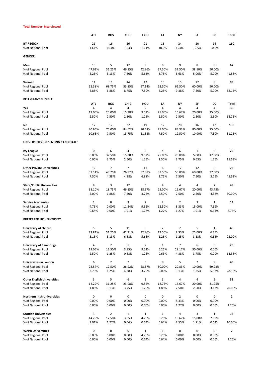#### **Total Number- Interviewed**

|                                                    | <b>ATL</b>   | <b>BOS</b>               | <b>CHIG</b>           | HOU                   | LA                    | <b>NY</b>      | SF             | DC                    | Total        |
|----------------------------------------------------|--------------|--------------------------|-----------------------|-----------------------|-----------------------|----------------|----------------|-----------------------|--------------|
| <b>BY REGION</b>                                   | 21           | 16                       | 26                    | 21                    | 16                    | 24             | 20             | 16                    | 160          |
| % of National Pool                                 | 13.1%        | 10.0%                    | 16.3%                 | 13.1%                 | 10.0%                 | 15.0%          | 12.5%          | 10.0%                 |              |
| <b>GENDER</b>                                      |              |                          |                       |                       |                       |                |                |                       |              |
| Men                                                | 10           | 5                        | 12                    | 9                     | 6                     | 9              | 8              | 8                     | 67           |
| % of Regional Pool                                 | 47.62%       | 31.25%                   | 46.15%                | 42.86%                | 37.50%                | 37.50%         | 38.10%         | 50.00%                |              |
| % of National Pool                                 | 6.25%        | 3.13%                    | 7.50%                 | 5.63%                 | 3.75%                 | 5.63%          | 5.00%          | 5.00%                 | 41.88%       |
| Women                                              | 11           | 11                       | 14                    | 12                    | 10                    | 15             | 12             | 8                     | 93           |
| % of Regional Pool                                 | 52.38%       | 68.75%                   | 53.85%                | 57.14%                | 62.50%                | 62.50%         | 60.00%         | 50.00%                |              |
| % of National Pool                                 | 6.88%        | 6.88%                    | 8.75%                 | 7.50%                 | 6.25%                 | 9.38%          | 7.50%          | 5.00%                 | 58.13%       |
|                                                    |              |                          |                       |                       |                       |                |                |                       |              |
| PELL GRANT ELIGIBLE                                | <b>ATL</b>   | <b>BOS</b>               | <b>CHIG</b>           | HOU                   | LA                    | NY             | SF             | DC                    | Total        |
| Yes                                                | 4            | 4                        | 4                     | $\overline{2}$        | 4                     | 4              | 4              | 4                     | 30           |
| % of Regional Pool                                 | 19.05%       | 25.00%                   | 15.38%                | 9.52%                 | 25.00%                | 16.67%         | 20.00%         | 25.00%                |              |
| % of National Pool                                 | 2.50%        | 2.50%                    | 2.50%                 | 1.25%                 | 2.50%                 | 2.50%          | 2.50%          | 2.50%                 | 18.75%       |
| No                                                 | 17           | 12                       | 22                    | 19                    | 12                    | 20             | 16             | 12                    | 130          |
| % of Regional Pool                                 | 80.95%       | 75.00%                   | 84.62%                | 90.48%                | 75.00%                | 83.33%         | 80.00%         | 75.00%                |              |
| % of National Pool                                 | 10.63%       | 7.50%                    | 13.75%                | 11.88%                | 7.50%                 | 12.50%         | 10.00%         | 7.50%                 | 81.25%       |
| UNIVERSITIES PRESENTING CANDIDATES                 |              |                          |                       |                       |                       |                |                |                       |              |
|                                                    | 0            | 6                        | 4                     | $\overline{2}$        | 4                     | 6              | $\mathbf{1}$   | 2                     | 25           |
| <b>Ivy League</b><br>% of Regional Pool            | 0.00%        | 37.50%                   | 15.38%                | 9.52%                 | 25.00%                | 25.00%         | 5.00%          | 12.50%                |              |
| % of National Pool                                 | 0.00%        | 3.75%                    | 2.50%                 | 1.25%                 | 2.50%                 | 3.75%          | 0.63%          | 1.25%                 | 15.63%       |
|                                                    |              |                          |                       |                       |                       |                |                |                       |              |
| <b>Other Private Universities</b>                  | 12           | $\overline{7}$           | 7                     | 11                    | 6                     | 12             | 12             | 6                     | 73           |
| % of Regional Pool                                 | 57.14%       | 43.75%                   | 26.92%                | 52.38%                | 37.50%                | 50.00%         | 60.00%         | 37.50%                |              |
| % of National Pool                                 | 7.50%        | 4.38%                    | 4.38%                 | 6.88%                 | 3.75%                 | 7.50%          | 7.50%          | 3.75%                 | 45.63%       |
| <b>State/Public Universities</b>                   | 8            | 3                        | 12                    | 6                     | 4                     | 4              | 4              | 7                     | 48           |
| % of Regional Pool                                 | 38.10%       | 18.75%                   | 46.15%                | 28.57%                | 25.00%                | 16.67%         | 20.00%         | 43.75%                |              |
| % of National Pool                                 | 5.00%        | 1.88%                    | 7.50%                 | 3.75%                 | 2.50%                 | 2.50%          | 2.50%          | 4.38%                 | 30.00%       |
| <b>Service Academies</b>                           | $\mathbf{1}$ | 0                        | 3                     | 2                     | 2                     | 2              | 3              | 1                     | 14           |
| % of Regional Pool                                 | 4.76%        | 0.00%                    | 11.54%                | 9.52%                 | 12.50%                | 8.33%          | 15.00%         | 7.69%                 |              |
| % of National Pool                                 | 0.64%        | 0.00%                    | 1.91%                 | 1.27%                 | 1.27%                 | 1.27%          | 1.91%          | 0.64%                 | 8.75%        |
| PREFERRED UK UNIVERSITY                            |              |                          |                       |                       |                       |                |                |                       |              |
| <b>University of Oxford</b>                        | 5            | 5                        | 11                    | 9                     | 2                     | $\overline{2}$ | 5              | 1                     | 40           |
| % of Regional Pool                                 | 23.81%       | 31.25%                   | 42.31%                | 42.86%                | 12.50%                | 8.33%          | 25.00%         | 6.25%                 |              |
| % of National Pool                                 | 3.13%        | 3.13%                    | 6.88%                 | 5.63%                 | 1.25%                 | 1.25%          | 3.13%          | 0.63%                 | 25.00%       |
| <b>University of Cambridge</b>                     | 4            | $\overline{2}$           | $\mathbf 1$           | $\overline{2}$        | $\mathbf 1$           | $\overline{7}$ | 6              | 0                     | 23           |
| % of Regional Pool                                 | 19.05%       | 12.50%                   | 3.85%                 | 9.52%                 | 6.25%                 | 29.17%         | 30.00%         | 0.00%                 |              |
| % of National Pool                                 | 2.50%        | 1.25%                    | 0.63%                 | 1.25%                 | 0.63%                 | 4.38%          | 3.75%          | 0.00%                 | 14.38%       |
| Universities in London                             | 6            | $\overline{2}$           | $\overline{7}$        | 6                     | 8                     | 5              | $\overline{2}$ | 9                     | 45           |
| % of Regional Pool                                 | 28.57%       | 12.50%                   | 26.92%                | 28.57%                | 50.00%                | 20.83%         | 10.00%         | 69.23%                |              |
| % of National Pool                                 | 3.75%        | 1.25%                    | 4.38%                 | 3.75%                 | 5.00%                 | 3.13%          | 1.25%          | 5.63%                 | 28.13%       |
| <b>Other English Universities</b>                  | 3            | 5                        | 6                     | $\overline{2}$        | 3                     | 4              | 4              | 5                     | 32           |
| % of Regional Pool                                 | 14.29%       | 31.25%                   | 23.08%                | 9.52%                 | 18.75%                | 16.67%         | 20.00%         | 31.25%                |              |
| % of National Pool                                 | 1.88%        | 3.13%                    | 3.75%                 | 1.25%                 | 1.88%                 | 2.50%          | 2.50%          | 3.13%                 | 20.00%       |
| <b>Northern Irish Universities</b>                 | 0            | 0                        | 0                     | 0                     | 0                     | $\overline{2}$ | 0              | 0                     | $\mathbf{2}$ |
| % of Regional Pool                                 | 0.00%        | 0.00%                    | 0.00%                 | 0.00%                 | 0.00%                 | 8.33%          | 0.00%          | 0.00%                 |              |
| % of National Pool                                 | 0.00%        | 0.00%                    | 0.00%                 | 0.00%                 | 0.00%                 | 1.27%          | 0.00%          | 0.00%                 | 1.25%        |
|                                                    |              |                          |                       |                       |                       |                |                |                       |              |
| <b>Scottish Universities</b><br>% of Regional Pool | 3<br>14.29%  | $\overline{2}$<br>12.50% | $\mathbf{1}$<br>3.85% | $\mathbf{1}$<br>4.76% | $\mathbf{1}$<br>6.25% | 4<br>16.67%    | 3<br>15.00%    | $\mathbf{1}$<br>7.69% | 16           |
| % of National Pool                                 | 1.91%        | 1.27%                    | 0.64%                 | 0.64%                 | 0.64%                 | 2.55%          | 1.91%          | 0.64%                 | 10.00%       |
|                                                    |              |                          |                       |                       |                       |                |                |                       |              |
| <b>Welsh Universities</b>                          | 0            | 0                        | 0                     | $\mathbf 1$           | $\mathbf 1$           | 0              | 0              | 0                     | $\mathbf{2}$ |
| % of Regional Pool                                 | 0.00%        | 0.00%                    | 0.00%                 | 4.76%                 | 6.25%                 | 0.00%          | 0.00%          | 0.00%                 |              |
| % of National Pool                                 | 0.00%        | 0.00%                    | 0.00%                 | 0.64%                 | 0.64%                 | 0.00%          | 0.00%          | 0.00%                 | 1.25%        |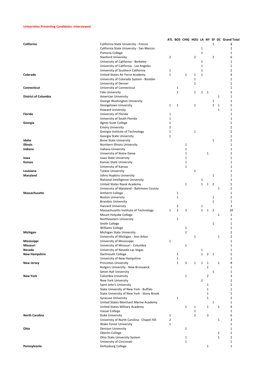## **Universities Presenting Candidates -Interviewed**

|                             |                                            |                |                |                |                |                |                |                |              | ATL BOS CHIG HOU LA NY SF DC Grand Total |
|-----------------------------|--------------------------------------------|----------------|----------------|----------------|----------------|----------------|----------------|----------------|--------------|------------------------------------------|
| California                  | California State University - Fresno       |                |                |                |                |                |                | $\mathbf{1}$   |              | 1                                        |
|                             | California State University - San Marcos   |                |                |                |                | $\mathbf{1}$   |                |                |              | $\mathbf{1}$                             |
|                             | Pomona College                             |                |                |                |                | $\mathbf 1$    |                |                |              | $\mathbf{1}$                             |
|                             | <b>Stanford University</b>                 | 2              |                |                | 2              |                |                | 2              |              | 6                                        |
|                             | University of California - Berkeley        |                |                |                |                | $\mathbf{1}$   |                |                |              | $\mathbf{1}$                             |
|                             | University of California - Los Angeles     |                |                |                |                | $\mathbf{1}$   |                |                |              | $\mathbf{1}$                             |
|                             | University of Southern California          | 1              |                |                |                | $\mathbf 1$    |                |                |              | $\overline{2}$                           |
| Colorado                    | United States Air Force Academy            | $\mathbf{1}$   |                | $\mathbf{1}$   | 1              | $\mathbf{1}$   |                |                |              | 4                                        |
|                             | University of Colorado System - Boulder    |                |                |                | $\mathbf{1}$   |                |                |                |              | $\mathbf{1}$                             |
|                             | University of Denver                       |                |                |                | 1              |                |                |                |              | $\mathbf{1}$                             |
| Connecticut                 | University of Connecticut                  |                | $\mathbf{1}$   |                |                |                |                |                |              | $\mathbf{1}$                             |
|                             |                                            |                | $\overline{2}$ |                | 1              | $\mathbf{1}$   | 1              |                |              | 5                                        |
|                             | <b>Yale University</b>                     |                |                |                |                |                |                |                | $\mathbf 1$  | $\mathbf 1$                              |
| <b>District of Columbia</b> | American University                        |                |                |                |                |                |                |                |              |                                          |
|                             | George Washington University               |                |                |                |                |                |                | 1              |              | $\mathbf{1}$                             |
|                             | Georgetown University                      | 1              | $\mathbf{1}$   |                | 1              |                |                | $\mathbf{1}$   | 1            | 5                                        |
|                             | <b>Howard University</b>                   |                |                |                |                |                |                |                | $\mathbf{1}$ | $\mathbf 1$                              |
| Florida                     | University of Florida                      | 1              |                |                |                |                |                |                |              | $\mathbf{1}$                             |
|                             | University of South Florida                | 1              |                |                |                |                |                |                |              | $\mathbf{1}$                             |
| Georgia                     | Agnes Scott College                        | 1              |                |                |                |                |                |                |              | $\mathbf 1$                              |
|                             | <b>Emory University</b>                    | $\overline{2}$ |                |                |                |                |                |                |              | $\overline{2}$                           |
|                             | Georgia Institute of Technology            | $\mathbf 1$    |                |                | 1              |                |                |                |              | $\overline{2}$                           |
|                             | Georgia State University                   | 1              |                |                |                |                |                |                |              | $\mathbf{1}$                             |
| Idaho                       | <b>Boise State University</b>              |                |                |                |                |                |                | 1              |              | $\mathbf{1}$                             |
| <b>Illinois</b>             | Northern Illinois University               |                |                | $\mathbf 1$    |                |                |                |                |              | $\mathbf 1$                              |
| Indiana                     | Indiana University                         |                |                | $\mathbf 1$    |                |                |                |                |              | $\mathbf{1}$                             |
|                             | University of Notre Dame                   |                |                | $\mathbf 1$    |                |                | 1              |                |              | $\overline{2}$                           |
| lowa                        | Iowa State University                      |                |                | $\mathbf{1}$   |                |                |                |                |              | $\mathbf{1}$                             |
| Kansas                      | Kansas State University                    |                |                | $\mathbf 1$    |                |                |                |                |              | $\mathbf{1}$                             |
|                             | University of Kansas                       |                |                | $\mathbf{1}$   |                |                |                |                |              | $\mathbf{1}$                             |
| Louisiana                   | <b>Tulane University</b>                   |                |                |                | 1              |                |                |                |              | $\mathbf{1}$                             |
| Maryland                    | Johns Hopkins University                   |                |                |                |                |                |                | $\mathbf{1}$   |              | $\mathbf{1}$                             |
|                             | National Intelligence University           |                |                |                |                | $1\,$          |                |                |              | $\mathbf 1$                              |
|                             |                                            |                |                | $\mathbf{1}$   |                | $\mathbf{1}$   | $\mathbf{1}$   | $\overline{2}$ |              | 5                                        |
|                             | United States Naval Academy                |                |                |                |                |                |                |                |              |                                          |
|                             | University of Maryland - Baltimore County  |                |                |                |                |                |                |                | 1            | $\mathbf{1}$                             |
| Massachusetts               | Amherst College                            |                | $\mathbf{1}$   |                |                |                |                |                |              | $\mathbf 1$                              |
|                             | <b>Boston University</b>                   |                | $\mathbf{1}$   |                |                |                |                | $\mathbf{1}$   |              | $\overline{2}$                           |
|                             | <b>Brandeis University</b>                 |                |                |                |                |                |                | $\mathbf{1}$   |              | $\mathbf{1}$                             |
|                             | Harvard University                         |                | 2              |                |                | $\mathbf{1}$   |                |                |              | 3                                        |
|                             | Massachusetts Institute of Technology      | $\mathbf{1}$   | $\overline{2}$ | 3              |                | $\mathbf{1}$   | $\mathbf{1}$   | $\overline{2}$ |              | 10                                       |
|                             | Mount Holyoke College                      |                |                |                |                |                |                |                | $\mathbf{1}$ | $\mathbf{1}$                             |
|                             | Northeastern University                    |                | $\mathbf{1}$   |                |                |                |                |                |              | $\mathbf 1$                              |
|                             | Smith College                              |                |                |                |                |                |                | 1              |              | $\mathbf{1}$                             |
|                             | Williams College                           |                |                | 1              |                |                |                |                |              | $\mathbf 1$                              |
| Michigan                    | Michigan State University                  |                |                | $\overline{2}$ |                |                |                |                |              | $\overline{2}$                           |
|                             | University of Michigan - Ann Arbor         |                |                |                | 1              |                |                |                | $\mathbf 1$  | $\overline{2}$                           |
| Mississippi                 | University of Mississippi                  | 1              |                |                |                |                |                |                |              | 1                                        |
| Missouri                    | University of Missouri - Columbia          |                |                | 1              |                |                |                |                |              | $\mathbf{1}$                             |
| Nevada                      | University of Nevada-Las Vegas             |                |                |                |                | $1\,$          |                |                |              | $\mathbf{1}$                             |
| <b>New Hampshire</b>        | Dartmouth College                          |                | 1              |                |                | $\mathbf{1}$   | $\overline{2}$ | $\overline{1}$ |              | 5                                        |
|                             | University of New Hampshire                |                | $\mathbf{1}$   |                |                |                |                |                |              | $\mathbf{1}$                             |
| <b>New Jersey</b>           | Princeton University                       |                | $\mathbf{1}$   | 3              | $\mathbf{1}$   | $\mathbf{1}$   | 1              |                | $\mathbf{1}$ | 8                                        |
|                             | Rutgers University - New Brunswick         |                |                |                |                |                | $\mathbf{1}$   |                |              | 1                                        |
|                             | Seton Hall University                      |                |                |                |                |                |                | 1              |              | $\mathbf{1}$                             |
| <b>New York</b>             | Columbia University                        |                |                | $\mathbf{1}$   |                |                | $\overline{2}$ |                |              | 3                                        |
|                             | New York University                        |                |                |                |                | $\overline{2}$ |                |                |              | 2                                        |
|                             | Saint John's University                    |                |                |                |                |                | 1              |                |              | $\mathbf{1}$                             |
|                             | State University of New York - Buffalo     |                |                |                |                |                | $\mathbf{1}$   |                |              | $\mathbf{1}$                             |
|                             |                                            |                |                |                |                |                |                |                |              |                                          |
|                             | State University of New York - Stony Brook |                |                |                |                |                | $\mathbf{1}$   |                |              | $\mathbf{1}$<br>$\overline{2}$           |
|                             | <b>Syracuse University</b>                 |                | $\mathbf{1}$   |                |                |                | $\mathbf 1$    |                |              |                                          |
|                             | United States Merchant Marine Academy      |                |                |                |                |                |                | 1              |              | 1                                        |
|                             | United States Military Academy             |                |                | $\mathbf 1$    | 1              |                | $\mathbf 1$    |                | $\mathbf{1}$ | 4                                        |
|                             | Vassar College                             |                |                |                | 1              |                |                |                |              | $\mathbf 1$                              |
| <b>North Carolina</b>       | Duke University                            | $\mathbf 1$    |                |                | $\overline{2}$ |                | 3              |                |              | 6                                        |
|                             | University of North Carolina - Chapel Hill | 2              |                |                |                |                |                |                | $\mathbf{1}$ | 3                                        |
|                             | Wake Forest University                     | 1              |                |                |                |                |                |                |              | 1                                        |
| Ohio                        | <b>Denison University</b>                  |                |                | $\mathbf{1}$   |                |                |                |                |              | $\mathbf{1}$                             |
|                             | Oberlin College                            |                |                |                |                |                |                |                | $\mathbf 1$  | 1                                        |
|                             | Ohio State University System               |                |                | $\mathbf{1}$   |                |                |                |                | $\mathbf{1}$ | 2                                        |
|                             | University of Cincinnati                   |                |                | $\mathbf{1}$   |                |                |                |                |              | 1                                        |
| Pennsylvania                | Gettysburg College                         |                |                |                |                |                | $\mathbf{1}$   |                |              | 1                                        |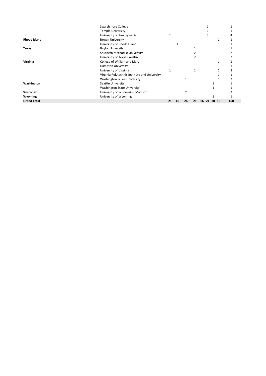|                     | Swarthmore College                            |    |    |    |    |             |  |     |  |
|---------------------|-----------------------------------------------|----|----|----|----|-------------|--|-----|--|
|                     | <b>Temple University</b>                      |    |    |    |    |             |  |     |  |
|                     | University of Pennsylvania                    |    |    |    |    |             |  |     |  |
| <b>Rhode Island</b> | <b>Brown University</b>                       |    |    |    |    |             |  |     |  |
|                     | University of Rhode Island                    |    |    |    |    |             |  |     |  |
| <b>Texas</b>        | <b>Baylor University</b>                      |    |    |    |    |             |  |     |  |
|                     | Southern Methodist University                 |    |    |    |    |             |  |     |  |
|                     | University of Texas - Austin                  |    |    |    |    |             |  |     |  |
| Virginia            | College of William and Mary                   |    |    |    |    |             |  |     |  |
|                     | <b>Hampton University</b>                     |    |    |    |    |             |  |     |  |
|                     | University of Virginia                        |    |    |    |    |             |  |     |  |
|                     | Virginia Polytechnic Institute and University |    |    |    |    |             |  |     |  |
|                     | Washington & Lee University                   |    |    |    |    |             |  |     |  |
| Washington          | Seattle University                            |    |    |    |    |             |  |     |  |
|                     | Washington State University                   |    |    |    |    |             |  |     |  |
| <b>Wisconsin</b>    | University of Wisconsin - Madison             |    |    |    |    |             |  |     |  |
| Wyoming             | University of Wyoming                         |    |    |    |    |             |  |     |  |
| <b>Grand Total</b>  |                                               | 21 | 16 | 26 | 21 | 16 24 20 13 |  | 160 |  |
|                     |                                               |    |    |    |    |             |  |     |  |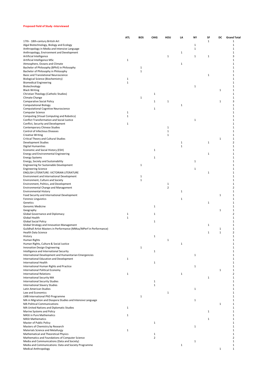#### **Proposed Field of Study -Interviewed**

|                                                                                     | ATL          | <b>BOS</b>   | CHIG           | HOU            | LA           | <b>NY</b>    | SF           | DC           | <b>Grand Total</b> |
|-------------------------------------------------------------------------------------|--------------|--------------|----------------|----------------|--------------|--------------|--------------|--------------|--------------------|
| 17th - 18th-century British Art                                                     |              |              |                |                |              |              | $\mathbf{1}$ |              | $\mathbf{1}$       |
| Algal Biotechnology, Biology and Ecology                                            |              |              |                |                |              | 1            |              |              | $\mathbf{1}$       |
| Anthropology in Media and Intensive Language                                        |              |              |                |                |              | $\mathbf 1$  |              |              | $\mathbf 1$        |
| Anthropology, Environment and Development                                           |              |              |                |                | 1            |              |              |              | 1                  |
| Artificial Intelligence                                                             | $\mathbf 1$  |              |                | 1              |              | $\mathbf{1}$ | 1            |              | 3<br>1             |
| Artificial Intelligence MSc<br>Atmosphere, Oceans and Climate                       |              |              |                |                | $\mathbf 1$  |              |              |              | 1                  |
| Bachelor of Philosophy (BPhil) in Philosophy                                        |              | $\mathbf 1$  |                |                |              |              |              |              | 1                  |
| Bachelor of Philosophy in Philosophy                                                |              | $\mathbf{1}$ |                |                |              |              |              |              | 1                  |
| Basic and Translational Neuroscience                                                |              |              |                |                |              |              | 1            |              | 1                  |
| Biological Science (Biochemistry)                                                   | 1            |              |                |                |              |              |              |              | 1                  |
| <b>Biomedical Engineering</b>                                                       | $\mathbf 1$  |              |                |                |              |              |              |              | 1                  |
| Biotechnology                                                                       |              |              |                |                |              | $\mathbf 1$  |              |              | 1                  |
| <b>Black Writing</b>                                                                |              |              |                |                |              |              |              | $\mathbf{1}$ | $\mathbf{1}$       |
| Christian Theology (Catholic Studies)                                               |              |              | $\mathbf{1}$   |                |              |              |              |              | $\mathbf{1}$       |
| Climate Change                                                                      |              | $\mathbf 1$  |                |                |              |              |              |              | 1                  |
| <b>Comparative Social Policy</b>                                                    |              |              | 1              | 1              |              |              |              | 1            | 3                  |
| <b>Computational Biology</b>                                                        |              |              |                |                | $\mathbf 1$  |              |              |              | 1                  |
| <b>Computational Cognitive Neuroscience</b><br>Computer Science                     | $\mathbf{1}$ |              | $\mathbf{1}$   |                |              |              |              |              | 1<br>1             |
| Computing (Visual Computing and Robotics)                                           | 1            |              |                |                |              |              |              |              | 1                  |
| Conflict Transformation and Social Justice                                          |              |              |                |                |              | 1            |              |              | 1                  |
| Conflict, Security and Development                                                  | 1            |              |                |                |              |              |              |              | 1                  |
| <b>Contemporary Chinese Studies</b>                                                 |              |              |                | $\mathbf 1$    |              |              |              |              | 1                  |
| Control of Infectious Diseases                                                      |              |              |                | $\mathbf 1$    |              |              |              |              | $\mathbf{1}$       |
| <b>Creative Writing</b>                                                             |              |              |                | $\mathbf{1}$   |              |              |              |              | $\mathbf{1}$       |
| Critical Theory and Cultural Studies                                                |              |              |                |                |              |              |              | 1            | 1                  |
| Development Studies                                                                 |              |              |                |                | $\mathbf{1}$ |              | $\mathbf 1$  |              | $\overline{2}$     |
| <b>Digital Humanities</b>                                                           |              |              |                |                | $\mathbf{1}$ |              |              |              | 1                  |
| Economic and Social History (ESH)                                                   |              |              | $\mathbf{1}$   |                |              |              |              |              | 1                  |
| Energy and Environmental Engineering                                                |              |              |                |                |              |              | 1            |              | 1                  |
| <b>Energy Systems</b>                                                               |              |              | 1              |                |              |              |              |              | 1                  |
| Energy, Society and Sustainability                                                  |              |              |                |                |              | $\mathbf 1$  |              |              | 1                  |
| Engineering for Sustainable Development                                             |              | $\mathbf 1$  |                |                |              |              |              |              | 1                  |
| <b>Engineering Science</b><br>ENGLISH LITERATURE: VICTORIAN LITERATURE              |              |              |                |                |              | 1            | 1            |              | 1<br>1             |
| Environment and International Development                                           |              | $\mathbf{1}$ |                |                |              |              |              |              | 1                  |
| Environment, Culture and Society                                                    |              | $\mathbf 1$  |                |                |              |              |              |              | 1                  |
| Environment, Politics, and Development                                              |              |              |                | 1              |              |              |              |              | 1                  |
| Environmental Change and Management                                                 |              |              |                | $\overline{2}$ |              |              |              |              | $\overline{2}$     |
| <b>Environmental History</b>                                                        |              |              |                |                | $\mathbf 1$  |              |              |              | 1                  |
| Food Security and International Development                                         |              |              |                |                |              |              |              | 1            | 1                  |
| <b>Forensic Linguistics</b>                                                         |              |              |                |                | $\mathbf{1}$ |              |              |              | 1                  |
| Genetics                                                                            |              |              |                |                |              |              | $\mathbf{1}$ |              | 1                  |
| Genomic Medicine                                                                    |              |              | $\mathbf{1}$   |                |              |              |              |              | $\mathbf{1}$       |
| Geography                                                                           |              |              |                |                |              |              |              | 1            | 1                  |
| Global Governance and Diplomacy                                                     | 1            |              | 1              |                |              |              |              |              | 2                  |
| Global Health<br><b>Global Social Policy</b>                                        | $\mathbf{1}$ |              |                |                |              |              |              |              | 1<br>1             |
| Global Strategy and Innovation Management                                           |              |              | $\mathbf 1$    |                |              |              | 1            |              | $\mathbf{1}$       |
| Guildhall Artist Masters in Performance (MMus/MPerf in Performance)                 |              |              |                |                |              |              |              | $\mathbf{1}$ | 1                  |
| <b>Health Data Science</b>                                                          |              |              |                |                |              |              | 1            | $\mathbf{1}$ | $\overline{2}$     |
| History                                                                             |              |              | 1              |                |              |              |              |              | 1                  |
| Human Rights                                                                        |              |              |                | 1              |              |              |              |              | 1                  |
| Human Rights, Culture & Social Justice                                              |              |              |                |                | $\mathbf 1$  |              |              |              | 1                  |
| Innovation Design Engineering                                                       |              | $\mathbf 1$  |                |                |              |              |              |              | $\mathbf{1}$       |
| Intelligence and International Security                                             |              |              | 1              |                |              |              |              |              | 1                  |
| International Development and Humanitarian Emergencies                              |              |              |                |                |              | $\mathbf 1$  |              |              | 1                  |
| International Education and Development                                             | 1            |              |                |                |              |              |              |              | 1                  |
| <b>International Health</b>                                                         |              |              | $\mathbf 1$    |                |              |              |              |              | 1                  |
| International Human Rights and Practice                                             |              |              |                |                |              | 1            |              |              | $\mathbf{1}$       |
| International Political Economy                                                     |              |              |                |                |              |              |              | 1            | $\mathbf{1}$       |
| <b>International Relations</b>                                                      | $\mathbf{1}$ |              |                |                | $\mathbf 1$  |              |              |              | $\overline{2}$     |
| <b>International Security MA</b><br><b>International Security Studies</b>           |              |              | $\mathbf 1$    |                |              |              | $\mathbf{1}$ |              | 1<br>1             |
| International Slavery Studies                                                       |              |              | $\mathbf{1}$   |                |              |              |              |              | 1                  |
| Latin American Studies                                                              |              |              |                |                |              | 1            |              |              | 1                  |
| Law and Economics                                                                   |              |              |                | $\mathbf{1}$   |              |              |              |              | 1                  |
| LMB International PhD Programme                                                     |              | $\mathbf 1$  |                |                |              |              |              |              | 1                  |
| MA in Migration and Diaspora Studies and Intensive Language                         |              |              |                |                |              | 1            |              |              | 1                  |
| <b>MA Political Communications</b>                                                  |              |              |                |                |              |              |              | $\mathbf{1}$ | $\mathbf{1}$       |
| MA United Nations and Diplomatic Studies                                            | $\mathbf{1}$ |              |                |                |              |              |              |              | 1                  |
| Marine Systems and Policy                                                           |              |              |                |                |              |              | 1            |              | 1                  |
| <b>MASt in Pure Mathematics</b>                                                     | $\mathbf{1}$ |              |                |                |              |              |              |              | $\mathbf{1}$       |
| <b>MASt Mathematics</b>                                                             |              |              |                |                |              |              | 1            |              | 1                  |
| Master of Public Policy                                                             |              |              | $\mathbf 1$    |                |              |              |              |              | 1                  |
| Masters of Chemistry by Research                                                    |              |              |                |                |              | 1            |              |              | 1                  |
| Materials Science and Metallurgy                                                    | 1            |              |                |                |              |              |              |              | 1                  |
| Mathematical and Theoretical Physics                                                |              |              | 1              |                |              |              |              |              | 1                  |
| Mathematics and Foundations of Computer Science                                     |              |              | $\overline{2}$ |                |              |              |              |              | $\overline{2}$     |
| Media and Communications (Data and Society)                                         |              |              |                |                |              | 1            |              |              | $\mathbf{1}$       |
| Media and Communications: Data and Society Programme<br><b>Medical Anthropology</b> |              |              |                |                | $\mathbf{1}$ |              |              | $\mathbf 1$  | 1<br>$\mathbf{1}$  |
|                                                                                     |              |              |                |                |              |              |              |              |                    |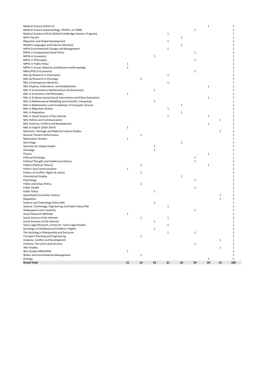| Medical Science (CRUK CI)                                                        |              |             |              |             |              |              | $\mathbf 1$  |              | $\mathbf 1$                  |
|----------------------------------------------------------------------------------|--------------|-------------|--------------|-------------|--------------|--------------|--------------|--------------|------------------------------|
| Medical Science (Haematology, CRUKCI, or CIMR)                                   |              |             |              |             |              | $\mathbf{1}$ |              |              | $\mathbf 1$                  |
| Medical Sciences-CRUK (Oxford-Cambridge Scholars Program)<br><b>MFA Fine Art</b> |              |             |              | 1           | 1            |              |              |              | 1<br>$\mathbf 1$             |
| Migration and Global Development                                                 |              |             |              | $\mathbf 1$ |              |              |              |              | $\mathbf{1}$                 |
| Modern Languages and Cultures (Russian)                                          |              |             |              |             | 1            |              |              |              | $\mathbf{1}$                 |
| MPhil Environmental Change and Management                                        |              |             |              | $\mathbf 1$ |              |              |              |              | $\mathbf{1}$                 |
| MPhil in Comparative Social Policy                                               |              |             |              |             |              | 1            |              |              | $\mathbf{1}$                 |
| <b>MPhil in Economics</b>                                                        |              |             | $\mathbf{1}$ |             |              |              |              |              | $\mathbf{1}$                 |
| MPhil in Philosophy                                                              |              |             |              |             |              | $\mathbf{1}$ |              |              | 1                            |
| MPhil in Public Policy                                                           | $\mathbf{1}$ |             |              |             |              |              |              |              | $\mathbf{1}$                 |
| MPhil in Visual, Material and Museum Anthropology                                | $\mathbf 1$  |             |              |             |              |              |              |              | 1                            |
| MRes/PhD in Economics                                                            |              |             |              |             |              | 1            |              |              | $\mathbf{1}$                 |
| MSc by Research in Informatics                                                   |              |             |              | $\mathbf 1$ |              |              |              |              | $\mathbf{1}$                 |
| MSc by Research in Oncology                                                      |              | $\mathbf 1$ |              |             |              |              |              |              | $\mathbf{1}$                 |
| MSc Contemporary Identities<br>MSc Empires, Colonialism, and Globalisation       |              |             |              | 1           |              |              | $\mathbf{1}$ |              | $\mathbf{1}$<br>$\mathbf{1}$ |
| MSc in Econometrics Mathematical and Economics                                   |              |             | $\mathbf{1}$ |             |              |              |              |              | 1                            |
| MSc in Economics and Philosophy                                                  | $\mathbf{1}$ |             |              |             |              |              |              |              | $\mathbf{1}$                 |
| MSc in Evidence-based Social Intervention and Policy Evaluation                  |              |             |              |             |              |              | $\mathbf{1}$ |              | $\mathbf{1}$                 |
| MSc in Mathematical Modelling and Scientific Computing                           |              |             | 1            |             |              |              |              |              | $\mathbf{1}$                 |
| MSc in Mathematics and Foundations of Computer Science                           |              |             |              |             | $\mathbf{1}$ |              |              |              | 1                            |
| MSc in Migration Studies                                                         |              |             |              | 1           |              |              |              |              | $\mathbf{1}$                 |
| MSc in Regulation                                                                |              |             |              |             | 1            |              |              |              | $\mathbf{1}$                 |
| MSc in Social Science of the Internet                                            |              |             |              | $\mathbf 1$ |              |              | $\mathbf{1}$ |              | 2                            |
| MSc Politics and Communication                                                   |              |             |              |             |              |              |              | $\mathbf 1$  | $\mathbf 1$                  |
| MSc Violence, Conflict and Development                                           |              |             |              |             |              |              | $\mathbf{1}$ |              | $\mathbf 1$                  |
| MSt in English (1830-1914)                                                       | 1            |             |              |             |              |              |              |              | $\mathbf{1}$                 |
| Museums, Heritage and Material Culture Studies                                   |              |             |              |             |              |              |              | $\mathbf{1}$ | $\mathbf{1}$                 |
| Musical Theatre Performance<br><b>Nationalism Studies</b>                        |              | $\mathbf 1$ |              |             |              |              |              |              | 1                            |
| Neurology                                                                        | 1            |             |              |             | $\mathbf 1$  |              |              |              | $\mathbf{1}$<br>$\mathbf{1}$ |
| Nutrition for Global Health                                                      |              |             | 1            |             |              |              |              |              | $\mathbf{1}$                 |
| Oncology                                                                         |              |             | $\mathbf 1$  |             |              |              |              |              | $\mathbf{1}$                 |
| Physics                                                                          |              |             |              |             |              |              | $\mathbf{1}$ |              | $\mathbf{1}$                 |
| Political Sociology                                                              |              |             |              |             |              | 1            |              |              | $\mathbf{1}$                 |
| Political Thought and Intellectual History                                       |              |             |              |             |              | $\mathbf{1}$ |              |              | $\mathbf{1}$                 |
| Politics (Political Theory)                                                      |              | $\mathbf 1$ |              |             |              |              | $\mathbf{1}$ |              | $\overline{2}$               |
| Politics and Communication                                                       | $\mathbf{1}$ |             |              |             |              |              |              |              | $\mathbf{1}$                 |
| Politics of Conflict, Rights & Justice                                           |              | $\mathbf 1$ |              |             |              |              |              |              | $\mathbf{1}$                 |
| <b>Postcolonial Studies</b>                                                      |              |             |              |             | $\mathbf 1$  |              |              |              | $\mathbf{1}$                 |
| Psychology                                                                       |              |             |              |             |              | $\mathbf{1}$ |              |              | 1                            |
| Public and Urban Policy                                                          |              | $\mathbf 1$ |              |             |              |              |              |              | 1                            |
| Public Health                                                                    |              |             |              |             |              | $\mathbf{1}$ |              |              | $\mathbf{1}$                 |
| <b>Public Policy</b>                                                             |              |             | $\mathbf{1}$ |             |              |              |              | $\mathbf{1}$ | 1<br>$\mathbf{1}$            |
| Quantitative Economic History<br>Regulation                                      |              |             |              |             |              |              |              | $\mathbf{1}$ | $\mathbf{1}$                 |
| Science and Technology Policy MSc                                                |              |             | $\mathbf 1$  |             |              |              |              |              | $\mathbf{1}$                 |
| Science, Technology, Engineering and Public Policy PhD                           |              |             |              | $\mathbf 1$ |              |              |              |              | $\mathbf{1}$                 |
| Shakespeare and Creativity                                                       |              |             |              |             |              | $\mathbf{1}$ |              |              | 1                            |
| Social Research Methods                                                          | $\mathbf{1}$ |             |              |             |              |              |              |              | $\mathbf{1}$                 |
| Social Science of the Internet                                                   |              | $\mathbf 1$ |              | $\mathbf 1$ |              |              |              |              | $\overline{2}$               |
| Social Sciences of the Internet                                                  |              |             | $\mathbf 1$  |             |              |              |              |              | $\mathbf{1}$                 |
| Socio-Legal Research, Centre for Socio-Legal Studies                             |              |             |              | 1           |              |              |              |              | 1                            |
| Sociology of Childhood and Children's Rights                                     |              |             | $\mathbf{1}$ |             |              |              |              |              | $\mathbf{1}$                 |
| The Sociology of Marginality and Exclusion                                       |              |             |              | $\mathbf 1$ |              | $\mathbf{1}$ |              |              | $\overline{2}$               |
| <b>Transport Planning and Engineering</b>                                        |              | $\mathbf 1$ |              |             |              |              |              |              | $\mathbf{1}$                 |
| Violence, Conflict and Development                                               |              |             |              |             |              |              |              | $\mathbf{1}$ | $\mathbf{1}$                 |
| Violence, Terrorism and Security                                                 |              |             |              |             |              | $\mathbf{1}$ |              |              | $\mathbf 1$                  |
| War Studies                                                                      |              |             |              |             |              |              |              | $\mathbf 1$  | $\mathbf{1}$                 |
| War Studies MPhil/PhD<br>Water and Environmental Management                      | $\mathbf{1}$ | $\mathbf 1$ |              |             |              |              |              |              | $\mathbf 1$<br>$\mathbf{1}$  |
| Zoology                                                                          |              |             |              |             |              |              | $\mathbf{1}$ |              | $\mathbf{1}$                 |
| <b>Grand Total</b>                                                               | 21           | 16          | 26           | 21          | 16           | 24           | 20           | 13           | 160                          |
|                                                                                  |              |             |              |             |              |              |              |              |                              |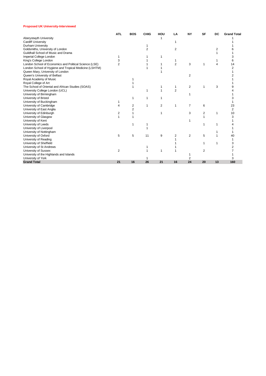#### **Proposed UK University-Interviewed**

|                                                        | <b>ATL</b> | <b>BOS</b>              | CHIG | HOU | LA             | <b>NY</b>      | SF             | DC             | <b>Grand Total</b> |
|--------------------------------------------------------|------------|-------------------------|------|-----|----------------|----------------|----------------|----------------|--------------------|
| Aberystwyth University                                 |            |                         |      |     |                |                |                |                |                    |
| <b>Cardiff University</b>                              |            |                         |      |     |                |                |                |                |                    |
| Durham University                                      |            |                         |      |     |                |                |                |                |                    |
| Goldsmiths, University of London                       |            |                         | 2    |     | 2              |                |                | $\overline{2}$ |                    |
| Guildhall School of Music and Drama                    |            |                         |      |     |                |                |                |                |                    |
| Imperial College London                                |            |                         |      | 1   |                |                |                |                |                    |
| King's College London                                  |            |                         |      |     |                |                |                |                |                    |
| London School of Economics and Political Science (LSE) |            |                         |      |     | $\overline{2}$ | 3              | $\mathbf 1$    | 4              | 14                 |
| London School of Hygiene and Tropical Medicine (LSHTM) |            |                         |      |     |                |                |                |                |                    |
| Queen Mary, University of London                       |            |                         |      |     |                |                |                |                |                    |
| Queen's University of Belfast                          |            |                         |      |     |                | 2              |                |                |                    |
| Royal Academy of Music                                 |            |                         |      |     |                |                |                |                |                    |
| Royal College of Art                                   |            |                         |      |     |                |                |                |                |                    |
| The School of Oriental and African Studies (SOAS)      |            |                         |      |     | 1              | $\overline{2}$ | 1              | 3              |                    |
| University College London (UCL)                        |            |                         |      |     | $\overline{2}$ |                |                |                |                    |
| University of Birmingham                               |            |                         |      |     |                |                |                |                |                    |
| University of Bristol                                  |            | 1                       |      |     |                |                |                |                |                    |
| University of Buckingham                               |            |                         |      |     |                |                |                |                |                    |
| University of Cambridge                                |            | $\overline{\mathbf{c}}$ | 1    | 2   |                | $\overline{7}$ | 6              |                | 23                 |
| University of East Anglia                              |            | 2                       |      |     |                |                |                |                | $\overline{2}$     |
| University of Edinburgh                                | 2          |                         |      |     |                | 3              | $\overline{2}$ |                | 10                 |
| University of Glasgow                                  |            |                         |      |     |                |                |                |                |                    |
| University of Kent                                     |            |                         |      |     |                |                |                |                |                    |
| University of Leeds                                    |            | 1                       |      |     |                |                | 1              |                |                    |
| University of Liverpool                                |            |                         |      |     |                |                |                |                |                    |
| University of Nottingham                               |            |                         |      |     |                |                |                |                |                    |
| University of Oxford                                   | 5          | 5                       | 11   | 9   | 2              | 2              | 5              |                | 40                 |
| University of Reading                                  |            |                         |      |     |                |                |                |                |                    |
| University of Sheffield                                |            |                         |      |     |                |                |                |                |                    |
| University of St Andrews                               |            |                         |      |     |                |                |                |                |                    |
| University of Sussex                                   | 2          |                         |      |     |                |                | 2              |                |                    |
| University of the Highlands and Islands                |            |                         |      |     |                |                |                |                |                    |
| University of York                                     |            |                         |      |     |                | 2              |                |                | 3                  |
| <b>Grand Total</b>                                     | 21         | 16                      | 26   | 21  | 16             | 24             | 20             | 13             | 160                |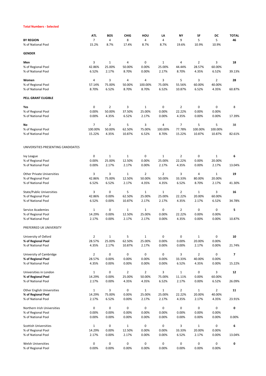## **Total Numbers - Selected**

|                                    | <b>ATL</b>     | <b>BOS</b>     | <b>CHIG</b>  | HOU            | LA             | NΥ             | SF             | DC             | <b>TOTAL</b> |
|------------------------------------|----------------|----------------|--------------|----------------|----------------|----------------|----------------|----------------|--------------|
| <b>BY REGION</b>                   | 7              | 4              | 8            | 4              | 4              | 9              | 5              | 5              | 46           |
| % of National Pool                 | 15.2%          | 8.7%           | 17.4%        | 8.7%           | 8.7%           | 19.6%          | 10.9%          | 10.9%          |              |
| <b>GENDER</b>                      |                |                |              |                |                |                |                |                |              |
| Men                                | 3              | $\mathbf{1}$   | 4            | 0              | 1              | 4              | $\overline{2}$ | 3              | 18           |
| % of Regional Pool                 | 42.86%         | 25.00%         | 50.00%       | 0.00%          | 25.00%         | 44.44%         | 28.57%         | 60.00%         |              |
| % of National Pool                 | 6.52%          | 2.17%          | 8.70%        | 0.00%          | 2.17%          | 8.70%          | 4.35%          | 6.52%          | 39.13%       |
| Women                              | 4              | 3              | 4            | 4              | 3              | 5              | 3              | $\overline{2}$ | 28           |
| % of Regional Pool                 | 57.14%         | 75.00%         | 50.00%       | 100.00%        | 75.00%         | 55.56%         | 60.00%         | 40.00%         |              |
| % of National Pool                 | 8.70%          | 6.52%          | 8.70%        | 8.70%          | 6.52%          | 10.87%         | 6.52%          | 4.35%          | 60.87%       |
| PELL GRANT ELIGIBLE                |                |                |              |                |                |                |                |                |              |
| Yes                                | 0              | $\overline{2}$ | 3            | 1              | 0              | $\overline{2}$ | 0              | 0              | 8            |
| % of Regional Pool                 | 0.00%          | 50.00%         | 37.50%       | 25.00%         | 0.00%          | 22.22%         | 0.00%          | 0.00%          |              |
| % of National Pool                 | 0.00%          | 4.35%          | 6.52%        | 2.17%          | 0.00%          | 4.35%          | 0.00%          | 0.00%          | 17.39%       |
| No                                 | 7              | $\overline{2}$ | 5            | 3              | 4              | $\overline{7}$ | 5              | 5              | 38           |
| % of Regional Pool                 | 100.00%        | 50.00%         | 62.50%       | 75.00%         | 100.00%        | 77.78%         | 100.00%        | 100.00%        |              |
| % of National Pool                 | 15.22%         | 4.35%          | 10.87%       | 6.52%          | 8.70%          | 15.22%         | 10.87%         | 10.87%         | 82.61%       |
| UNIVERSITIES PRESENTING CANDIDATES |                |                |              |                |                |                |                |                |              |
| <b>Ivy League</b>                  | 0              | 1              | 1            | 0              | 1              | 2              | 0              | 1              | 6            |
| % of Regional Pool                 | 0.00%          | 25.00%         | 12.50%       | 0.00%          | 25.00%         | 22.22%         | 0.00%          | 20.00%         |              |
| % of National Pool                 | 0.00%          | 2.17%          | 2.17%        | 0.00%          | 2.17%          | 4.35%          | 0.00%          | 2.17%          | 13.04%       |
|                                    |                |                |              |                |                |                |                |                |              |
| <b>Other Private Universities</b>  | 3              | 3              | $\mathbf{1}$ | $\overline{2}$ | $\overline{2}$ | 3              | 4              | $\mathbf{1}$   | 19           |
| % of Regional Pool                 | 42.86%         | 75.00%         | 12.50%       | 50.00%         | 50.00%         | 33.33%         | 80.00%         | 20.00%         |              |
| % of National Pool                 | 6.52%          | 6.52%          | 2.17%        | 4.35%          | 4.35%          | 6.52%          | 8.70%          | 2.17%          | 41.30%       |
| State/Public Universities          | 3              | 0              | 5            | 1              | 1              | $\overline{2}$ | $\mathbf{1}$   | 3              | 16           |
| % of Regional Pool                 | 42.86%         | 0.00%          | 62.50%       | 25.00%         | 25.00%         | 22.22%         | 20.00%         | 60.00%         |              |
| % of National Pool                 | 6.52%          | 0.00%          | 10.87%       | 2.17%          | 2.17%          | 4.35%          | 2.17%          | 6.52%          | 34.78%       |
| Service Academies                  | $\mathbf{1}$   | 0              | 1            | 1              | 0              | 2              | 0              | 0              | 5            |
| % of Regional Pool                 | 14.29%         | 0.00%          | 12.50%       | 25.00%         | 0.00%          | 22.22%         | 0.00%          | 0.00%          |              |
| % of National Pool                 | 2.17%          | 0.00%          | 2.17%        | 2.17%          | 0.00%          | 4.35%          | 0.00%          | 0.00%          | 10.87%       |
| PREFERRED UK UNIVERSITY            |                |                |              |                |                |                |                |                |              |
| University of Oxford               | $\overline{2}$ | $\mathbf{1}$   | 5            | $\mathbf{1}$   | 0              | 0              | $\mathbf{1}$   | 0              | 10           |
| % of Regional Pool                 | 28.57%         | 25.00%         | 62.50%       | 25.00%         | 0.00%          | 0.00%          | 20.00%         | 0.00%          |              |
| % of National Pool                 | 4.35%          | 2.17%          | 10.87%       | 2.17%          | 0.00%          | 0.00%          | 2.17%          | 0.00%          | 21.74%       |
| University of Cambridge            | $\overline{2}$ | $\mathbf 0$    | 0            | 0              | 0              | 3              | $\overline{2}$ | 0              | 7            |
| % of Regional Pool                 | 28.57%         | 0.00%          | 0.00%        | 0.00%          | 0.00%          | 33.33%         | 40.00%         | 0.00%          |              |
| % of National Pool                 | 4.35%          | 0.00%          | 0.00%        | 0.00%          | 0.00%          | 6.52%          | 4.35%          | 0.00%          | 15.22%       |
| Universities in London             | $\mathbf{1}$   | 0              | 2            | $\overline{2}$ | 3              | $1\,$          | 0              | 3              | 12           |
| % of Regional Pool                 | 14.29%         | 0.00%          | 25.00%       | 50.00%         | 75.00%         | 11.11%         | 0.00%          | 60.00%         |              |
| % of National Pool                 | 2.17%          | 0.00%          | 4.35%        | 4.35%          | 6.52%          | 2.17%          | 0.00%          | 6.52%          | 26.09%       |
| <b>Other English Universities</b>  | $\mathbf{1}$   | 3              | 0            | $\mathbf{1}$   | $\mathbf{1}$   | $\overline{2}$ | $\mathbf{1}$   | $\overline{2}$ | 11           |
| % of Regional Pool                 | 14.29%         | 75.00%         | 0.00%        | 25.00%         | 25.00%         | 22.22%         | 20.00%         | 40.00%         |              |
| % of National Pool                 | 2.17%          | 6.52%          | 0.00%        | 2.17%          | 2.17%          | 4.35%          | 2.17%          | 4.35%          | 23.91%       |
| Northern Irish Universities        | 0              | 0              | 0            | $\mathbf 0$    | 0              | 0              | 0              | 0              | 0            |
| % of Regional Pool                 | 0.00%          | 0.00%          | 0.00%        | 0.00%          | 0.00%          | 0.00%          | 0.00%          | 0.00%          |              |
| % of National Pool                 | 0.00%          | 0.00%          | 0.00%        | 0.00%          | 0.00%          | 0.00%          | 0.00%          | 0.00%          | 0.00%        |
| Scottish Universities              | $\mathbf{1}$   | 0              | 1            | 0              | 0              | 3              | $\mathbf{1}$   | 0              | 6            |
| % of Regional Pool                 | 14.29%         | 0.00%          | 12.50%       | 0.00%          | 0.00%          | 33.33%         | 20.00%         | 0.00%          |              |
| % of National Pool                 | 2.17%          | 0.00%          | 2.17%        | 0.00%          | 0.00%          | 6.52%          | 2.17%          | 0.00%          | 13.04%       |
| Welsh Universities                 | 0              | 0              | 0            | 0              | 0              | 0              | 0              | 0              | 0            |
| % of Regional Pool                 | 0.00%          | 0.00%          | 0.00%        | 0.00%          | 0.00%          | 0.00%          | 0.00%          | 0.00%          |              |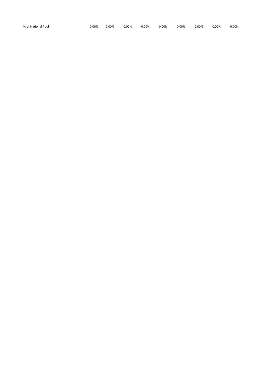| % of National Pool<br>0.00%<br>0.00% | 0.00% | 0.00% | 0.00% | 0.00% | 0.00% | 0.00% | 0.00% |
|--------------------------------------|-------|-------|-------|-------|-------|-------|-------|
|--------------------------------------|-------|-------|-------|-------|-------|-------|-------|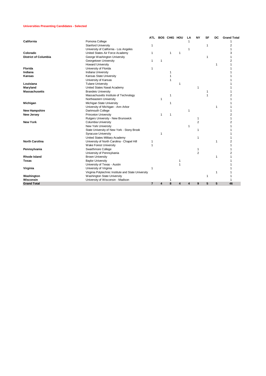#### **Universities Presenting Candidates - Selected**

|                             |                                                     | <b>ATL</b>     |    | <b>BOS CHIG HOU</b> |                | LA | <b>NY</b> | <b>SF</b>    | DC | <b>Grand Total</b> |
|-----------------------------|-----------------------------------------------------|----------------|----|---------------------|----------------|----|-----------|--------------|----|--------------------|
| California                  | Pomona College                                      |                |    |                     |                |    |           |              |    |                    |
|                             | <b>Stanford University</b>                          |                |    |                     |                |    |           | $\mathbf{1}$ |    | 2                  |
|                             | University of California - Los Angeles              |                |    |                     |                | 1  |           |              |    |                    |
| Colorado                    | United States Air Force Academy                     | 1              |    | 1                   | $\overline{1}$ |    |           |              |    | 3                  |
| <b>District of Columbia</b> | George Washington University                        |                |    |                     |                |    |           | 1            |    |                    |
|                             | Georgetown University                               |                | -1 |                     |                |    |           |              |    |                    |
|                             | <b>Howard University</b>                            |                |    |                     |                |    |           |              | 1  |                    |
| <b>Florida</b>              | University of Florida                               |                |    |                     |                |    |           |              |    |                    |
| Indiana                     | Indiana University                                  |                |    |                     |                |    |           |              |    |                    |
| <b>Kansas</b>               | Kansas State University                             |                |    |                     |                |    |           |              |    |                    |
|                             | University of Kansas                                |                |    |                     |                |    |           |              |    |                    |
| Louisiana                   | <b>Tulane University</b>                            |                |    |                     |                |    |           |              |    |                    |
| Maryland                    | United States Naval Academy                         |                |    |                     |                |    |           |              |    |                    |
| <b>Massachusetts</b>        | <b>Brandeis University</b>                          |                |    |                     |                |    |           |              |    |                    |
|                             | Massachusetts Institute of Technology               |                |    |                     |                |    |           |              |    |                    |
|                             | Northeastern University                             |                | -1 |                     |                |    |           |              |    |                    |
| Michigan                    | Michigan State University                           |                |    |                     |                |    |           |              |    |                    |
|                             | University of Michigan - Ann Arbor                  |                |    |                     |                |    |           |              | 1  |                    |
| <b>New Hampshire</b>        | Dartmouth College                                   |                |    |                     |                | 1  |           |              |    |                    |
| <b>New Jersey</b>           | <b>Princeton University</b>                         |                |    | 1                   |                |    |           |              |    |                    |
|                             | Rutgers University - New Brunswick                  |                |    |                     |                |    |           |              |    |                    |
| <b>New York</b>             | <b>Columbia University</b>                          |                |    |                     |                |    | 2         |              |    |                    |
|                             | New York University                                 |                |    |                     |                | 1  |           |              |    |                    |
|                             | State University of New York - Stony Brook          |                |    |                     |                |    |           |              |    |                    |
|                             | <b>Syracuse University</b>                          |                |    |                     |                |    |           |              |    |                    |
|                             | United States Military Academy                      |                |    |                     |                |    |           |              |    |                    |
| <b>North Carolina</b>       | University of North Carolina - Chapel Hill          |                |    |                     |                |    |           |              | 1  | $\overline{2}$     |
|                             | Wake Forest University                              | 1              |    |                     |                |    |           |              |    |                    |
| Pennsylvania                | Swarthmore College                                  |                |    |                     |                |    |           |              |    |                    |
|                             | University of Pennsylvania                          |                |    |                     |                |    | 2         |              |    |                    |
| <b>Rhode Island</b>         | <b>Brown University</b>                             |                |    |                     |                |    |           |              | 1  |                    |
| Texas                       | <b>Baylor University</b>                            |                |    |                     |                |    |           |              |    |                    |
|                             | University of Texas - Austin                        |                |    |                     |                |    |           |              |    |                    |
| Virginia                    | University of Virginia                              |                |    |                     |                |    |           |              |    |                    |
|                             | Virginia Polytechnic Institute and State University |                |    |                     |                |    |           |              | 1  |                    |
| Washington                  | <b>Washington State University</b>                  |                |    |                     |                |    |           | $\mathbf{1}$ |    |                    |
| Wisconsin                   | University of Wisconsin - Madison                   |                |    |                     |                |    |           |              |    |                    |
| <b>Grand Total</b>          |                                                     | $\overline{7}$ | 4  | 8                   | 4              |    | 9         | 5            | 5  | 46                 |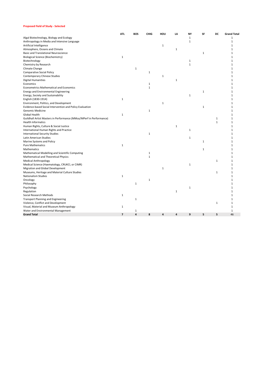#### **Proposed Field of Study - Selected**

|                                                                                | ATI.           | <b>BOS</b>                     | <b>CHIG</b>  | HOU         | LA           | NY           | SF           | DC           | <b>Grand Total</b> |
|--------------------------------------------------------------------------------|----------------|--------------------------------|--------------|-------------|--------------|--------------|--------------|--------------|--------------------|
| Algal Biotechnology, Biology and Ecology                                       |                |                                |              |             |              | $\mathbf{1}$ |              |              | $\mathbf{1}$       |
| Anthropology in Media and Intensive Language                                   |                |                                |              |             |              | $\mathbf{1}$ |              |              | $\mathbf{1}$       |
| Artificial Intelligence                                                        |                |                                |              | 1           |              |              |              |              | 1                  |
| Atmosphere, Oceans and Climate                                                 |                |                                |              |             | $\mathbf{1}$ |              |              |              | 1                  |
| Basic and Translational Neuroscience                                           |                |                                |              |             |              |              | $\mathbf{1}$ |              | 1                  |
| <b>Biological Science (Biochemistry)</b>                                       | $\mathbf 1$    |                                |              |             |              |              |              |              | $\mathbf{1}$       |
| Biotechnology                                                                  |                |                                |              |             |              | $\mathbf 1$  |              |              | $\mathbf{1}$       |
| Chemistry by Research                                                          |                |                                |              |             |              | $\mathbf{1}$ |              |              | 1                  |
| Climate Change                                                                 |                | $\mathbf{1}$                   |              |             |              |              |              |              | 1                  |
| <b>Comparative Social Policy</b>                                               |                |                                | $\mathbf 1$  |             |              |              |              |              | 1                  |
| Contemporary Chinese Studies                                                   |                |                                |              | 1           |              |              |              |              | 1                  |
| <b>Digital Humanities</b>                                                      |                |                                |              |             | $\mathbf{1}$ |              |              |              | 1                  |
| Economics                                                                      |                |                                | $\mathbf{1}$ |             |              |              |              |              | $\mathbf{1}$       |
| <b>Econometrics Mathematical and Economics</b>                                 |                |                                | $\mathbf 1$  |             |              |              |              |              | $\mathbf{1}$       |
| Energy and Environmental Engineering                                           |                |                                |              |             |              |              | $\mathbf{1}$ |              | $\mathbf{1}$       |
|                                                                                |                |                                |              |             |              |              |              |              | 1                  |
| Energy, Society and Sustainability                                             |                |                                |              |             |              | 1            |              |              |                    |
| English (1830-1914)                                                            | 1              |                                |              |             |              |              |              |              | 1                  |
| Environment, Politics, and Development                                         |                |                                |              | $\mathbf 1$ |              |              |              |              | $\mathbf{1}$       |
| Evidence-based Social Intervention and Policy Evaluation                       |                |                                |              |             |              |              | $\mathbf{1}$ |              | 1                  |
| Genomic Medicine                                                               |                |                                | $\mathbf 1$  |             |              |              |              |              | 1                  |
| Global Health                                                                  | $1\,$          |                                |              |             |              |              |              |              | 1                  |
| Guildhall Artist Masters in Performance (MMus/MPerf in Performance)            |                |                                |              |             |              |              |              | $1\,$        | $\mathbf{1}$       |
| <b>Health Informatics</b>                                                      |                |                                |              |             |              |              |              | $\mathbf{1}$ | $\mathbf{1}$       |
| Human Rights, Culture & Social Justice                                         |                |                                |              |             | $\mathbf{1}$ |              |              |              | 1                  |
| International Human Rights and Practice                                        |                |                                |              |             |              | $\mathbf{1}$ |              |              | 1                  |
| <b>International Security Studies</b>                                          |                |                                | $\mathbf 1$  |             |              |              |              |              | $\mathbf{1}$       |
| Latin American Studies                                                         |                |                                |              |             |              | $\mathbf{1}$ |              |              | $\mathbf{1}$       |
| Marine Systems and Policy                                                      |                |                                |              |             |              |              | $\mathbf{1}$ |              | $\mathbf{1}$       |
| <b>Pure Mathematics</b>                                                        | $\mathbf 1$    |                                |              |             |              |              |              |              | 1                  |
| <b>Mathematics</b>                                                             |                |                                |              |             |              |              | $\mathbf{1}$ |              | $\mathbf{1}$       |
| Mathematical Modelling and Scientific Computing                                |                |                                | 1            |             |              |              |              |              | $\mathbf{1}$       |
| Mathematical and Theoretical Physics                                           |                |                                | $\mathbf 1$  |             |              |              |              |              | 1                  |
| <b>Medical Anthropology</b>                                                    |                |                                |              |             |              |              |              | $\mathbf 1$  | $\mathbf{1}$       |
| Medical Science (Haematology, CRUKCI, or CIMR)                                 |                |                                |              |             |              | $\mathbf 1$  |              |              | $\mathbf{1}$       |
| Migration and Global Development                                               |                |                                |              | $\mathbf 1$ |              |              |              |              | $\mathbf{1}$       |
| Museums, Heritage and Material Culture Studies                                 |                |                                |              |             |              |              |              | $1\,$        | $\mathbf{1}$       |
| Nationalism Studies                                                            | $1\,$          |                                |              |             |              |              |              |              | $\mathbf{1}$       |
| Oncology                                                                       |                |                                | $\mathbf{1}$ |             |              |              |              |              | 1                  |
| Philosophy                                                                     |                | $\mathbf{1}$                   |              |             |              |              |              |              | 1                  |
| Psychology                                                                     |                |                                |              |             |              | 1            |              |              | 1                  |
| Regulation                                                                     |                |                                |              |             | $\mathbf{1}$ |              |              |              | 1                  |
| Social Research Methods                                                        | $\mathbf 1$    |                                |              |             |              |              |              |              | 1                  |
| <b>Transport Planning and Engineering</b>                                      |                | $\mathbf 1$                    |              |             |              |              |              |              | $\mathbf{1}$       |
| Violence, Conflict and Development                                             |                |                                |              |             |              |              |              | $1\,$        | $\mathbf{1}$       |
|                                                                                | 1              |                                |              |             |              |              |              |              | $\mathbf{1}$       |
| Visual, Material and Museum Anthropology<br>Water and Environmental Management |                |                                |              |             |              |              |              |              | $\mathbf{1}$       |
| <b>Grand Total</b>                                                             | $\overline{7}$ | $\mathbf{1}$<br>$\overline{a}$ | 8            | 4           | 4            | 9            | 5            | 5            | 46                 |
|                                                                                |                |                                |              |             |              |              |              |              |                    |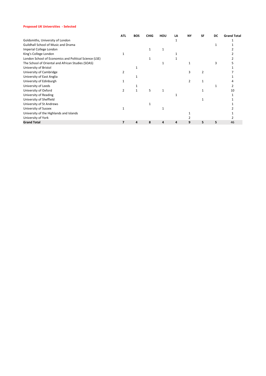## **Proposed UK Universities - Selected**

|                                                        | <b>ATL</b> | <b>BOS</b> | <b>CHIG</b> | HOU | LA | NΥ | SF | DC | <b>Grand Total</b> |
|--------------------------------------------------------|------------|------------|-------------|-----|----|----|----|----|--------------------|
| Goldsmiths, University of London                       |            |            |             |     |    |    |    |    |                    |
| Guildhall School of Music and Drama                    |            |            |             |     |    |    |    |    |                    |
| Imperial College London                                |            |            |             |     |    |    |    |    |                    |
| King's College London                                  |            |            |             |     |    |    |    |    |                    |
| London School of Economics and Political Science (LSE) |            |            |             |     |    |    |    |    |                    |
| The School of Oriental and African Studies (SOAS)      |            |            |             |     |    |    |    |    |                    |
| University of Bristol                                  |            |            |             |     |    |    |    |    |                    |
| University of Cambridge                                |            |            |             |     |    | ς  |    |    |                    |
| University of East Anglia                              |            |            |             |     |    |    |    |    |                    |
| University of Edinburgh                                |            |            |             |     |    |    |    |    |                    |
| University of Leeds                                    |            |            |             |     |    |    |    |    |                    |
| University of Oxford                                   | 2          |            | 5           |     |    |    |    |    | 10                 |
| University of Reading                                  |            |            |             |     |    |    |    |    |                    |
| University of Sheffield                                |            |            |             |     |    |    |    |    |                    |
| University of St Andrews                               |            |            |             |     |    |    |    |    |                    |
| University of Sussex                                   |            |            |             |     |    |    |    |    |                    |
| University of the Highlands and Islands                |            |            |             |     |    |    |    |    |                    |
| University of York                                     |            |            |             |     |    |    |    |    |                    |
| <b>Grand Total</b>                                     | 7          | 4          | 8           | Δ   | 4  | 9  | 5  | 5  | 46                 |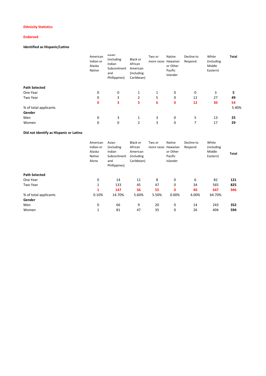## **Ethnicity Statistics**

## **Endorsed**

## **Identified as Hispanic/Latino**

|                       | American<br>Indian or<br>Alaska<br>Native | Asian<br>(including<br>Indian<br>Subcontinent<br>and<br>Phillippines) | Black or<br>African<br>American<br>(including<br>Caribbean) | Two or<br>more races Hawaiian | Native<br>or Other<br>Pacific<br>Islander | Decline to<br>Respond | White<br>(including<br>Middle<br>Eastern) | Total |
|-----------------------|-------------------------------------------|-----------------------------------------------------------------------|-------------------------------------------------------------|-------------------------------|-------------------------------------------|-----------------------|-------------------------------------------|-------|
| <b>Path Selected</b>  |                                           |                                                                       |                                                             |                               |                                           |                       |                                           |       |
| One Year              | 0                                         | 0                                                                     | 1                                                           | 1                             | 0                                         | 0                     | 3                                         | 5     |
| Two Year              | 0                                         | 3                                                                     | 2                                                           | 5                             | 0                                         | 12                    | 27                                        | 49    |
|                       | 0                                         | 3                                                                     | 3                                                           | 6                             | 0                                         | 12                    | 30                                        | 54    |
| % of total applicants |                                           |                                                                       |                                                             |                               |                                           |                       |                                           | 5.40% |
| Gender                |                                           |                                                                       |                                                             |                               |                                           |                       |                                           |       |
| Men                   | 0                                         | 3                                                                     | 1                                                           | 3                             | 0                                         | 5                     | 13                                        | 25    |
| Women                 | 0                                         | 0                                                                     | 2                                                           | 3                             | 0                                         | 7                     | 17                                        | 29    |

## **Did not Identify as Hispanic or Latino**

|                       | American<br>Indian or<br>Alaska<br>Native<br>Alone | Asian<br>(including)<br>Indian<br>Subcontinent<br>and<br>Phillippines) | Black or<br>African<br>American<br>(including<br>Caribbean) | Two or<br>more races | Native<br>Hawaiian<br>or Other<br>Pacific<br>Islander | Decline to<br>Respond | White<br>(including<br>Middle<br>Eastern) | Total |
|-----------------------|----------------------------------------------------|------------------------------------------------------------------------|-------------------------------------------------------------|----------------------|-------------------------------------------------------|-----------------------|-------------------------------------------|-------|
| <b>Path Selected</b>  |                                                    |                                                                        |                                                             |                      |                                                       |                       |                                           |       |
| One Year              | 0                                                  | 14                                                                     | 11                                                          | 8                    | 0                                                     | 6                     | 82                                        | 121   |
| Two Year              | 1                                                  | 133                                                                    | 45                                                          | 47                   | 0                                                     | 34                    | 565                                       | 825   |
|                       | 1                                                  | 147                                                                    | 56                                                          | 55                   | 0                                                     | 40                    | 647                                       | 946   |
| % of total applicants | 0.10%                                              | 14.70%                                                                 | 5.60%                                                       | 5.50%                | 0.00%                                                 | 4.00%                 | 64.70%                                    |       |
| Gender                |                                                    |                                                                        |                                                             |                      |                                                       |                       |                                           |       |
| Men                   | 0                                                  | 66                                                                     | 9                                                           | 20                   | 0                                                     | 14                    | 243                                       | 352   |
| Women                 | 1                                                  | 81                                                                     | 47                                                          | 35                   | 0                                                     | 26                    | 404                                       | 594   |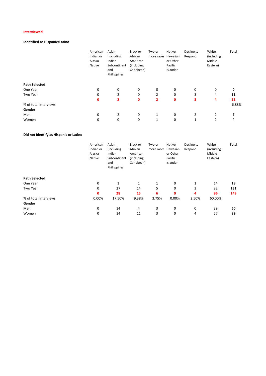## **Interviewed**

## **Identified as Hispanic/Latino**

| American<br>Indian or<br>Alaska<br>Native | Asian<br>(including<br>Indian<br>Subcontinent<br>and<br>Phillippines) | Black or<br>African<br>American<br>(including<br>Caribbean) | Two or | Native<br>or Other<br>Pacific<br>Islander | Decline to<br>Respond | White<br>(including<br>Middle<br>Eastern) | Total |
|-------------------------------------------|-----------------------------------------------------------------------|-------------------------------------------------------------|--------|-------------------------------------------|-----------------------|-------------------------------------------|-------|
|                                           |                                                                       |                                                             |        |                                           |                       |                                           |       |
| 0                                         | 0                                                                     | 0                                                           | 0      | 0                                         | 0                     | 0                                         | 0     |
| 0                                         | $\overline{2}$                                                        | 0                                                           | 2      | 0                                         | 3                     | 4                                         | 11    |
| $\mathbf 0$                               | 2                                                                     | 0                                                           | 2      | 0                                         | 3                     | 4                                         | 11    |
|                                           |                                                                       |                                                             |        |                                           |                       |                                           | 6.88% |
|                                           |                                                                       |                                                             |        |                                           |                       |                                           |       |
| 0                                         | 2                                                                     | 0                                                           | 1      | 0                                         | $\overline{2}$        | 2                                         |       |
| 0                                         | 0                                                                     | 0                                                           | 1      | 0                                         | 1                     | 2                                         | 4     |
|                                           |                                                                       |                                                             |        |                                           | more races Hawaiian   |                                           |       |

## **Did not Identify as Hispanic or Latino**

|                       | American<br>Indian or<br>Alaska<br>Native | Asian<br>(including<br>Indian<br>Subcontinent<br>and<br>Phillippines) | Black or<br>African<br>American<br>(including<br>Caribbean) | Two or<br>more races | Native<br>Hawaiian<br>or Other<br>Pacific<br>Islander | Decline to<br>Respond | White<br>(including<br>Middle<br>Eastern) | Total |
|-----------------------|-------------------------------------------|-----------------------------------------------------------------------|-------------------------------------------------------------|----------------------|-------------------------------------------------------|-----------------------|-------------------------------------------|-------|
| <b>Path Selected</b>  |                                           |                                                                       |                                                             |                      |                                                       |                       |                                           |       |
| One Year              | 0                                         |                                                                       | 1                                                           | 1                    | 0                                                     | 1                     | 14                                        | 18    |
| Two Year              | 0                                         | 27                                                                    | 14                                                          | 5                    | 0                                                     | 3                     | 82                                        | 131   |
|                       | 0                                         | 28                                                                    | 15                                                          | 6                    | 0                                                     | 4                     | 96                                        | 149   |
| % of total interviews | 0.00%                                     | 17.50%                                                                | 9.38%                                                       | 3.75%                | 0.00%                                                 | 2.50%                 | 60.00%                                    |       |
| Gender                |                                           |                                                                       |                                                             |                      |                                                       |                       |                                           |       |
| Men                   | 0                                         | 14                                                                    | 4                                                           | 3                    | 0                                                     | 0                     | 39                                        | 60    |
| Women                 | 0                                         | 14                                                                    | 11                                                          | 3                    | 0                                                     | 4                     | 57                                        | 89    |